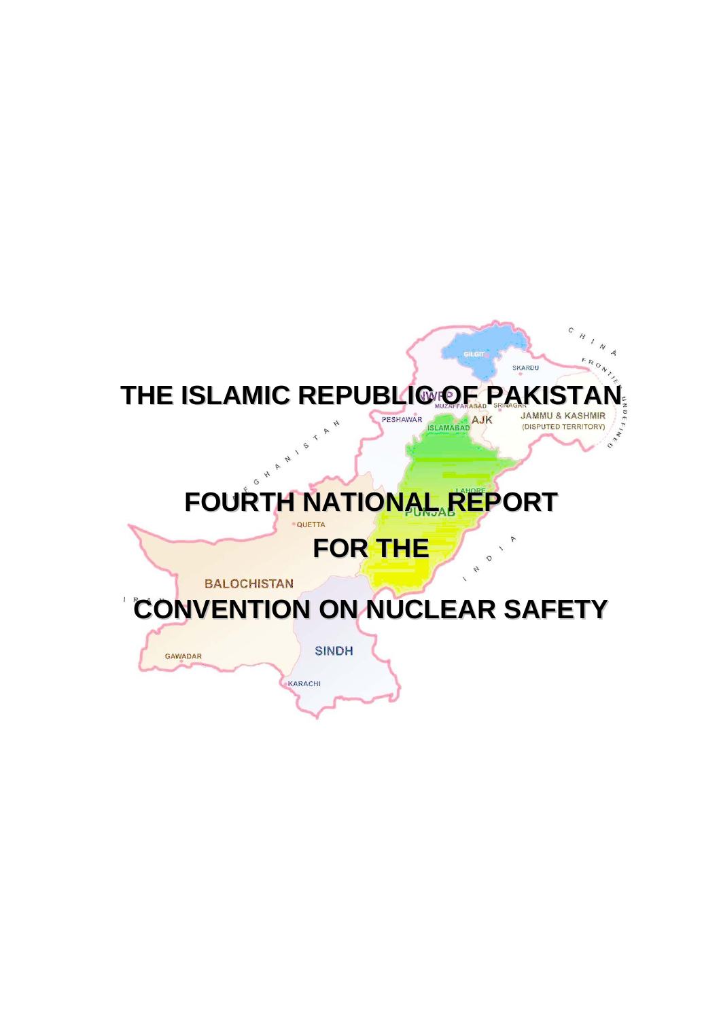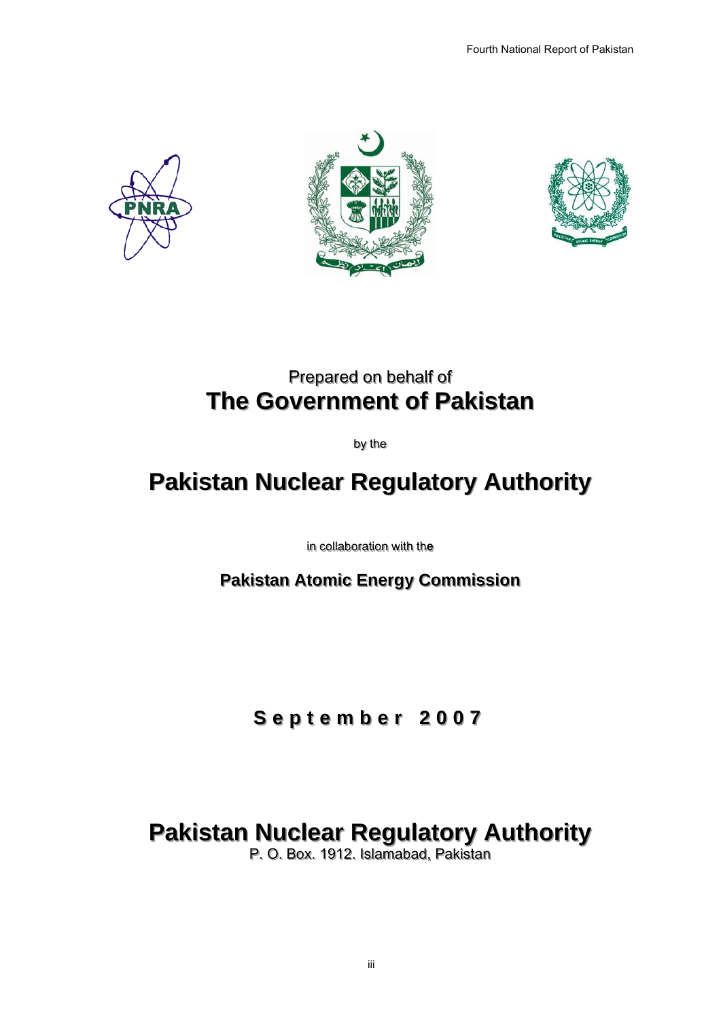





# Prepared on behalf of **The Government of Pakistan**

by the

# **Pakistan Nuclear Regulatory Authority**

in collaboration with the

**Pakistan Atomic Energy Commission** 

# **September 2007**

# **Pakistan Nuclear Regulatory Authority**

P.O. Box. 1912. Islamabad, Pakistan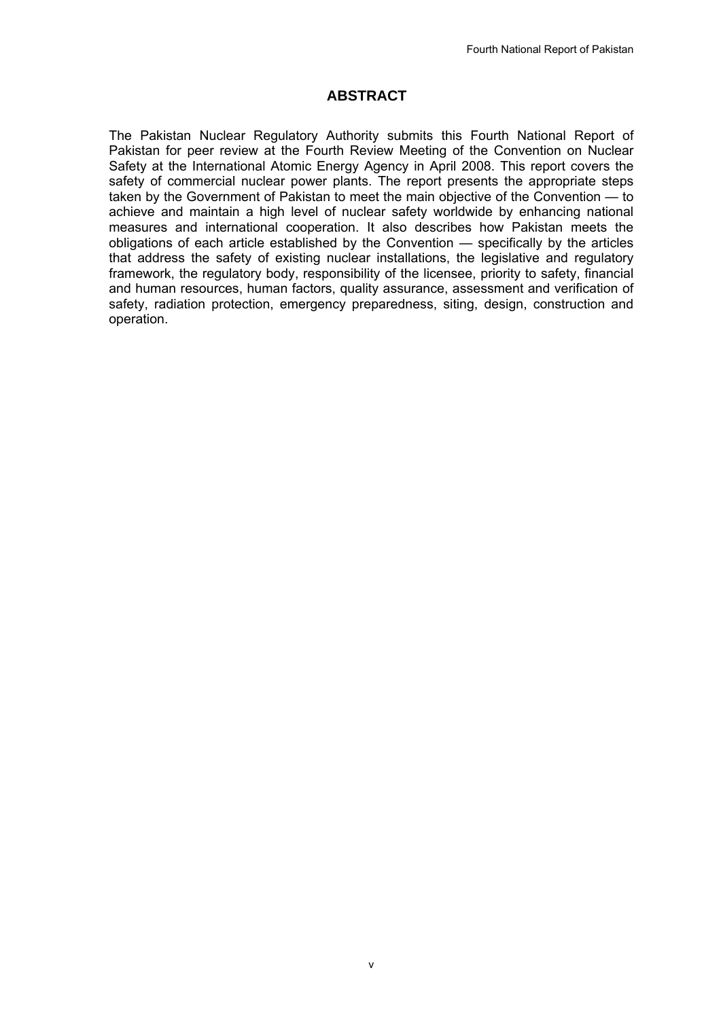#### **ABSTRACT**

<span id="page-4-0"></span>The Pakistan Nuclear Regulatory Authority submits this Fourth National Report of Pakistan for peer review at the Fourth Review Meeting of the Convention on Nuclear Safety at the International Atomic Energy Agency in April 2008. This report covers the safety of commercial nuclear power plants. The report presents the appropriate steps taken by the Government of Pakistan to meet the main objective of the Convention — to achieve and maintain a high level of nuclear safety worldwide by enhancing national measures and international cooperation. It also describes how Pakistan meets the obligations of each article established by the Convention — specifically by the articles that address the safety of existing nuclear installations, the legislative and regulatory framework, the regulatory body, responsibility of the licensee, priority to safety, financial and human resources, human factors, quality assurance, assessment and verification of safety, radiation protection, emergency preparedness, siting, design, construction and operation.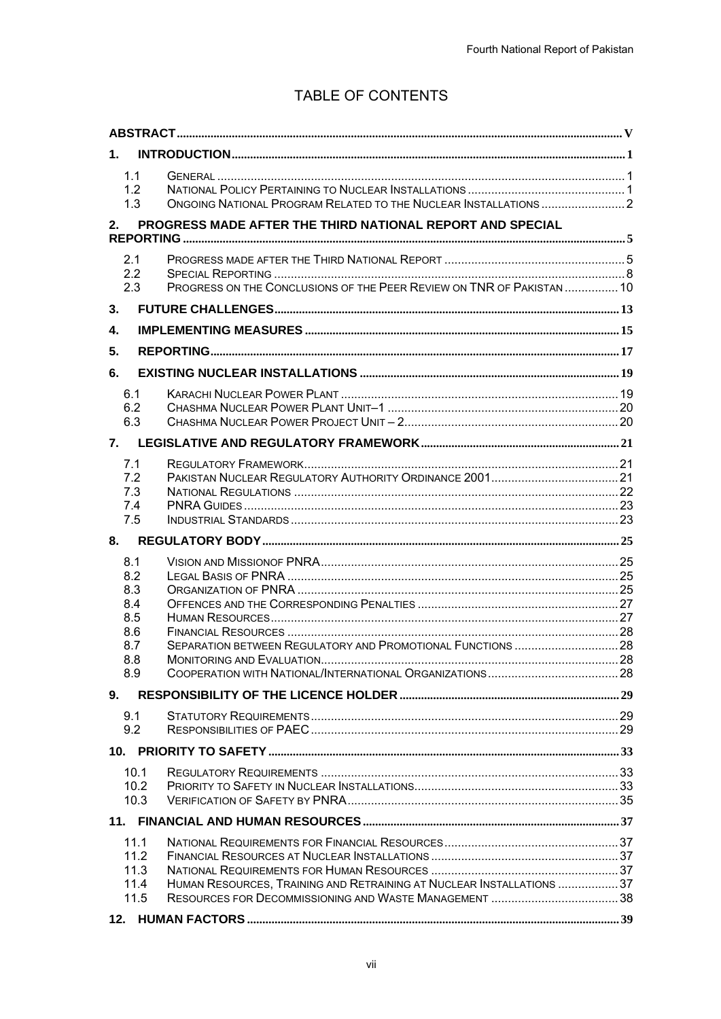## TABLE OF CONTENTS

| 1 <sup>1</sup> |                                                                 |                                                                       |  |  |  |  |  |
|----------------|-----------------------------------------------------------------|-----------------------------------------------------------------------|--|--|--|--|--|
|                | 1.1                                                             |                                                                       |  |  |  |  |  |
|                | 1.2                                                             | ONGOING NATIONAL PROGRAM RELATED TO THE NUCLEAR INSTALLATIONS2        |  |  |  |  |  |
|                | 1.3                                                             |                                                                       |  |  |  |  |  |
|                | PROGRESS MADE AFTER THE THIRD NATIONAL REPORT AND SPECIAL<br>2. |                                                                       |  |  |  |  |  |
|                | 2.1                                                             |                                                                       |  |  |  |  |  |
|                | 2.2                                                             |                                                                       |  |  |  |  |  |
|                | 2.3                                                             | PROGRESS ON THE CONCLUSIONS OF THE PEER REVIEW ON TNR OF PAKISTAN  10 |  |  |  |  |  |
| 3.             |                                                                 |                                                                       |  |  |  |  |  |
| $\mathbf{4}$   |                                                                 |                                                                       |  |  |  |  |  |
| 5.             |                                                                 |                                                                       |  |  |  |  |  |
| 6.             |                                                                 |                                                                       |  |  |  |  |  |
|                | 6.1                                                             |                                                                       |  |  |  |  |  |
|                | 6.2                                                             |                                                                       |  |  |  |  |  |
|                | 6.3                                                             |                                                                       |  |  |  |  |  |
| 7.             |                                                                 |                                                                       |  |  |  |  |  |
|                | 7.1                                                             |                                                                       |  |  |  |  |  |
|                | 7.2                                                             |                                                                       |  |  |  |  |  |
|                | 7.3                                                             |                                                                       |  |  |  |  |  |
|                | 7.4                                                             |                                                                       |  |  |  |  |  |
| 8.             | 7.5                                                             |                                                                       |  |  |  |  |  |
|                |                                                                 |                                                                       |  |  |  |  |  |
|                | 8.1<br>8.2                                                      |                                                                       |  |  |  |  |  |
|                | 8.3                                                             |                                                                       |  |  |  |  |  |
|                | 8.4                                                             |                                                                       |  |  |  |  |  |
|                | 8.5                                                             |                                                                       |  |  |  |  |  |
|                | 8.6                                                             |                                                                       |  |  |  |  |  |
|                | 8.7                                                             | SEPARATION BETWEEN REGULATORY AND PROMOTIONAL FUNCTIONS  28           |  |  |  |  |  |
|                | 8.8                                                             |                                                                       |  |  |  |  |  |
|                | 8.9                                                             |                                                                       |  |  |  |  |  |
| 9.             |                                                                 |                                                                       |  |  |  |  |  |
|                | 9.1<br>9.2                                                      |                                                                       |  |  |  |  |  |
|                |                                                                 |                                                                       |  |  |  |  |  |
|                | 10.1                                                            |                                                                       |  |  |  |  |  |
|                | 10.2                                                            |                                                                       |  |  |  |  |  |
|                | 10.3                                                            |                                                                       |  |  |  |  |  |
|                |                                                                 |                                                                       |  |  |  |  |  |
|                | 11.1                                                            |                                                                       |  |  |  |  |  |
|                | 11.2                                                            |                                                                       |  |  |  |  |  |
|                | 11.3                                                            |                                                                       |  |  |  |  |  |
|                | 11.4                                                            | HUMAN RESOURCES, TRAINING AND RETRAINING AT NUCLEAR INSTALLATIONS 37  |  |  |  |  |  |
|                | 11.5                                                            |                                                                       |  |  |  |  |  |
|                |                                                                 |                                                                       |  |  |  |  |  |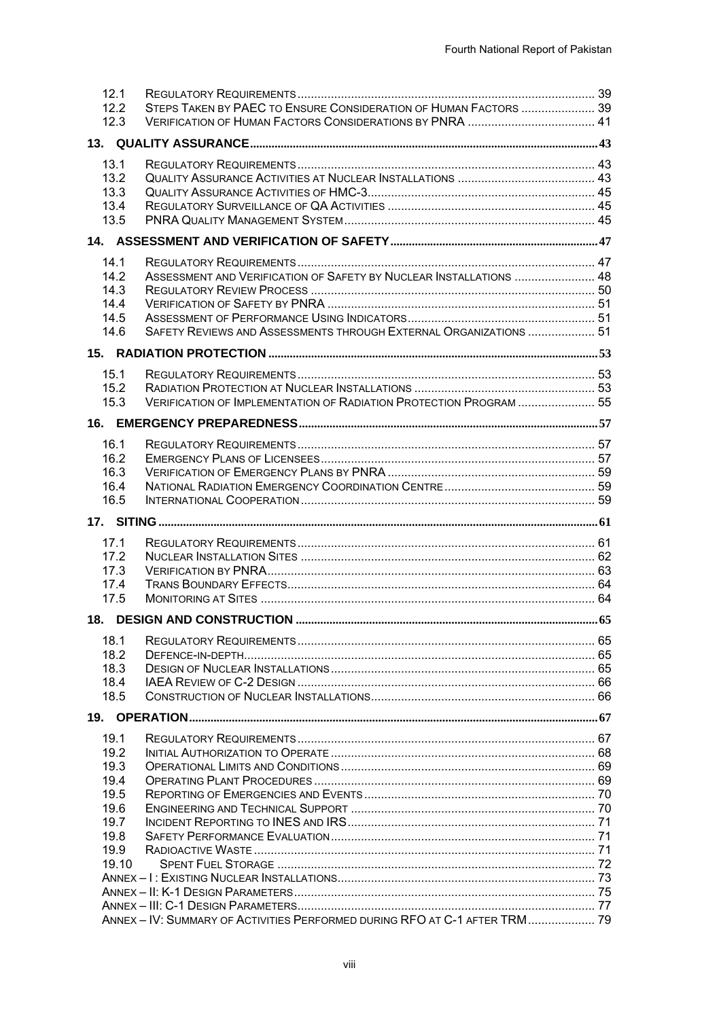| 12.1<br>12.2 | STEPS TAKEN BY PAEC TO ENSURE CONSIDERATION OF HUMAN FACTORS  39   |  |  |  |  |  |
|--------------|--------------------------------------------------------------------|--|--|--|--|--|
| 12.3         |                                                                    |  |  |  |  |  |
|              |                                                                    |  |  |  |  |  |
| 13.1         |                                                                    |  |  |  |  |  |
| 13.2         |                                                                    |  |  |  |  |  |
| 13.3         |                                                                    |  |  |  |  |  |
| 13.4         |                                                                    |  |  |  |  |  |
| 13.5         |                                                                    |  |  |  |  |  |
|              |                                                                    |  |  |  |  |  |
| 14.1         |                                                                    |  |  |  |  |  |
| 14.2         | ASSESSMENT AND VERIFICATION OF SAFETY BY NUCLEAR INSTALLATIONS  48 |  |  |  |  |  |
| 14.3         |                                                                    |  |  |  |  |  |
| 14.4         |                                                                    |  |  |  |  |  |
| 14.5<br>14.6 | SAFETY REVIEWS AND ASSESSMENTS THROUGH EXTERNAL ORGANIZATIONS  51  |  |  |  |  |  |
|              |                                                                    |  |  |  |  |  |
|              |                                                                    |  |  |  |  |  |
| 15.1         |                                                                    |  |  |  |  |  |
| 15.2         |                                                                    |  |  |  |  |  |
| 15.3         | VERIFICATION OF IMPLEMENTATION OF RADIATION PROTECTION PROGRAM  55 |  |  |  |  |  |
|              |                                                                    |  |  |  |  |  |
| 16.1         |                                                                    |  |  |  |  |  |
| 16.2         |                                                                    |  |  |  |  |  |
| 16.3         |                                                                    |  |  |  |  |  |
| 16.4         |                                                                    |  |  |  |  |  |
| 16.5         |                                                                    |  |  |  |  |  |
|              |                                                                    |  |  |  |  |  |
|              |                                                                    |  |  |  |  |  |
| 17.1         |                                                                    |  |  |  |  |  |
| 17.2         |                                                                    |  |  |  |  |  |
| 17.3         |                                                                    |  |  |  |  |  |
| 17.4         |                                                                    |  |  |  |  |  |
| 17.5         |                                                                    |  |  |  |  |  |
|              |                                                                    |  |  |  |  |  |
| 18.1         |                                                                    |  |  |  |  |  |
| 18.2         |                                                                    |  |  |  |  |  |
| 18.3         |                                                                    |  |  |  |  |  |
| 18.4         |                                                                    |  |  |  |  |  |
| 18.5         |                                                                    |  |  |  |  |  |
|              |                                                                    |  |  |  |  |  |
| 19.1         |                                                                    |  |  |  |  |  |
| 192          |                                                                    |  |  |  |  |  |
| 19.3         |                                                                    |  |  |  |  |  |
| 19.4<br>19.5 |                                                                    |  |  |  |  |  |
| 19.6         |                                                                    |  |  |  |  |  |
| 19.7         |                                                                    |  |  |  |  |  |
| 19.8         |                                                                    |  |  |  |  |  |
| 19.9         |                                                                    |  |  |  |  |  |
| 19.10        |                                                                    |  |  |  |  |  |
|              |                                                                    |  |  |  |  |  |
|              |                                                                    |  |  |  |  |  |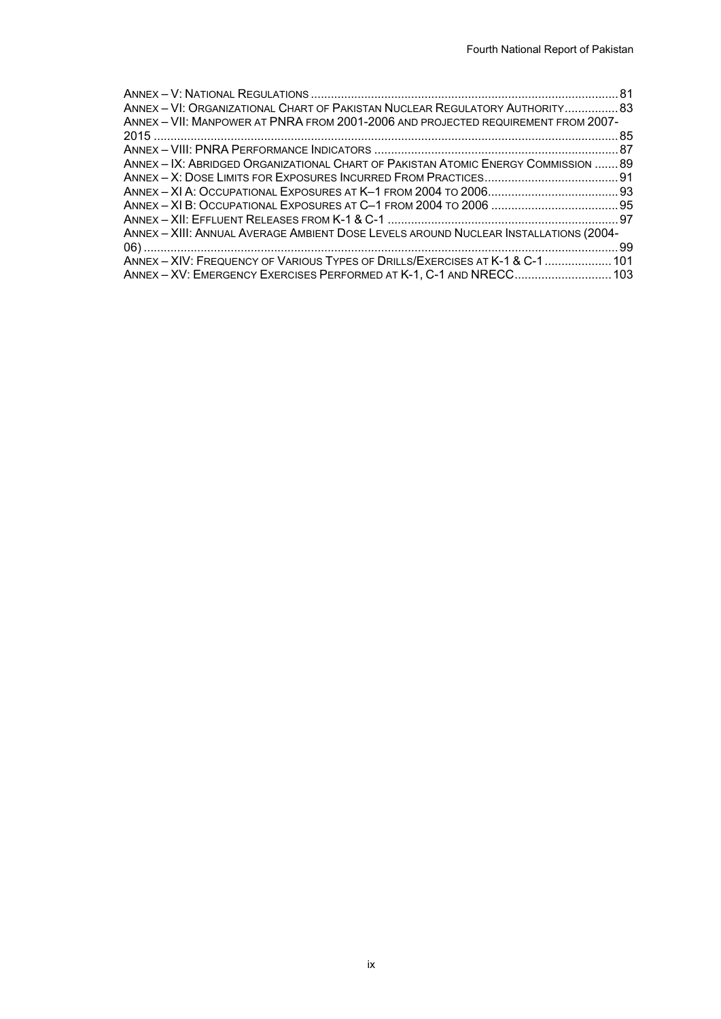| ANNEX - VI: ORGANIZATIONAL CHART OF PAKISTAN NUCLEAR REGULATORY AUTHORITY 83         |  |
|--------------------------------------------------------------------------------------|--|
| ANNEX - VII: MANPOWER AT PNRA FROM 2001-2006 AND PROJECTED REQUIREMENT FROM 2007-    |  |
|                                                                                      |  |
|                                                                                      |  |
| ANNEX-IX: ABRIDGED ORGANIZATIONAL CHART OF PAKISTAN ATOMIC ENERGY COMMISSION  89     |  |
|                                                                                      |  |
|                                                                                      |  |
|                                                                                      |  |
|                                                                                      |  |
| ANNEX - XIII: ANNUAL AVERAGE AMBIENT DOSE LEVELS AROUND NUCLEAR INSTALLATIONS (2004- |  |
|                                                                                      |  |
| ANNEX - XIV: FREQUENCY OF VARIOUS TYPES OF DRILLS/EXERCISES AT K-1 & C-1  101        |  |
| ANNEX - XV: EMERGENCY EXERCISES PERFORMED AT K-1, C-1 AND NRECC 103                  |  |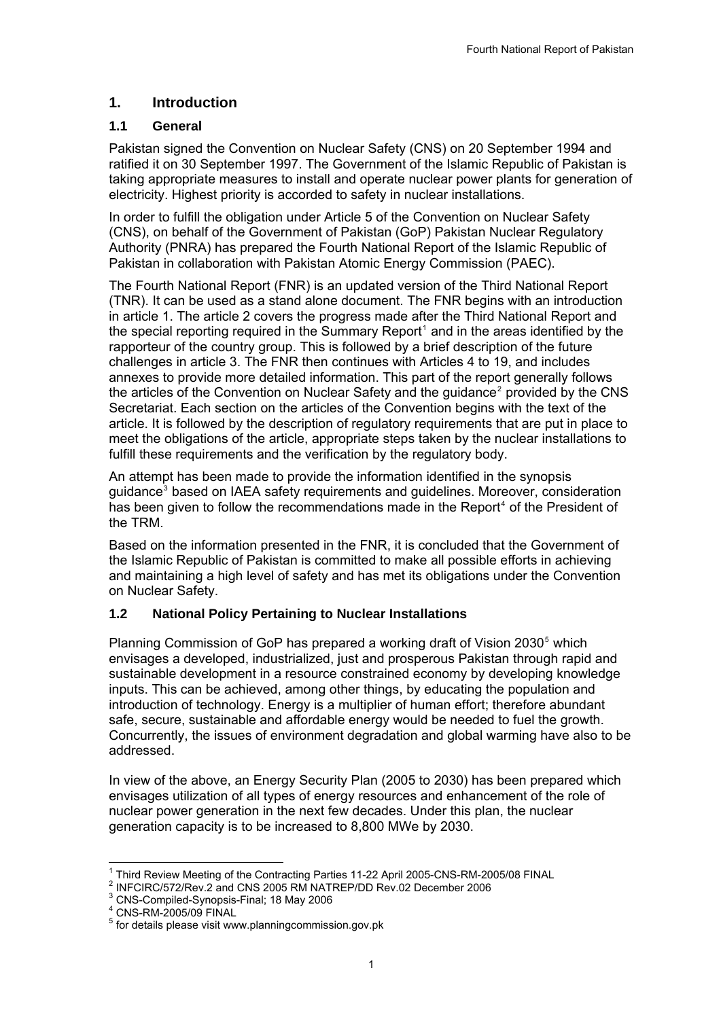### <span id="page-10-0"></span>**1. Introduction**

#### **1.1 General**

Pakistan signed the Convention on Nuclear Safety (CNS) on 20 September 1994 and ratified it on 30 September 1997. The Government of the Islamic Republic of Pakistan is taking appropriate measures to install and operate nuclear power plants for generation of electricity. Highest priority is accorded to safety in nuclear installations.

In order to fulfill the obligation under Article 5 of the Convention on Nuclear Safety (CNS), on behalf of the Government of Pakistan (GoP) Pakistan Nuclear Regulatory Authority (PNRA) has prepared the Fourth National Report of the Islamic Republic of Pakistan in collaboration with Pakistan Atomic Energy Commission (PAEC).

The Fourth National Report (FNR) is an updated version of the Third National Report (TNR). It can be used as a stand alone document. The FNR begins with an introduction in article 1. The article 2 covers the progress made after the Third National Report and the special reporting required in the Summary Report<sup>[1](#page-10-1)</sup> and in the areas identified by the rapporteur of the country group. This is followed by a brief description of the future challenges in article 3. The FNR then continues with Articles 4 to 19, and includes annexes to provide more detailed information. This part of the report generally follows the articles of the Convention on Nuclear Safety and the guidance<sup>[2](#page-10-2)</sup> provided by the CNS Secretariat. Each section on the articles of the Convention begins with the text of the article. It is followed by the description of regulatory requirements that are put in place to meet the obligations of the article, appropriate steps taken by the nuclear installations to fulfill these requirements and the verification by the regulatory body.

An attempt has been made to provide the information identified in the synopsis guidance<sup>[3](#page-10-3)</sup> based on IAEA safety requirements and guidelines. Moreover, consideration has been given to follow the recommendations made in the Report<sup>[4](#page-10-4)</sup> of the President of the TRM.

Based on the information presented in the FNR, it is concluded that the Government of the Islamic Republic of Pakistan is committed to make all possible efforts in achieving and maintaining a high level of safety and has met its obligations under the Convention on Nuclear Safety.

#### **1.2 National Policy Pertaining to Nuclear Installations**

Planning Commission of GoP has prepared a working draft of Vision 2030<sup>[5](#page-10-5)</sup> which envisages a developed, industrialized, just and prosperous Pakistan through rapid and sustainable development in a resource constrained economy by developing knowledge inputs. This can be achieved, among other things, by educating the population and introduction of technology. Energy is a multiplier of human effort; therefore abundant safe, secure, sustainable and affordable energy would be needed to fuel the growth. Concurrently, the issues of environment degradation and global warming have also to be addressed.

In view of the above, an Energy Security Plan (2005 to 2030) has been prepared which envisages utilization of all types of energy resources and enhancement of the role of nuclear power generation in the next few decades. Under this plan, the nuclear generation capacity is to be increased to 8,800 MWe by 2030.

 $\frac{1}{2}$ <sup>1</sup> Third Review Meeting of the Contracting Parties 11-22 April 2005-CNS-RM-2005/08 FINAL<br><sup>2</sup> INFOIDC/572/Rev.2 and CNS 2005 PM NATRED/DD Rev.02 Desember 2006

<span id="page-10-2"></span><span id="page-10-1"></span><sup>&</sup>lt;sup>2</sup> INFCIRC/572/Rev.2 and CNS 2005 RM NATREP/DD Rev.02 December 2006

<span id="page-10-3"></span><sup>&</sup>lt;sup>3</sup> CNS-Compiled-Synopsis-Final; 18 May 2006

<span id="page-10-4"></span><sup>4</sup> CNS-RM-2005/09 FINAL

<span id="page-10-5"></span><sup>&</sup>lt;sup>5</sup> for details please visit www.planningcommission.gov.pk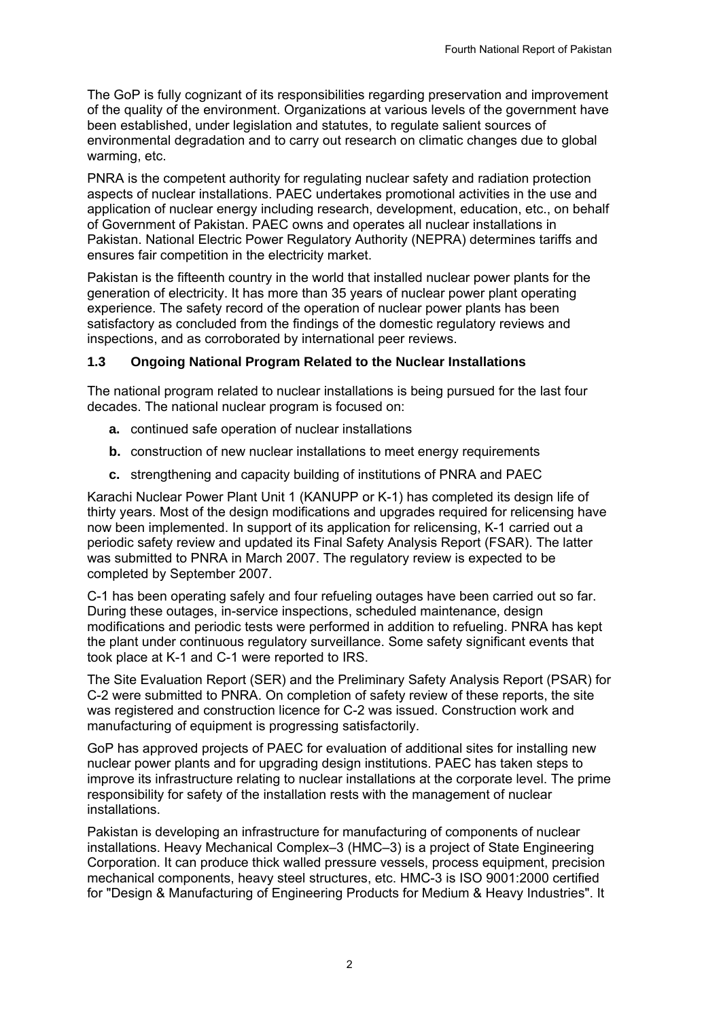<span id="page-11-0"></span>The GoP is fully cognizant of its responsibilities regarding preservation and improvement of the quality of the environment. Organizations at various levels of the government have been established, under legislation and statutes, to regulate salient sources of environmental degradation and to carry out research on climatic changes due to global warming, etc.

PNRA is the competent authority for regulating nuclear safety and radiation protection aspects of nuclear installations. PAEC undertakes promotional activities in the use and application of nuclear energy including research, development, education, etc., on behalf of Government of Pakistan. PAEC owns and operates all nuclear installations in Pakistan. National Electric Power Regulatory Authority (NEPRA) determines tariffs and ensures fair competition in the electricity market.

Pakistan is the fifteenth country in the world that installed nuclear power plants for the generation of electricity. It has more than 35 years of nuclear power plant operating experience. The safety record of the operation of nuclear power plants has been satisfactory as concluded from the findings of the domestic regulatory reviews and inspections, and as corroborated by international peer reviews.

#### **1.3 Ongoing National Program Related to the Nuclear Installations**

The national program related to nuclear installations is being pursued for the last four decades. The national nuclear program is focused on:

- **a.** continued safe operation of nuclear installations
- **b.** construction of new nuclear installations to meet energy requirements
- **c.** strengthening and capacity building of institutions of PNRA and PAEC

Karachi Nuclear Power Plant Unit 1 (KANUPP or K-1) has completed its design life of thirty years. Most of the design modifications and upgrades required for relicensing have now been implemented. In support of its application for relicensing, K-1 carried out a periodic safety review and updated its Final Safety Analysis Report (FSAR). The latter was submitted to PNRA in March 2007. The regulatory review is expected to be completed by September 2007.

C-1 has been operating safely and four refueling outages have been carried out so far. During these outages, in-service inspections, scheduled maintenance, design modifications and periodic tests were performed in addition to refueling. PNRA has kept the plant under continuous regulatory surveillance. Some safety significant events that took place at K-1 and C-1 were reported to IRS.

The Site Evaluation Report (SER) and the Preliminary Safety Analysis Report (PSAR) for C-2 were submitted to PNRA. On completion of safety review of these reports, the site was registered and construction licence for C-2 was issued. Construction work and manufacturing of equipment is progressing satisfactorily.

GoP has approved projects of PAEC for evaluation of additional sites for installing new nuclear power plants and for upgrading design institutions. PAEC has taken steps to improve its infrastructure relating to nuclear installations at the corporate level. The prime responsibility for safety of the installation rests with the management of nuclear installations.

Pakistan is developing an infrastructure for manufacturing of components of nuclear installations. Heavy Mechanical Complex–3 (HMC–3) is a project of State Engineering Corporation. It can produce thick walled pressure vessels, process equipment, precision mechanical components, heavy steel structures, etc. HMC-3 is ISO 9001:2000 certified for "Design & Manufacturing of Engineering Products for Medium & Heavy Industries". It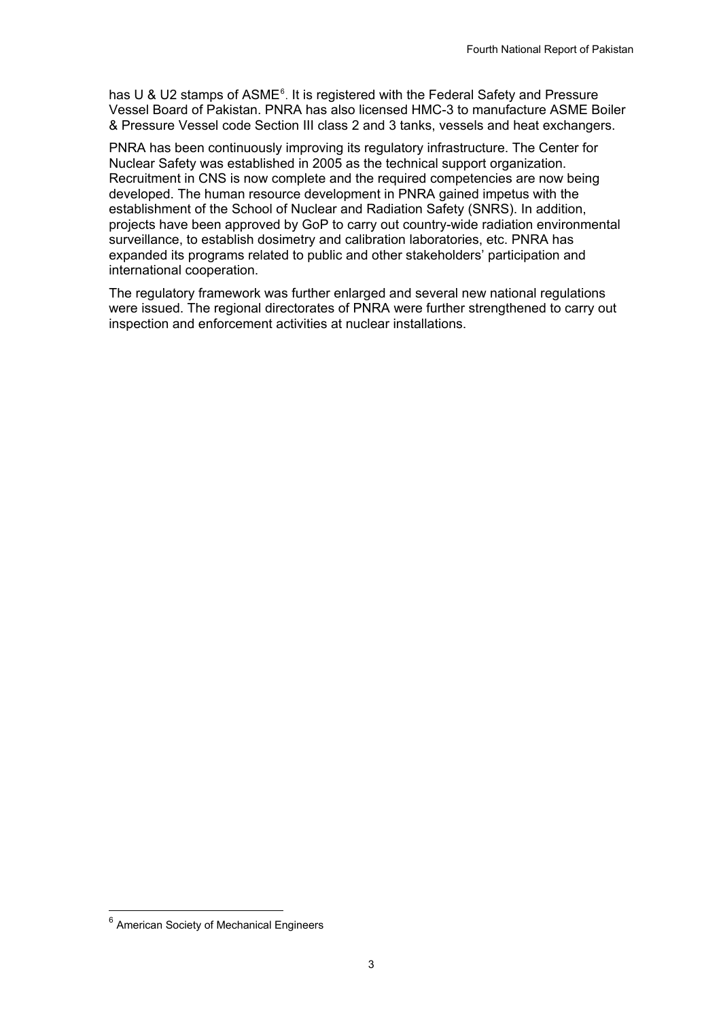has U & U2 stamps of  $ASME<sup>6</sup>$  $ASME<sup>6</sup>$  $ASME<sup>6</sup>$ . It is registered with the Federal Safety and Pressure Vessel Board of Pakistan. PNRA has also licensed HMC-3 to manufacture ASME Boiler & Pressure Vessel code Section III class 2 and 3 tanks, vessels and heat exchangers.

PNRA has been continuously improving its regulatory infrastructure. The Center for Nuclear Safety was established in 2005 as the technical support organization. Recruitment in CNS is now complete and the required competencies are now being developed. The human resource development in PNRA gained impetus with the establishment of the School of Nuclear and Radiation Safety (SNRS). In addition, projects have been approved by GoP to carry out country-wide radiation environmental surveillance, to establish dosimetry and calibration laboratories, etc. PNRA has expanded its programs related to public and other stakeholders' participation and international cooperation.

The regulatory framework was further enlarged and several new national regulations were issued. The regional directorates of PNRA were further strengthened to carry out inspection and enforcement activities at nuclear installations.

1

<span id="page-12-0"></span> $6$  American Society of Mechanical Engineers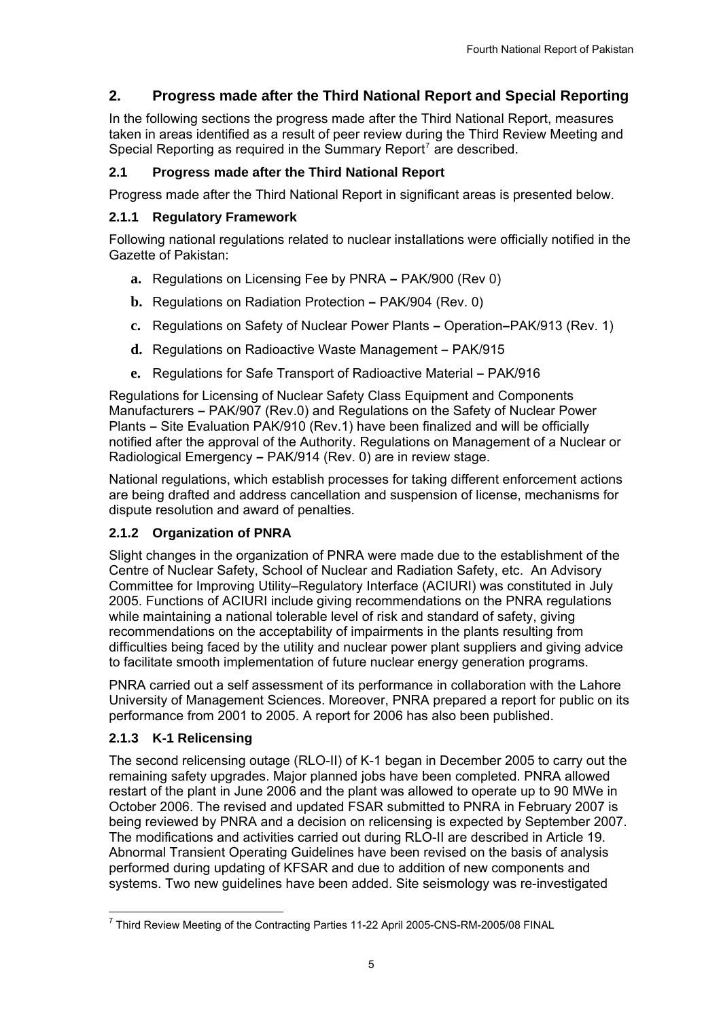## <span id="page-14-0"></span>**2. Progress made after the Third National Report and Special Reporting**

In the following sections the progress made after the Third National Report, measures taken in areas identified as a result of peer review during the Third Review Meeting and Special Reporting as required in the Summary Report<sup>[7](#page-14-0)</sup> are described.

#### **2.1 Progress made after the Third National Report**

Progress made after the Third National Report in significant areas is presented below.

#### **2.1.1 Regulatory Framework**

Following national regulations related to nuclear installations were officially notified in the Gazette of Pakistan:

- **a.** Regulations on Licensing Fee by PNRA **–** PAK/900 (Rev 0)
- **b.** Regulations on Radiation Protection PAK/904 (Rev. 0)
- **c.** Regulations on Safety of Nuclear Power Plants Operation**–**PAK/913 (Rev. 1)
- **d.** Regulations on Radioactive Waste Management **–** PAK/915
- **e.** Regulations for Safe Transport of Radioactive Material PAK/916

Regulations for Licensing of Nuclear Safety Class Equipment and Components Manufacturers **–** PAK/907 (Rev.0) and Regulations on the Safety of Nuclear Power Plants **–** Site Evaluation PAK/910 (Rev.1) have been finalized and will be officially notified after the approval of the Authority. Regulations on Management of a Nuclear or Radiological Emergency **–** PAK/914 (Rev. 0) are in review stage.

National regulations, which establish processes for taking different enforcement actions are being drafted and address cancellation and suspension of license, mechanisms for dispute resolution and award of penalties.

#### **2.1.2 Organization of PNRA**

Slight changes in the organization of PNRA were made due to the establishment of the Centre of Nuclear Safety, School of Nuclear and Radiation Safety, etc. An Advisory Committee for Improving Utility–Regulatory Interface (ACIURI) was constituted in July 2005. Functions of ACIURI include giving recommendations on the PNRA regulations while maintaining a national tolerable level of risk and standard of safety, giving recommendations on the acceptability of impairments in the plants resulting from difficulties being faced by the utility and nuclear power plant suppliers and giving advice to facilitate smooth implementation of future nuclear energy generation programs.

PNRA carried out a self assessment of its performance in collaboration with the Lahore University of Management Sciences. Moreover, PNRA prepared a report for public on its performance from 2001 to 2005. A report for 2006 has also been published.

#### **2.1.3 K-1 Relicensing**

The second relicensing outage (RLO-II) of K-1 began in December 2005 to carry out the remaining safety upgrades. Major planned jobs have been completed. PNRA allowed restart of the plant in June 2006 and the plant was allowed to operate up to 90 MWe in October 2006. The revised and updated FSAR submitted to PNRA in February 2007 is being reviewed by PNRA and a decision on relicensing is expected by September 2007. The modifications and activities carried out during RLO-II are described in Article 19. Abnormal Transient Operating Guidelines have been revised on the basis of analysis performed during updating of KFSAR and due to addition of new components and systems. Two new guidelines have been added. Site seismology was re-investigated

<sup>1</sup> <sup>7</sup> Third Review Meeting of the Contracting Parties 11-22 April 2005-CNS-RM-2005/08 FINAL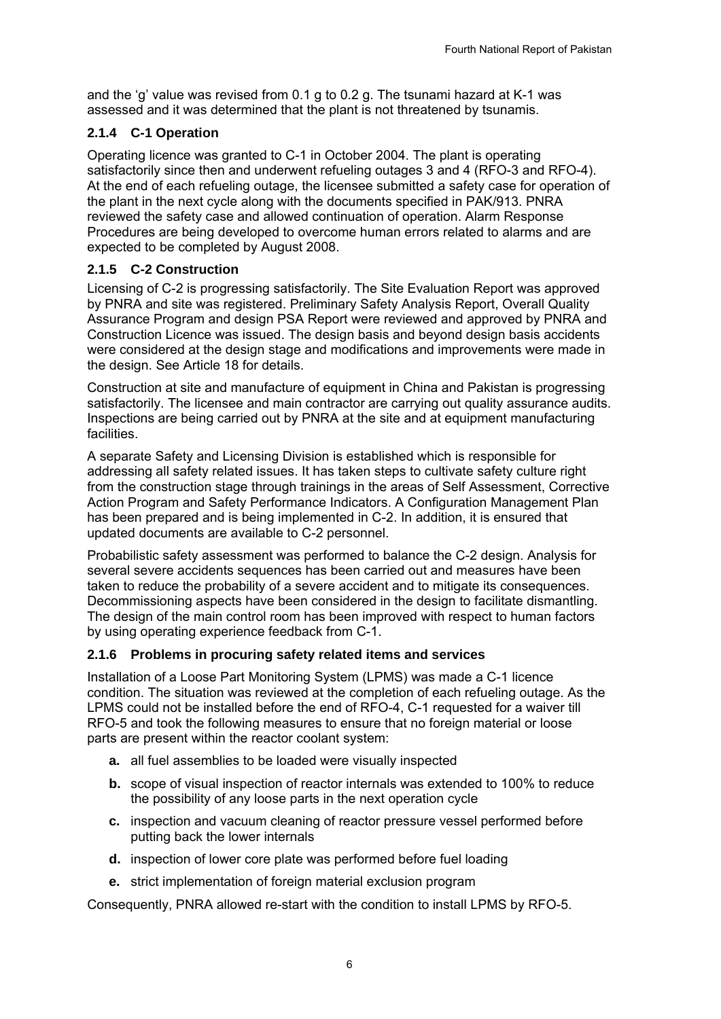and the 'g' value was revised from 0.1 g to 0.2 g. The tsunami hazard at K-1 was assessed and it was determined that the plant is not threatened by tsunamis.

#### **2.1.4 C-1 Operation**

Operating licence was granted to C-1 in October 2004. The plant is operating satisfactorily since then and underwent refueling outages 3 and 4 (RFO-3 and RFO-4). At the end of each refueling outage, the licensee submitted a safety case for operation of the plant in the next cycle along with the documents specified in PAK/913. PNRA reviewed the safety case and allowed continuation of operation. Alarm Response Procedures are being developed to overcome human errors related to alarms and are expected to be completed by August 2008.

#### **2.1.5 C-2 Construction**

Licensing of C-2 is progressing satisfactorily. The Site Evaluation Report was approved by PNRA and site was registered. Preliminary Safety Analysis Report, Overall Quality Assurance Program and design PSA Report were reviewed and approved by PNRA and Construction Licence was issued. The design basis and beyond design basis accidents were considered at the design stage and modifications and improvements were made in the design. See Article 18 for details.

Construction at site and manufacture of equipment in China and Pakistan is progressing satisfactorily. The licensee and main contractor are carrying out quality assurance audits. Inspections are being carried out by PNRA at the site and at equipment manufacturing facilities.

A separate Safety and Licensing Division is established which is responsible for addressing all safety related issues. It has taken steps to cultivate safety culture right from the construction stage through trainings in the areas of Self Assessment, Corrective Action Program and Safety Performance Indicators. A Configuration Management Plan has been prepared and is being implemented in C-2. In addition, it is ensured that updated documents are available to C-2 personnel.

Probabilistic safety assessment was performed to balance the C-2 design. Analysis for several severe accidents sequences has been carried out and measures have been taken to reduce the probability of a severe accident and to mitigate its consequences. Decommissioning aspects have been considered in the design to facilitate dismantling. The design of the main control room has been improved with respect to human factors by using operating experience feedback from C-1.

#### **2.1.6 Problems in procuring safety related items and services**

Installation of a Loose Part Monitoring System (LPMS) was made a C-1 licence condition. The situation was reviewed at the completion of each refueling outage. As the LPMS could not be installed before the end of RFO-4, C-1 requested for a waiver till RFO-5 and took the following measures to ensure that no foreign material or loose parts are present within the reactor coolant system:

- **a.** all fuel assemblies to be loaded were visually inspected
- **b.** scope of visual inspection of reactor internals was extended to 100% to reduce the possibility of any loose parts in the next operation cycle
- **c.** inspection and vacuum cleaning of reactor pressure vessel performed before putting back the lower internals
- **d.** inspection of lower core plate was performed before fuel loading
- **e.** strict implementation of foreign material exclusion program

Consequently, PNRA allowed re-start with the condition to install LPMS by RFO-5.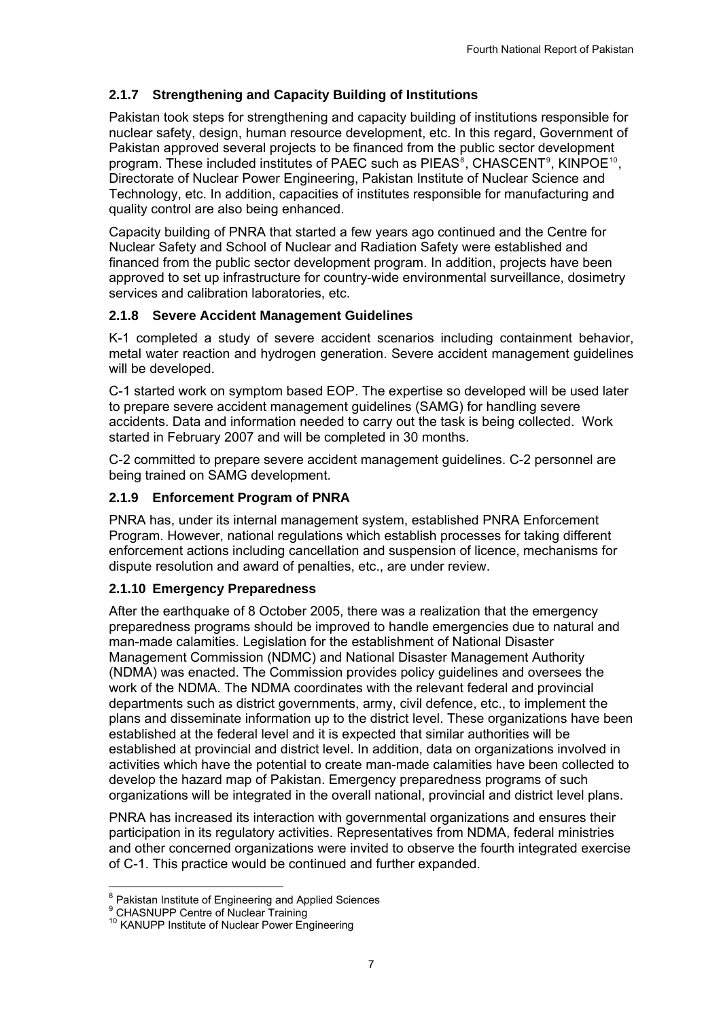#### <span id="page-16-0"></span>**2.1.7 Strengthening and Capacity Building of Institutions**

Pakistan took steps for strengthening and capacity building of institutions responsible for nuclear safety, design, human resource development, etc. In this regard, Government of Pakistan approved several projects to be financed from the public sector development program. These included institutes of PAEC such as PIEAS<sup>[8](#page-16-0)</sup>, CHASCENT<sup>[9](#page-16-0)</sup>, KINPOE<sup>[10](#page-16-0)</sup>, Directorate of Nuclear Power Engineering, Pakistan Institute of Nuclear Science and Technology, etc. In addition, capacities of institutes responsible for manufacturing and quality control are also being enhanced.

Capacity building of PNRA that started a few years ago continued and the Centre for Nuclear Safety and School of Nuclear and Radiation Safety were established and financed from the public sector development program. In addition, projects have been approved to set up infrastructure for country-wide environmental surveillance, dosimetry services and calibration laboratories, etc.

#### **2.1.8 Severe Accident Management Guidelines**

K-1 completed a study of severe accident scenarios including containment behavior, metal water reaction and hydrogen generation. Severe accident management guidelines will be developed.

C-1 started work on symptom based EOP. The expertise so developed will be used later to prepare severe accident management guidelines (SAMG) for handling severe accidents. Data and information needed to carry out the task is being collected. Work started in February 2007 and will be completed in 30 months.

C-2 committed to prepare severe accident management guidelines. C-2 personnel are being trained on SAMG development.

#### **2.1.9 Enforcement Program of PNRA**

PNRA has, under its internal management system, established PNRA Enforcement Program. However, national regulations which establish processes for taking different enforcement actions including cancellation and suspension of licence, mechanisms for dispute resolution and award of penalties, etc., are under review.

#### **2.1.10 Emergency Preparedness**

After the earthquake of 8 October 2005, there was a realization that the emergency preparedness programs should be improved to handle emergencies due to natural and man-made calamities. Legislation for the establishment of National Disaster Management Commission (NDMC) and National Disaster Management Authority (NDMA) was enacted. The Commission provides policy guidelines and oversees the work of the NDMA. The NDMA coordinates with the relevant federal and provincial departments such as district governments, army, civil defence, etc., to implement the plans and disseminate information up to the district level. These organizations have been established at the federal level and it is expected that similar authorities will be established at provincial and district level. In addition, data on organizations involved in activities which have the potential to create man-made calamities have been collected to develop the hazard map of Pakistan. Emergency preparedness programs of such organizations will be integrated in the overall national, provincial and district level plans.

PNRA has increased its interaction with governmental organizations and ensures their participation in its regulatory activities. Representatives from NDMA, federal ministries and other concerned organizations were invited to observe the fourth integrated exercise of C-1. This practice would be continued and further expanded.

**TART CONTROL**<br><sup>8</sup> Pakistan Institute of Engineering and Applied Sciences<br>9 CHASNLIPP Centre of Nuclear Training

<sup>&</sup>lt;sup>9</sup> CHASNUPP Centre of Nuclear Training

<sup>&</sup>lt;sup>10</sup> KANUPP Institute of Nuclear Power Engineering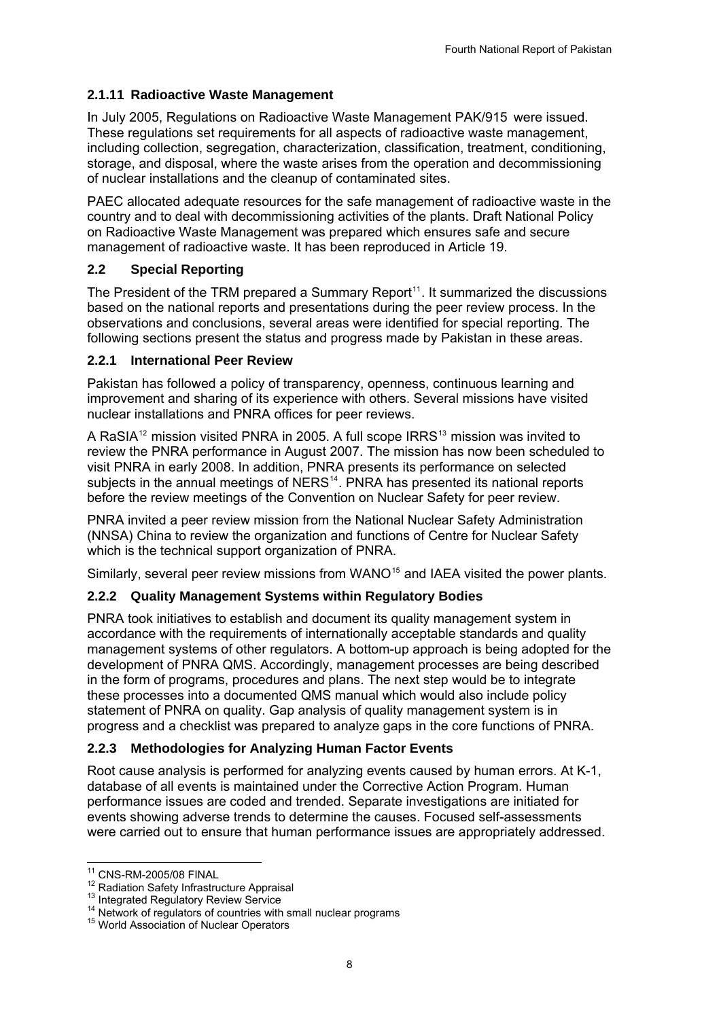#### <span id="page-17-0"></span>**2.1.11 Radioactive Waste Management**

In July 2005, Regulations on Radioactive Waste Management PAK/915 were issued. These regulations set requirements for all aspects of radioactive waste management, including collection, segregation, characterization, classification, treatment, conditioning, storage, and disposal, where the waste arises from the operation and decommissioning of nuclear installations and the cleanup of contaminated sites.

PAEC allocated adequate resources for the safe management of radioactive waste in the country and to deal with decommissioning activities of the plants. Draft National Policy on Radioactive Waste Management was prepared which ensures safe and secure management of radioactive waste. It has been reproduced in Article 19.

#### **2.2 Special Reporting**

The President of the TRM prepared a Summary Report<sup>[11](#page-17-0)</sup>. It summarized the discussions based on the national reports and presentations during the peer review process. In the observations and conclusions, several areas were identified for special reporting. The following sections present the status and progress made by Pakistan in these areas.

#### **2.2.1 International Peer Review**

Pakistan has followed a policy of transparency, openness, continuous learning and improvement and sharing of its experience with others. Several missions have visited nuclear installations and PNRA offices for peer reviews.

A RaSIA<sup>[12](#page-17-0)</sup> mission visited PNRA in 2005. A full scope IRRS<sup>[13](#page-17-0)</sup> mission was invited to review the PNRA performance in August 2007. The mission has now been scheduled to visit PNRA in early 2008. In addition, PNRA presents its performance on selected subjects in the annual meetings of NERS<sup>[14](#page-17-0)</sup>. PNRA has presented its national reports before the review meetings of the Convention on Nuclear Safety for peer review.

PNRA invited a peer review mission from the National Nuclear Safety Administration (NNSA) China to review the organization and functions of Centre for Nuclear Safety which is the technical support organization of PNRA.

Similarly, several peer review missions from WANO<sup>[15](#page-17-0)</sup> and IAEA visited the power plants.

#### **2.2.2 Quality Management Systems within Regulatory Bodies**

PNRA took initiatives to establish and document its quality management system in accordance with the requirements of internationally acceptable standards and quality management systems of other regulators. A bottom-up approach is being adopted for the development of PNRA QMS. Accordingly, management processes are being described in the form of programs, procedures and plans. The next step would be to integrate these processes into a documented QMS manual which would also include policy statement of PNRA on quality. Gap analysis of quality management system is in progress and a checklist was prepared to analyze gaps in the core functions of PNRA.

#### **2.2.3 Methodologies for Analyzing Human Factor Events**

Root cause analysis is performed for analyzing events caused by human errors. At K-1, database of all events is maintained under the Corrective Action Program. Human performance issues are coded and trended. Separate investigations are initiated for events showing adverse trends to determine the causes. Focused self-assessments were carried out to ensure that human performance issues are appropriately addressed.

<sup>&</sup>lt;sup>11</sup> CNS-RM-2005/08 FINAL

<sup>12</sup> Radiation Safety Infrastructure Appraisal<br>
<sup>13</sup> Integrated Regulatory Review Service<br>
<sup>14</sup> Network of regulators of countries with small nuclear programs<br>
<sup>15</sup> World Association of Nuclear Operators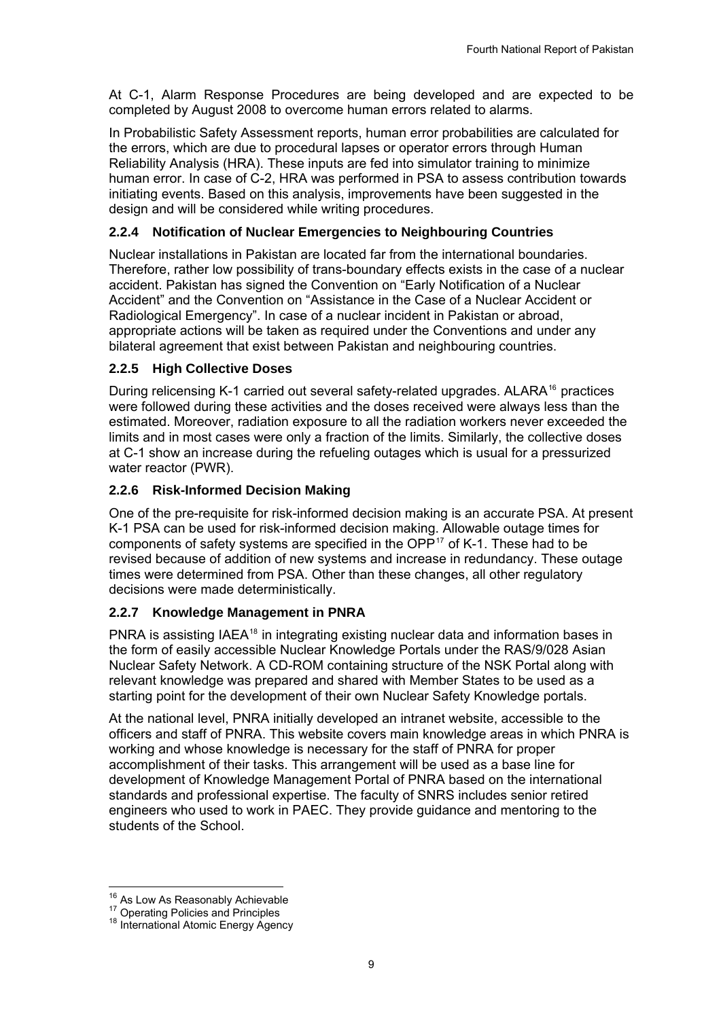<span id="page-18-0"></span>At C-1, Alarm Response Procedures are being developed and are expected to be completed by August 2008 to overcome human errors related to alarms.

In Probabilistic Safety Assessment reports, human error probabilities are calculated for the errors, which are due to procedural lapses or operator errors through Human Reliability Analysis (HRA). These inputs are fed into simulator training to minimize human error. In case of C-2, HRA was performed in PSA to assess contribution towards initiating events. Based on this analysis, improvements have been suggested in the design and will be considered while writing procedures.

#### **2.2.4 Notification of Nuclear Emergencies to Neighbouring Countries**

Nuclear installations in Pakistan are located far from the international boundaries. Therefore, rather low possibility of trans-boundary effects exists in the case of a nuclear accident. Pakistan has signed the Convention on "Early Notification of a Nuclear Accident" and the Convention on "Assistance in the Case of a Nuclear Accident or Radiological Emergency". In case of a nuclear incident in Pakistan or abroad, appropriate actions will be taken as required under the Conventions and under any bilateral agreement that exist between Pakistan and neighbouring countries.

#### **2.2.5 High Collective Doses**

During relicensing K-1 carried out several safety-related upgrades. ALARA<sup>[16](#page-18-0)</sup> practices were followed during these activities and the doses received were always less than the estimated. Moreover, radiation exposure to all the radiation workers never exceeded the limits and in most cases were only a fraction of the limits. Similarly, the collective doses at C-1 show an increase during the refueling outages which is usual for a pressurized water reactor (PWR).

#### **2.2.6 Risk-Informed Decision Making**

One of the pre-requisite for risk-informed decision making is an accurate PSA. At present K-1 PSA can be used for risk-informed decision making. Allowable outage times for components of safety systems are specified in the OPP<sup>[17](#page-18-0)</sup> of K-1. These had to be revised because of addition of new systems and increase in redundancy. These outage times were determined from PSA. Other than these changes, all other regulatory decisions were made deterministically.

#### **2.2.7 Knowledge Management in PNRA**

PNRA is assisting IAEA<sup>[18](#page-18-0)</sup> in integrating existing nuclear data and information bases in the form of easily accessible Nuclear Knowledge Portals under the RAS/9/028 Asian Nuclear Safety Network. A CD-ROM containing structure of the NSK Portal along with relevant knowledge was prepared and shared with Member States to be used as a starting point for the development of their own Nuclear Safety Knowledge portals.

At the national level, PNRA initially developed an intranet website, accessible to the officers and staff of PNRA. This website covers main knowledge areas in which PNRA is working and whose knowledge is necessary for the staff of PNRA for proper accomplishment of their tasks. This arrangement will be used as a base line for development of Knowledge Management Portal of PNRA based on the international standards and professional expertise. The faculty of SNRS includes senior retired engineers who used to work in PAEC. They provide guidance and mentoring to the students of the School.

<sup>&</sup>lt;sup>16</sup> As Low As Reasonably Achievable

<sup>17</sup> Operating Policies and Principles<br><sup>18</sup> International Atomic Energy Agency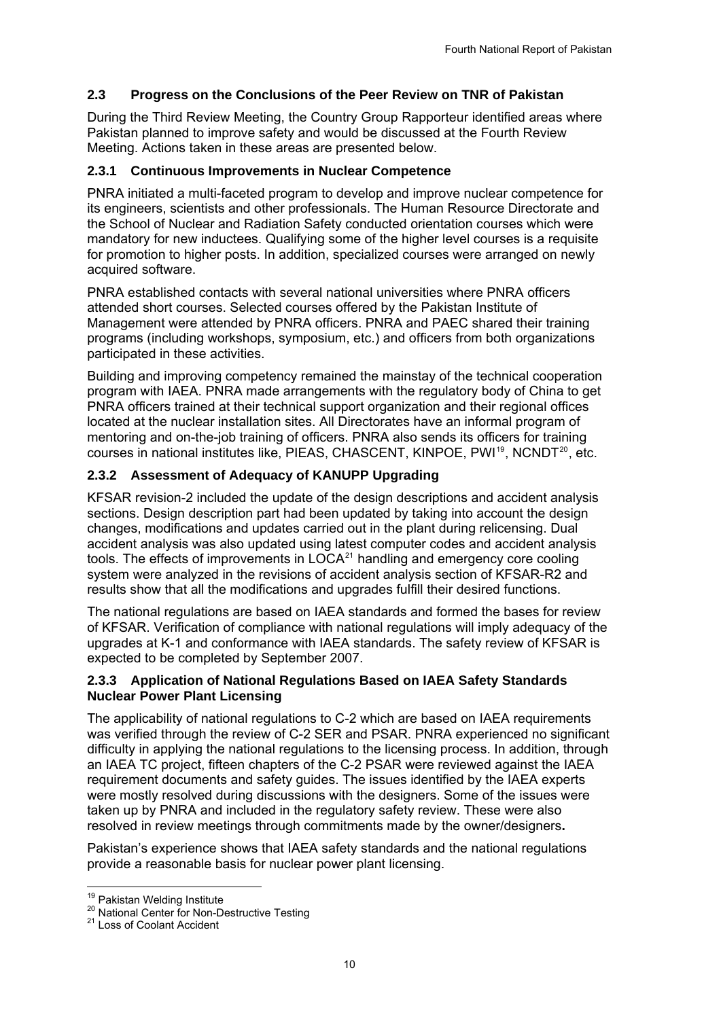#### <span id="page-19-0"></span>**2.3 Progress on the Conclusions of the Peer Review on TNR of Pakistan**

During the Third Review Meeting, the Country Group Rapporteur identified areas where Pakistan planned to improve safety and would be discussed at the Fourth Review Meeting. Actions taken in these areas are presented below.

#### **2.3.1 Continuous Improvements in Nuclear Competence**

PNRA initiated a multi-faceted program to develop and improve nuclear competence for its engineers, scientists and other professionals. The Human Resource Directorate and the School of Nuclear and Radiation Safety conducted orientation courses which were mandatory for new inductees. Qualifying some of the higher level courses is a requisite for promotion to higher posts. In addition, specialized courses were arranged on newly acquired software.

PNRA established contacts with several national universities where PNRA officers attended short courses. Selected courses offered by the Pakistan Institute of Management were attended by PNRA officers. PNRA and PAEC shared their training programs (including workshops, symposium, etc.) and officers from both organizations participated in these activities.

Building and improving competency remained the mainstay of the technical cooperation program with IAEA. PNRA made arrangements with the regulatory body of China to get PNRA officers trained at their technical support organization and their regional offices located at the nuclear installation sites. All Directorates have an informal program of mentoring and on-the-job training of officers. PNRA also sends its officers for training courses in national institutes like, PIEAS, CHASCENT, KINPOE, PWI<sup>[19](#page-19-0)</sup>, NCNDT<sup>[20](#page-19-0)</sup>, etc.

#### **2.3.2 Assessment of Adequacy of KANUPP Upgrading**

KFSAR revision-2 included the update of the design descriptions and accident analysis sections. Design description part had been updated by taking into account the design changes, modifications and updates carried out in the plant during relicensing. Dual accident analysis was also updated using latest computer codes and accident analysis tools. The effects of improvements in  $LOCA<sup>21</sup>$  $LOCA<sup>21</sup>$  $LOCA<sup>21</sup>$  handling and emergency core cooling system were analyzed in the revisions of accident analysis section of KFSAR-R2 and results show that all the modifications and upgrades fulfill their desired functions.

The national regulations are based on IAEA standards and formed the bases for review of KFSAR. Verification of compliance with national regulations will imply adequacy of the upgrades at K-1 and conformance with IAEA standards. The safety review of KFSAR is expected to be completed by September 2007.

#### **2.3.3 Application of National Regulations Based on IAEA Safety Standards Nuclear Power Plant Licensing**

The applicability of national regulations to C-2 which are based on IAEA requirements was verified through the review of C-2 SER and PSAR. PNRA experienced no significant difficulty in applying the national regulations to the licensing process. In addition, through an IAEA TC project, fifteen chapters of the C-2 PSAR were reviewed against the IAEA requirement documents and safety guides. The issues identified by the IAEA experts were mostly resolved during discussions with the designers. Some of the issues were taken up by PNRA and included in the regulatory safety review. These were also resolved in review meetings through commitments made by the owner/designers**.** 

Pakistan's experience shows that IAEA safety standards and the national regulations provide a reasonable basis for nuclear power plant licensing.

<sup>&</sup>lt;sup>19</sup> Pakistan Welding Institute

<sup>20</sup> National Center for Non-Destructive Testing<br><sup>21</sup> Loss of Coolant Accident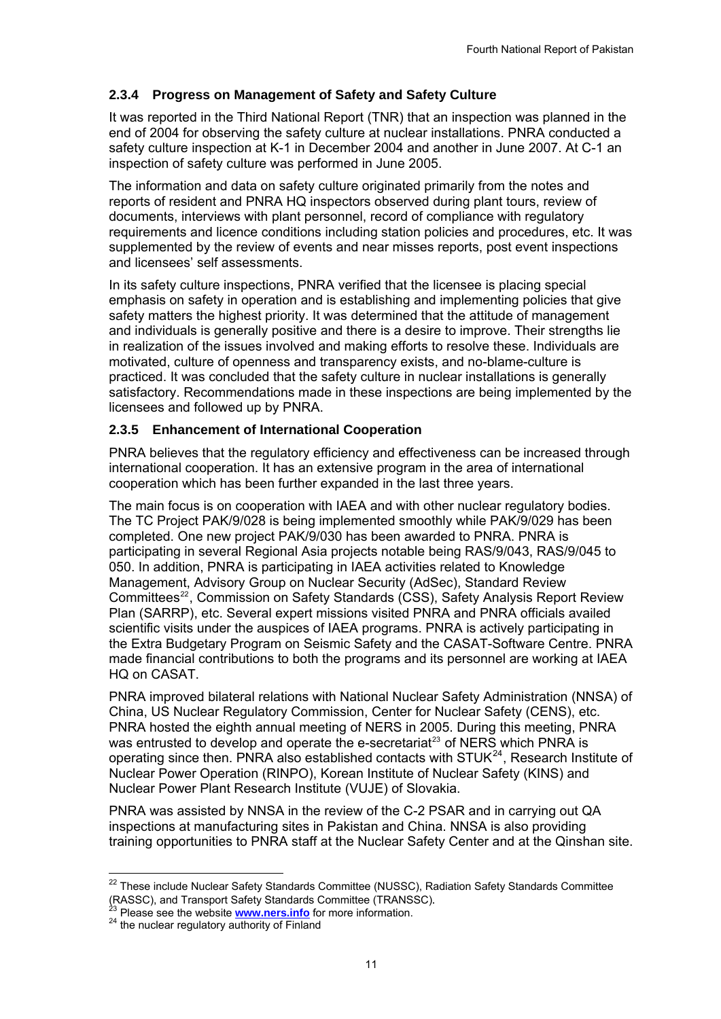#### <span id="page-20-0"></span>**2.3.4 Progress on Management of Safety and Safety Culture**

It was reported in the Third National Report (TNR) that an inspection was planned in the end of 2004 for observing the safety culture at nuclear installations. PNRA conducted a safety culture inspection at K-1 in December 2004 and another in June 2007. At C-1 an inspection of safety culture was performed in June 2005.

The information and data on safety culture originated primarily from the notes and reports of resident and PNRA HQ inspectors observed during plant tours, review of documents, interviews with plant personnel, record of compliance with regulatory requirements and licence conditions including station policies and procedures, etc. It was supplemented by the review of events and near misses reports, post event inspections and licensees' self assessments.

In its safety culture inspections, PNRA verified that the licensee is placing special emphasis on safety in operation and is establishing and implementing policies that give safety matters the highest priority. It was determined that the attitude of management and individuals is generally positive and there is a desire to improve. Their strengths lie in realization of the issues involved and making efforts to resolve these. Individuals are motivated, culture of openness and transparency exists, and no-blame-culture is practiced. It was concluded that the safety culture in nuclear installations is generally satisfactory. Recommendations made in these inspections are being implemented by the licensees and followed up by PNRA.

#### **2.3.5 Enhancement of International Cooperation**

PNRA believes that the regulatory efficiency and effectiveness can be increased through international cooperation. It has an extensive program in the area of international cooperation which has been further expanded in the last three years.

The main focus is on cooperation with IAEA and with other nuclear regulatory bodies. The TC Project PAK/9/028 is being implemented smoothly while PAK/9/029 has been completed. One new project PAK/9/030 has been awarded to PNRA. PNRA is participating in several Regional Asia projects notable being RAS/9/043, RAS/9/045 to 050. In addition, PNRA is participating in IAEA activities related to Knowledge Management, Advisory Group on Nuclear Security (AdSec), Standard Review Committees<sup>[22](#page-20-0)</sup>, Commission on Safety Standards (CSS), Safety Analysis Report Review Plan (SARRP), etc. Several expert missions visited PNRA and PNRA officials availed scientific visits under the auspices of IAEA programs. PNRA is actively participating in the Extra Budgetary Program on Seismic Safety and the CASAT-Software Centre. PNRA made financial contributions to both the programs and its personnel are working at IAEA HQ on CASAT.

PNRA improved bilateral relations with National Nuclear Safety Administration (NNSA) of China, US Nuclear Regulatory Commission, Center for Nuclear Safety (CENS), etc. PNRA hosted the eighth annual meeting of NERS in 2005. During this meeting, PNRA was entrusted to develop and operate the e-secretariat<sup>[23](#page-20-0)</sup> of NERS which PNRA is operating since then. PNRA also established contacts with  $STUK^{24}$  $STUK^{24}$  $STUK^{24}$ . Research Institute of Nuclear Power Operation (RINPO), Korean Institute of Nuclear Safety (KINS) and Nuclear Power Plant Research Institute (VUJE) of Slovakia.

PNRA was assisted by NNSA in the review of the C-2 PSAR and in carrying out QA inspections at manufacturing sites in Pakistan and China. NNSA is also providing training opportunities to PNRA staff at the Nuclear Safety Center and at the Qinshan site.

<sup>1</sup>  $22$  These include Nuclear Safety Standards Committee (NUSSC), Radiation Safety Standards Committee (RASSC), and Transport Safety Standards Committee (TRANSSC). 23 Please see the website **www.ners.info**for more information. 24 the nuclear regulatory a[uthority of Finlan](http://www.ners.info/)d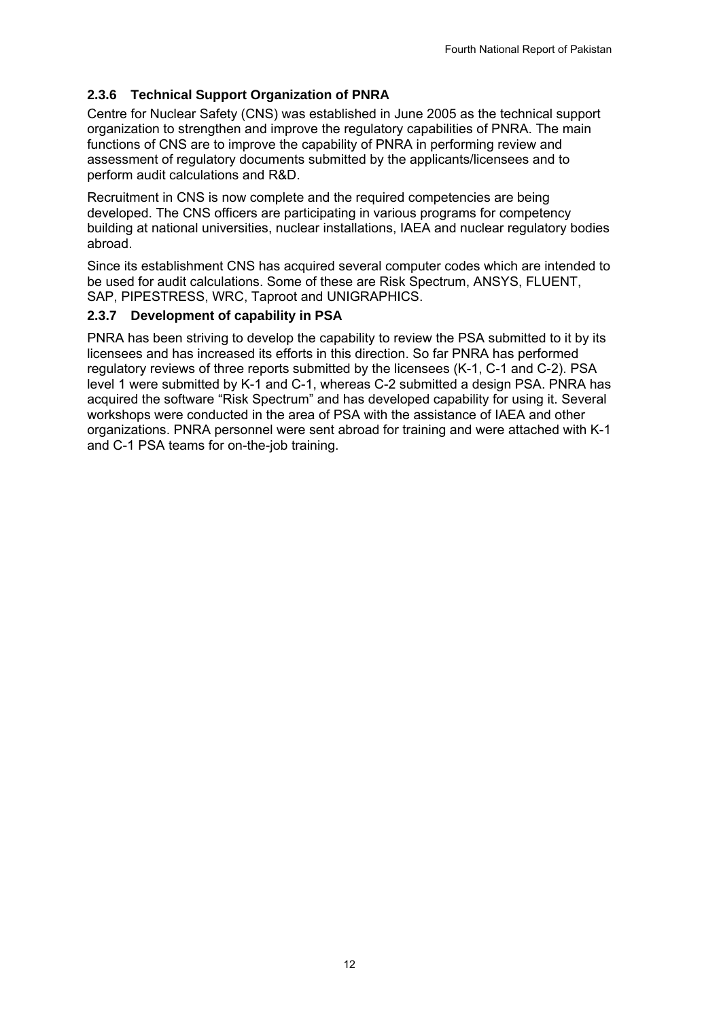#### **2.3.6 Technical Support Organization of PNRA**

Centre for Nuclear Safety (CNS) was established in June 2005 as the technical support organization to strengthen and improve the regulatory capabilities of PNRA. The main functions of CNS are to improve the capability of PNRA in performing review and assessment of regulatory documents submitted by the applicants/licensees and to perform audit calculations and R&D.

Recruitment in CNS is now complete and the required competencies are being developed. The CNS officers are participating in various programs for competency building at national universities, nuclear installations, IAEA and nuclear regulatory bodies abroad.

Since its establishment CNS has acquired several computer codes which are intended to be used for audit calculations. Some of these are Risk Spectrum, ANSYS, FLUENT, SAP, PIPESTRESS, WRC, Taproot and UNIGRAPHICS.

#### **2.3.7 Development of capability in PSA**

PNRA has been striving to develop the capability to review the PSA submitted to it by its licensees and has increased its efforts in this direction. So far PNRA has performed regulatory reviews of three reports submitted by the licensees (K-1, C-1 and C-2). PSA level 1 were submitted by K-1 and C-1, whereas C-2 submitted a design PSA. PNRA has acquired the software "Risk Spectrum" and has developed capability for using it. Several workshops were conducted in the area of PSA with the assistance of IAEA and other organizations. PNRA personnel were sent abroad for training and were attached with K-1 and C-1 PSA teams for on-the-job training.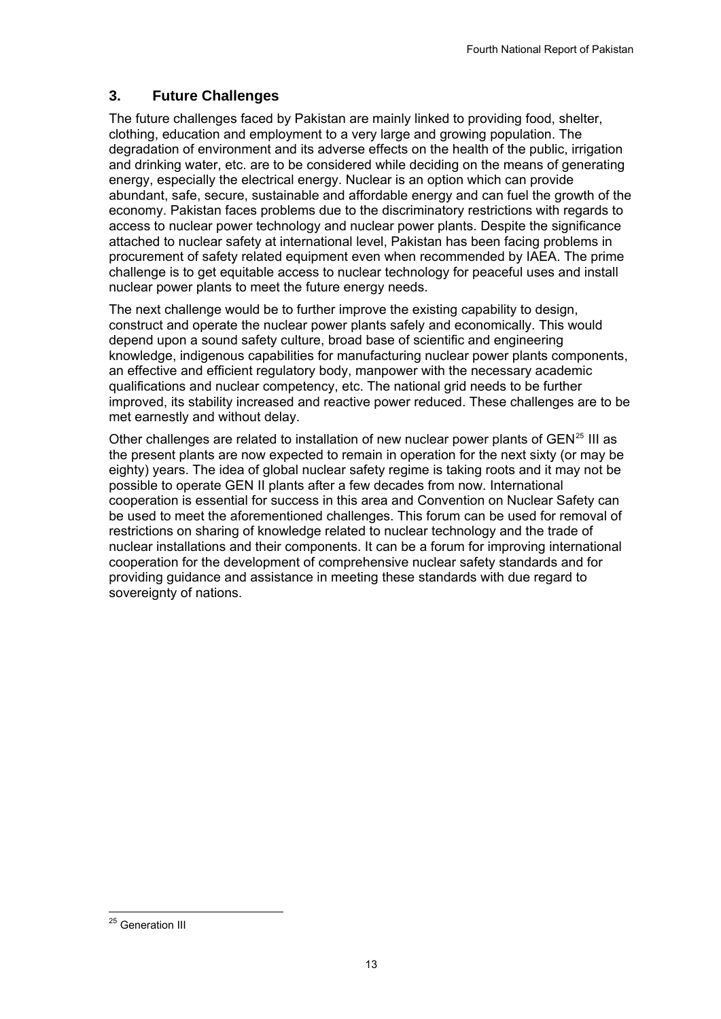### <span id="page-22-0"></span>**3. Future Challenges**

The future challenges faced by Pakistan are mainly linked to providing food, shelter, clothing, education and employment to a very large and growing population. The degradation of environment and its adverse effects on the health of the public, irrigation and drinking water, etc. are to be considered while deciding on the means of generating energy, especially the electrical energy. Nuclear is an option which can provide abundant, safe, secure, sustainable and affordable energy and can fuel the growth of the economy. Pakistan faces problems due to the discriminatory restrictions with regards to access to nuclear power technology and nuclear power plants. Despite the significance attached to nuclear safety at international level, Pakistan has been facing problems in procurement of safety related equipment even when recommended by IAEA. The prime challenge is to get equitable access to nuclear technology for peaceful uses and install nuclear power plants to meet the future energy needs.

The next challenge would be to further improve the existing capability to design, construct and operate the nuclear power plants safely and economically. This would depend upon a sound safety culture, broad base of scientific and engineering knowledge, indigenous capabilities for manufacturing nuclear power plants components, an effective and efficient regulatory body, manpower with the necessary academic qualifications and nuclear competency, etc. The national grid needs to be further improved, its stability increased and reactive power reduced. These challenges are to be met earnestly and without delay.

Other challenges are related to installation of new nuclear power plants of  $GEN^{25}$  $GEN^{25}$  $GEN^{25}$  III as the present plants are now expected to remain in operation for the next sixty (or may be eighty) years. The idea of global nuclear safety regime is taking roots and it may not be possible to operate GEN II plants after a few decades from now. International cooperation is essential for success in this area and Convention on Nuclear Safety can be used to meet the aforementioned challenges. This forum can be used for removal of restrictions on sharing of knowledge related to nuclear technology and the trade of nuclear installations and their components. It can be a forum for improving international cooperation for the development of comprehensive nuclear safety standards and for providing guidance and assistance in meeting these standards with due regard to sovereignty of nations.

<sup>1</sup> <sup>25</sup> Generation III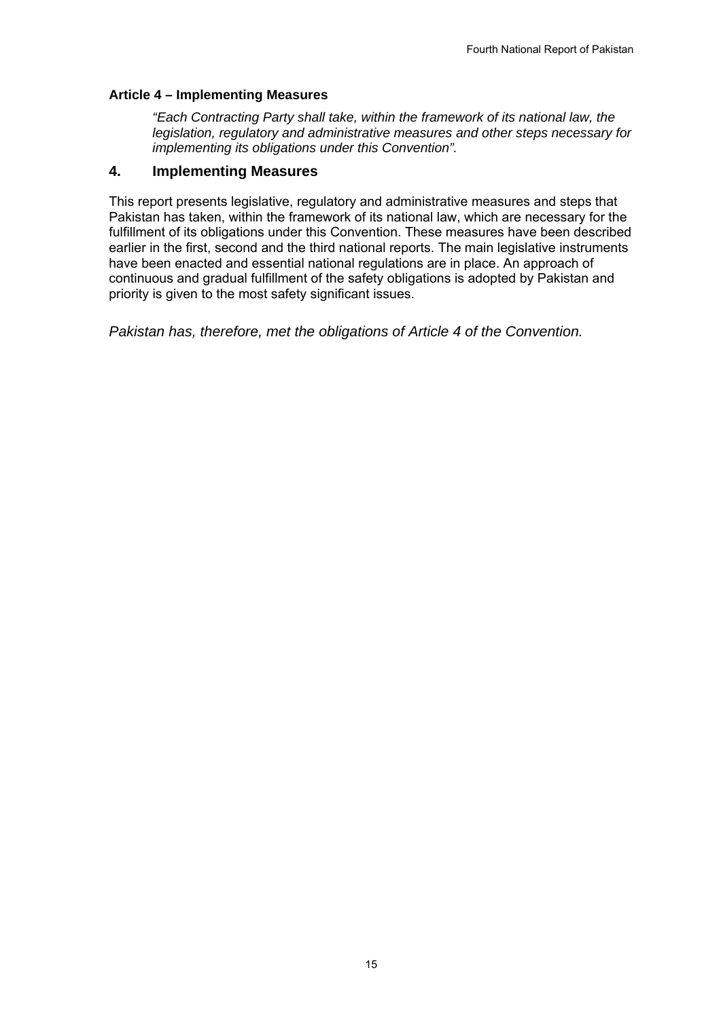#### <span id="page-24-0"></span>**Article 4 – Implementing Measures**

*"Each Contracting Party shall take, within the framework of its national law, the legislation, regulatory and administrative measures and other steps necessary for implementing its obligations under this Convention".* 

#### **4. Implementing Measures**

This report presents legislative, regulatory and administrative measures and steps that Pakistan has taken, within the framework of its national law, which are necessary for the fulfillment of its obligations under this Convention. These measures have been described earlier in the first, second and the third national reports. The main legislative instruments have been enacted and essential national regulations are in place. An approach of continuous and gradual fulfillment of the safety obligations is adopted by Pakistan and priority is given to the most safety significant issues.

*Pakistan has, therefore, met the obligations of Article 4 of the Convention.*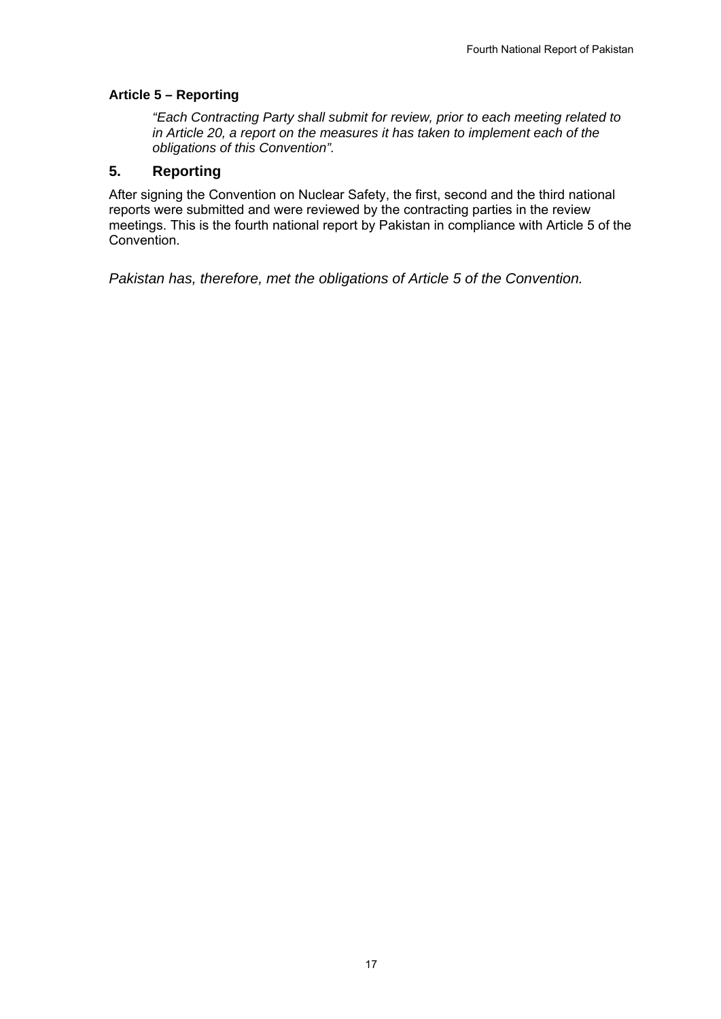#### <span id="page-26-0"></span>**Article 5 – Reporting**

*"Each Contracting Party shall submit for review, prior to each meeting related to in Article 20, a report on the measures it has taken to implement each of the obligations of this Convention".* 

#### **5. Reporting**

After signing the Convention on Nuclear Safety, the first, second and the third national reports were submitted and were reviewed by the contracting parties in the review meetings. This is the fourth national report by Pakistan in compliance with Article 5 of the Convention.

*Pakistan has, therefore, met the obligations of Article 5 of the Convention.*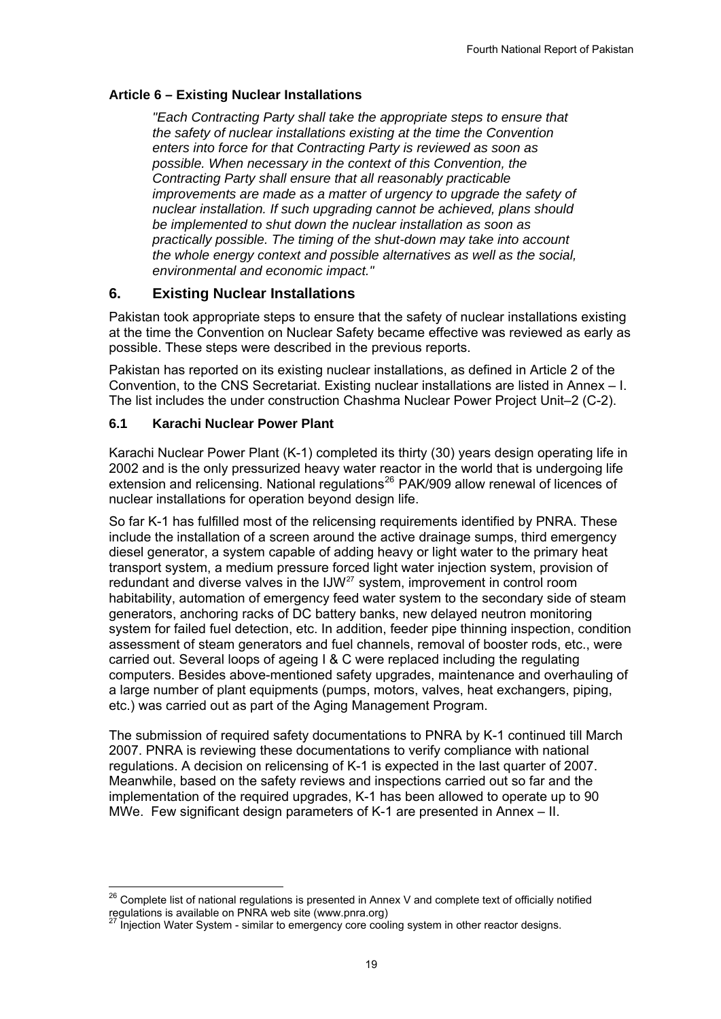#### <span id="page-28-0"></span>**Article 6 – Existing Nuclear Installations**

*"Each Contracting Party shall take the appropriate steps to ensure that the safety of nuclear installations existing at the time the Convention enters into force for that Contracting Party is reviewed as soon as possible. When necessary in the context of this Convention, the Contracting Party shall ensure that all reasonably practicable improvements are made as a matter of urgency to upgrade the safety of nuclear installation. If such upgrading cannot be achieved, plans should be implemented to shut down the nuclear installation as soon as practically possible. The timing of the shut-down may take into account the whole energy context and possible alternatives as well as the social, environmental and economic impact."*

#### **6. Existing Nuclear Installations**

Pakistan took appropriate steps to ensure that the safety of nuclear installations existing at the time the Convention on Nuclear Safety became effective was reviewed as early as possible. These steps were described in the previous reports.

Pakistan has reported on its existing nuclear installations, as defined in Article 2 of the Convention, to the CNS Secretariat. Existing nuclear installations are listed in Annex – I. The list includes the under construction Chashma Nuclear Power Project Unit–2 (C-2).

#### **6.1 Karachi Nuclear Power Plant**

<u>.</u>

Karachi Nuclear Power Plant (K-1) completed its thirty (30) years design operating life in 2002 and is the only pressurized heavy water reactor in the world that is undergoing life extension and relicensing. National regulations<sup>[26](#page-28-0)</sup> PAK/909 allow renewal of licences of nuclear installations for operation beyond design life.

So far K-1 has fulfilled most of the relicensing requirements identified by PNRA. These include the installation of a screen around the active drainage sumps, third emergency diesel generator, a system capable of adding heavy or light water to the primary heat transport system, a medium pressure forced light water injection system, provision of redundant and diverse valves in the IJW<sup>[27](#page-28-0)</sup> system, improvement in control room habitability, automation of emergency feed water system to the secondary side of steam generators, anchoring racks of DC battery banks, new delayed neutron monitoring system for failed fuel detection, etc. In addition, feeder pipe thinning inspection, condition assessment of steam generators and fuel channels, removal of booster rods, etc., were carried out. Several loops of ageing I & C were replaced including the regulating computers. Besides above-mentioned safety upgrades, maintenance and overhauling of a large number of plant equipments (pumps, motors, valves, heat exchangers, piping, etc.) was carried out as part of the Aging Management Program.

The submission of required safety documentations to PNRA by K-1 continued till March 2007. PNRA is reviewing these documentations to verify compliance with national regulations. A decision on relicensing of K-1 is expected in the last quarter of 2007. Meanwhile, based on the safety reviews and inspections carried out so far and the implementation of the required upgrades, K-1 has been allowed to operate up to 90 MWe. Few significant design parameters of K-1 are presented in Annex – II.

 $^{26}$  Complete list of national regulations is presented in Annex V and complete text of officially notified regulations is available on PNRA web site (www.pnra.org)

Injection Water System - similar to emergency core cooling system in other reactor designs.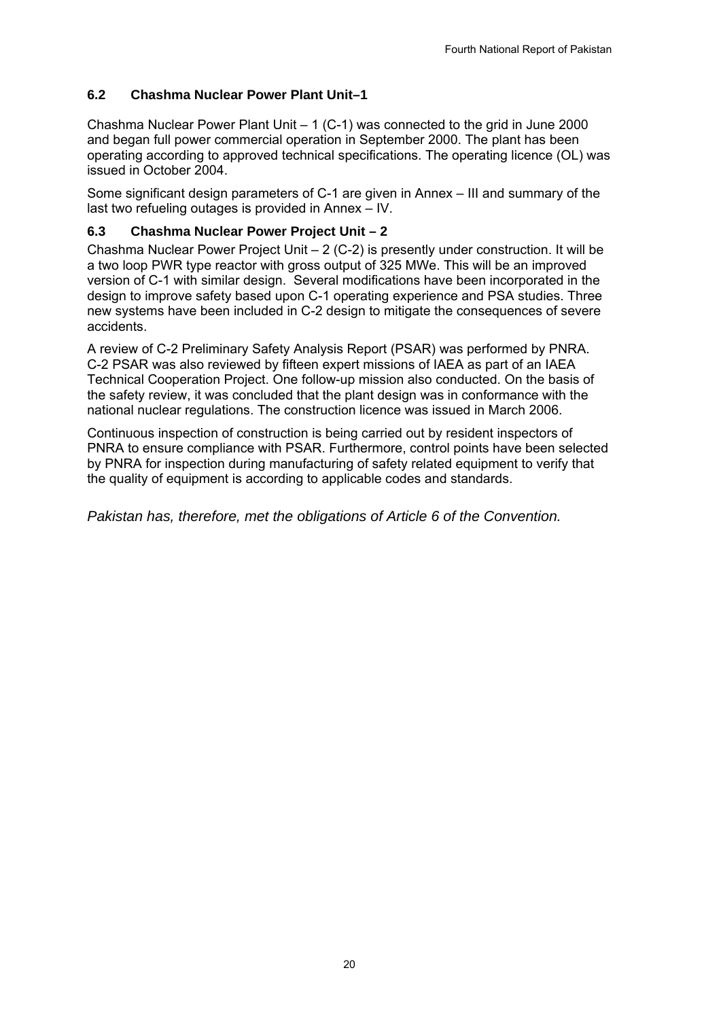#### <span id="page-29-0"></span>**6.2 Chashma Nuclear Power Plant Unit–1**

Chashma Nuclear Power Plant Unit – 1 (C-1) was connected to the grid in June 2000 and began full power commercial operation in September 2000. The plant has been operating according to approved technical specifications. The operating licence (OL) was issued in October 2004.

Some significant design parameters of C-1 are given in Annex – III and summary of the last two refueling outages is provided in Annex – IV.

#### **6.3 Chashma Nuclear Power Project Unit – 2**

Chashma Nuclear Power Project Unit – 2 (C-2) is presently under construction. It will be a two loop PWR type reactor with gross output of 325 MWe. This will be an improved version of C-1 with similar design. Several modifications have been incorporated in the design to improve safety based upon C-1 operating experience and PSA studies. Three new systems have been included in C-2 design to mitigate the consequences of severe accidents.

A review of C-2 Preliminary Safety Analysis Report (PSAR) was performed by PNRA. C-2 PSAR was also reviewed by fifteen expert missions of IAEA as part of an IAEA Technical Cooperation Project. One follow-up mission also conducted. On the basis of the safety review, it was concluded that the plant design was in conformance with the national nuclear regulations. The construction licence was issued in March 2006.

Continuous inspection of construction is being carried out by resident inspectors of PNRA to ensure compliance with PSAR. Furthermore, control points have been selected by PNRA for inspection during manufacturing of safety related equipment to verify that the quality of equipment is according to applicable codes and standards.

*Pakistan has, therefore, met the obligations of Article 6 of the Convention.*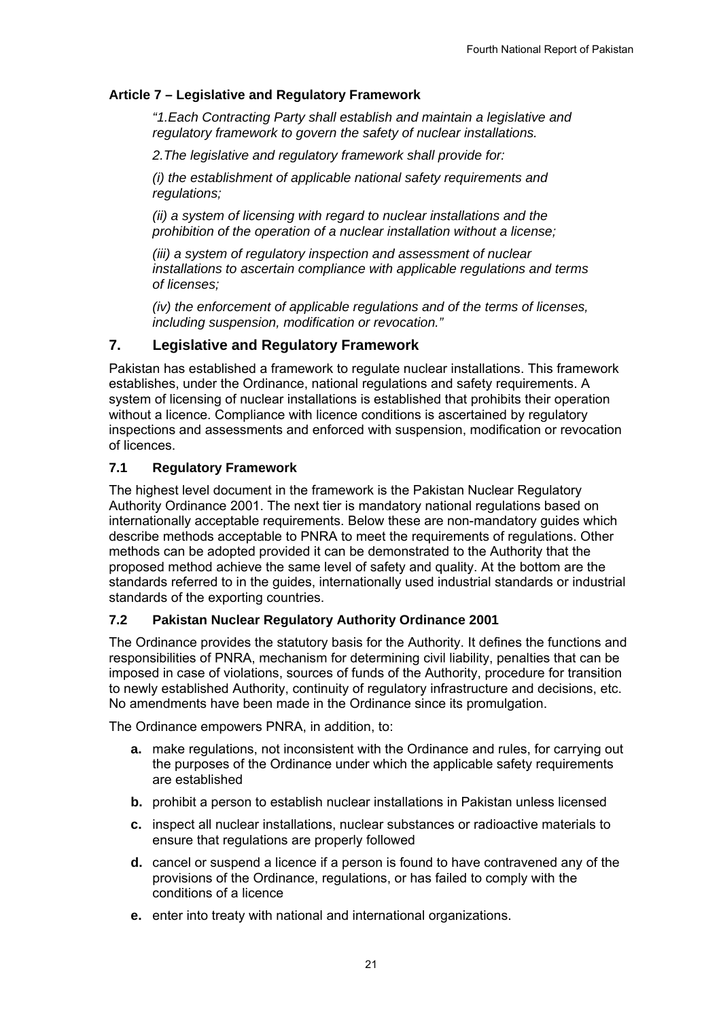#### <span id="page-30-0"></span>**Article 7 – Legislative and Regulatory Framework**

*"1.Each Contracting Party shall establish and maintain a legislative and regulatory framework to govern the safety of nuclear installations.* 

*2.The legislative and regulatory framework shall provide for:* 

*(i) the establishment of applicable national safety requirements and regulations;* 

*(ii) a system of licensing with regard to nuclear installations and the prohibition of the operation of a nuclear installation without a license;* 

*(iii) a system of regulatory inspection and assessment of nuclear installations to ascertain compliance with applicable regulations and terms of licenses;* 

*(iv) the enforcement of applicable regulations and of the terms of licenses, including suspension, modification or revocation."* 

#### **7. Legislative and Regulatory Framework**

Pakistan has established a framework to regulate nuclear installations. This framework establishes, under the Ordinance, national regulations and safety requirements. A system of licensing of nuclear installations is established that prohibits their operation without a licence. Compliance with licence conditions is ascertained by regulatory inspections and assessments and enforced with suspension, modification or revocation of licences.

#### **7.1 Regulatory Framework**

The highest level document in the framework is the Pakistan Nuclear Regulatory Authority Ordinance 2001. The next tier is mandatory national regulations based on internationally acceptable requirements. Below these are non-mandatory guides which describe methods acceptable to PNRA to meet the requirements of regulations. Other methods can be adopted provided it can be demonstrated to the Authority that the proposed method achieve the same level of safety and quality. At the bottom are the standards referred to in the guides, internationally used industrial standards or industrial standards of the exporting countries.

#### **7.2 Pakistan Nuclear Regulatory Authority Ordinance 2001**

The Ordinance provides the statutory basis for the Authority. It defines the functions and responsibilities of PNRA, mechanism for determining civil liability, penalties that can be imposed in case of violations, sources of funds of the Authority, procedure for transition to newly established Authority, continuity of regulatory infrastructure and decisions, etc. No amendments have been made in the Ordinance since its promulgation.

The Ordinance empowers PNRA, in addition, to:

- **a.** make regulations, not inconsistent with the Ordinance and rules, for carrying out the purposes of the Ordinance under which the applicable safety requirements are established
- **b.** prohibit a person to establish nuclear installations in Pakistan unless licensed
- **c.** inspect all nuclear installations, nuclear substances or radioactive materials to ensure that regulations are properly followed
- **d.** cancel or suspend a licence if a person is found to have contravened any of the provisions of the Ordinance, regulations, or has failed to comply with the conditions of a licence
- **e.** enter into treaty with national and international organizations.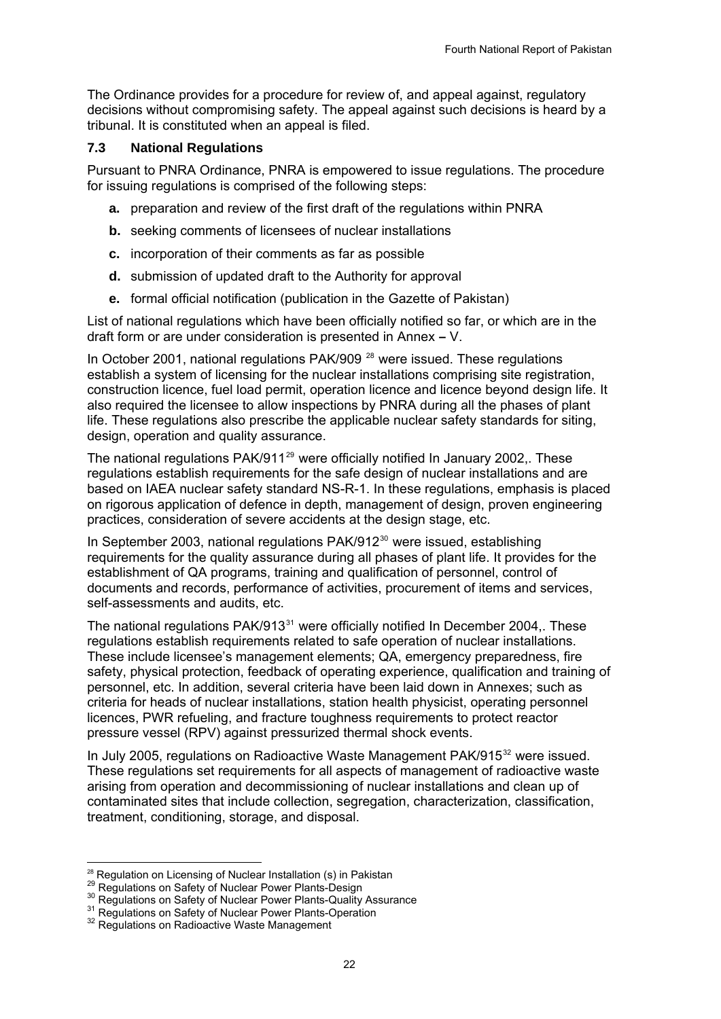<span id="page-31-0"></span>The Ordinance provides for a procedure for review of, and appeal against, regulatory decisions without compromising safety. The appeal against such decisions is heard by a tribunal. It is constituted when an appeal is filed.

#### **7.3 National Regulations**

Pursuant to PNRA Ordinance, PNRA is empowered to issue regulations. The procedure for issuing regulations is comprised of the following steps:

- **a.** preparation and review of the first draft of the regulations within PNRA
- **b.** seeking comments of licensees of nuclear installations
- **c.** incorporation of their comments as far as possible
- **d.** submission of updated draft to the Authority for approval
- **e.** formal official notification (publication in the Gazette of Pakistan)

List of national regulations which have been officially notified so far, or which are in the draft form or are under consideration is presented in Annex **–** V.

In October 2001, national regulations PAK/909<sup>[28](#page-31-0)</sup> were issued. These regulations establish a system of licensing for the nuclear installations comprising site registration, construction licence, fuel load permit, operation licence and licence beyond design life. It also required the licensee to allow inspections by PNRA during all the phases of plant life. These regulations also prescribe the applicable nuclear safety standards for siting, design, operation and quality assurance.

The national regulations PAK/911<sup>[29](#page-31-0)</sup> were officially notified In January 2002. These regulations establish requirements for the safe design of nuclear installations and are based on IAEA nuclear safety standard NS-R-1. In these regulations, emphasis is placed on rigorous application of defence in depth, management of design, proven engineering practices, consideration of severe accidents at the design stage, etc.

In September 2003, national regulations PAK/912<sup>[30](#page-31-0)</sup> were issued, establishing requirements for the quality assurance during all phases of plant life. It provides for the establishment of QA programs, training and qualification of personnel, control of documents and records, performance of activities, procurement of items and services, self-assessments and audits, etc.

The national regulations PAK/913<sup>[31](#page-31-0)</sup> were officially notified In December 2004,. These regulations establish requirements related to safe operation of nuclear installations. These include licensee's management elements; QA, emergency preparedness, fire safety, physical protection, feedback of operating experience, qualification and training of personnel, etc. In addition, several criteria have been laid down in Annexes; such as criteria for heads of nuclear installations, station health physicist, operating personnel licences, PWR refueling, and fracture toughness requirements to protect reactor pressure vessel (RPV) against pressurized thermal shock events.

In July 2005, regulations on Radioactive Waste Management PAK/915<sup>[32](#page-31-0)</sup> were issued. These regulations set requirements for all aspects of management of radioactive waste arising from operation and decommissioning of nuclear installations and clean up of contaminated sites that include collection, segregation, characterization, classification, treatment, conditioning, storage, and disposal.

<sup>&</sup>lt;sup>28</sup> Regulation on Licensing of Nuclear Installation (s) in Pakistan

<sup>&</sup>lt;sup>29</sup> Regulations on Safety of Nuclear Power Plants-Design<br><sup>30</sup> Regulations on Safety of Nuclear Power Plants-Quality Assurance<br><sup>31</sup> Regulations on Safety of Nuclear Power Plants-Operation<br><sup>32</sup> Regulations on Radioactive Wa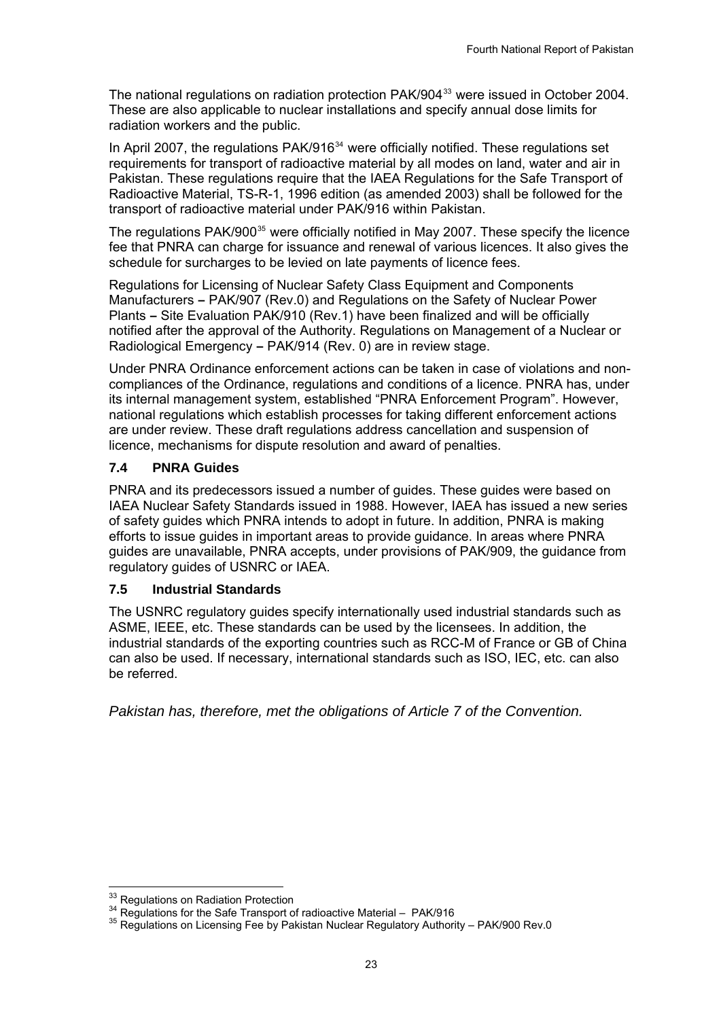<span id="page-32-0"></span>The national regulations on radiation protection PAK/904<sup>[33](#page-32-0)</sup> were issued in October 2004. These are also applicable to nuclear installations and specify annual dose limits for radiation workers and the public.

In April 2007, the regulations  $PAK/916<sup>34</sup>$  $PAK/916<sup>34</sup>$  $PAK/916<sup>34</sup>$  were officially notified. These regulations set requirements for transport of radioactive material by all modes on land, water and air in Pakistan. These regulations require that the IAEA Regulations for the Safe Transport of Radioactive Material, TS-R-1, 1996 edition (as amended 2003) shall be followed for the transport of radioactive material under PAK/916 within Pakistan.

The regulations PAK/900<sup>[35](#page-32-0)</sup> were officially notified in May 2007. These specify the licence fee that PNRA can charge for issuance and renewal of various licences. It also gives the schedule for surcharges to be levied on late payments of licence fees.

Regulations for Licensing of Nuclear Safety Class Equipment and Components Manufacturers **–** PAK/907 (Rev.0) and Regulations on the Safety of Nuclear Power Plants **–** Site Evaluation PAK/910 (Rev.1) have been finalized and will be officially notified after the approval of the Authority. Regulations on Management of a Nuclear or Radiological Emergency **–** PAK/914 (Rev. 0) are in review stage.

Under PNRA Ordinance enforcement actions can be taken in case of violations and noncompliances of the Ordinance, regulations and conditions of a licence. PNRA has, under its internal management system, established "PNRA Enforcement Program". However, national regulations which establish processes for taking different enforcement actions are under review. These draft regulations address cancellation and suspension of licence, mechanisms for dispute resolution and award of penalties.

#### **7.4 PNRA Guides**

PNRA and its predecessors issued a number of guides. These guides were based on IAEA Nuclear Safety Standards issued in 1988. However, IAEA has issued a new series of safety guides which PNRA intends to adopt in future. In addition, PNRA is making efforts to issue guides in important areas to provide guidance. In areas where PNRA guides are unavailable, PNRA accepts, under provisions of PAK/909, the guidance from regulatory guides of USNRC or IAEA.

#### **7.5 Industrial Standards**

The USNRC regulatory guides specify internationally used industrial standards such as ASME, IEEE, etc. These standards can be used by the licensees. In addition, the industrial standards of the exporting countries such as RCC-M of France or GB of China can also be used. If necessary, international standards such as ISO, IEC, etc. can also be referred.

*Pakistan has, therefore, met the obligations of Article 7 of the Convention.* 

<sup>&</sup>lt;sup>33</sup> Regulations on Radiation Protection

<sup>&</sup>lt;sup>34</sup> Regulations for the Safe Transport of radioactive Material – PAK/916<br><sup>35</sup> Regulations on Licensing Fee by Pakistan Nuclear Regulatory Authority – PAK/900 Rev.0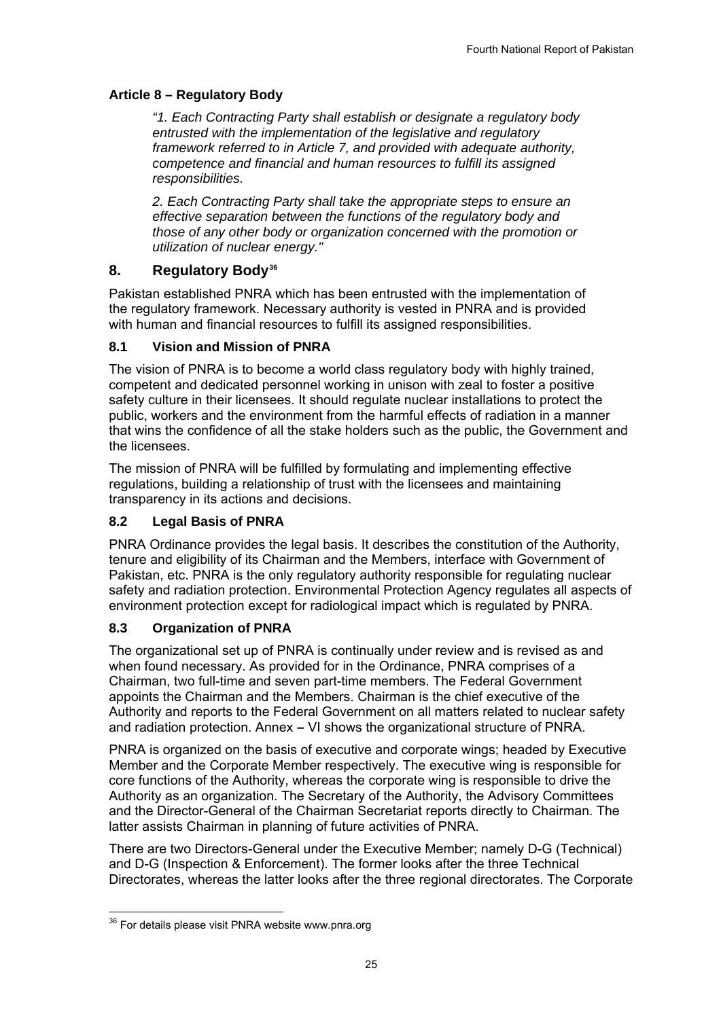#### <span id="page-34-0"></span>**Article 8 – Regulatory Body**

*"1. Each Contracting Party shall establish or designate a regulatory body entrusted with the implementation of the legislative and regulatory framework referred to in Article 7, and provided with adequate authority, competence and financial and human resources to fulfill its assigned responsibilities.* 

*2. Each Contracting Party shall take the appropriate steps to ensure an effective separation between the functions of the regulatory body and those of any other body or organization concerned with the promotion or utilization of nuclear energy."* 

#### **8. Regulatory Bod[y36](#page-34-0)**

Pakistan established PNRA which has been entrusted with the implementation of the regulatory framework. Necessary authority is vested in PNRA and is provided with human and financial resources to fulfill its assigned responsibilities.

#### **8.1 Vision and Mission of PNRA**

The vision of PNRA is to become a world class regulatory body with highly trained, competent and dedicated personnel working in unison with zeal to foster a positive safety culture in their licensees. It should regulate nuclear installations to protect the public, workers and the environment from the harmful effects of radiation in a manner that wins the confidence of all the stake holders such as the public, the Government and the licensees.

The mission of PNRA will be fulfilled by formulating and implementing effective regulations, building a relationship of trust with the licensees and maintaining transparency in its actions and decisions.

#### **8.2 Legal Basis of PNRA**

PNRA Ordinance provides the legal basis. It describes the constitution of the Authority, tenure and eligibility of its Chairman and the Members, interface with Government of Pakistan, etc. PNRA is the only regulatory authority responsible for regulating nuclear safety and radiation protection. Environmental Protection Agency regulates all aspects of environment protection except for radiological impact which is regulated by PNRA.

#### **8.3 Organization of PNRA**

The organizational set up of PNRA is continually under review and is revised as and when found necessary. As provided for in the Ordinance, PNRA comprises of a Chairman, two full-time and seven part-time members. The Federal Government appoints the Chairman and the Members. Chairman is the chief executive of the Authority and reports to the Federal Government on all matters related to nuclear safety and radiation protection. Annex **–** VI shows the organizational structure of PNRA.

PNRA is organized on the basis of executive and corporate wings; headed by Executive Member and the Corporate Member respectively. The executive wing is responsible for core functions of the Authority, whereas the corporate wing is responsible to drive the Authority as an organization. The Secretary of the Authority, the Advisory Committees and the Director-General of the Chairman Secretariat reports directly to Chairman. The latter assists Chairman in planning of future activities of PNRA.

There are two Directors-General under the Executive Member; namely D-G (Technical) and D-G (Inspection & Enforcement). The former looks after the three Technical Directorates, whereas the latter looks after the three regional directorates. The Corporate

<sup>1</sup> <sup>36</sup> For details please visit PNRA website www.pnra.org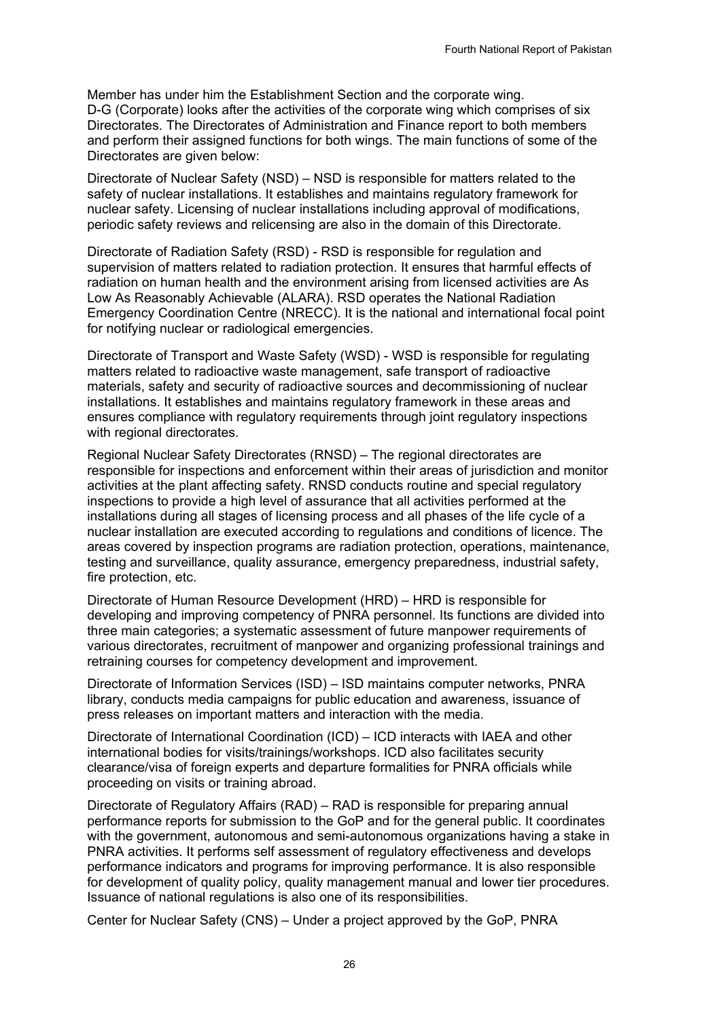Member has under him the Establishment Section and the corporate wing. D-G (Corporate) looks after the activities of the corporate wing which comprises of six Directorates. The Directorates of Administration and Finance report to both members and perform their assigned functions for both wings. The main functions of some of the Directorates are given below:

Directorate of Nuclear Safety (NSD) – NSD is responsible for matters related to the safety of nuclear installations. It establishes and maintains regulatory framework for nuclear safety. Licensing of nuclear installations including approval of modifications, periodic safety reviews and relicensing are also in the domain of this Directorate.

Directorate of Radiation Safety (RSD) - RSD is responsible for regulation and supervision of matters related to radiation protection. It ensures that harmful effects of radiation on human health and the environment arising from licensed activities are As Low As Reasonably Achievable (ALARA). RSD operates the National Radiation Emergency Coordination Centre (NRECC). It is the national and international focal point for notifying nuclear or radiological emergencies.

Directorate of Transport and Waste Safety (WSD) - WSD is responsible for regulating matters related to radioactive waste management, safe transport of radioactive materials, safety and security of radioactive sources and decommissioning of nuclear installations. It establishes and maintains regulatory framework in these areas and ensures compliance with regulatory requirements through joint regulatory inspections with regional directorates.

Regional Nuclear Safety Directorates (RNSD) – The regional directorates are responsible for inspections and enforcement within their areas of jurisdiction and monitor activities at the plant affecting safety. RNSD conducts routine and special regulatory inspections to provide a high level of assurance that all activities performed at the installations during all stages of licensing process and all phases of the life cycle of a nuclear installation are executed according to regulations and conditions of licence. The areas covered by inspection programs are radiation protection, operations, maintenance, testing and surveillance, quality assurance, emergency preparedness, industrial safety, fire protection, etc.

Directorate of Human Resource Development (HRD) – HRD is responsible for developing and improving competency of PNRA personnel. Its functions are divided into three main categories; a systematic assessment of future manpower requirements of various directorates, recruitment of manpower and organizing professional trainings and retraining courses for competency development and improvement.

Directorate of Information Services (ISD) – ISD maintains computer networks, PNRA library, conducts media campaigns for public education and awareness, issuance of press releases on important matters and interaction with the media.

Directorate of International Coordination (ICD) – ICD interacts with IAEA and other international bodies for visits/trainings/workshops. ICD also facilitates security clearance/visa of foreign experts and departure formalities for PNRA officials while proceeding on visits or training abroad.

Directorate of Regulatory Affairs (RAD) – RAD is responsible for preparing annual performance reports for submission to the GoP and for the general public. It coordinates with the government, autonomous and semi-autonomous organizations having a stake in PNRA activities. It performs self assessment of regulatory effectiveness and develops performance indicators and programs for improving performance. It is also responsible for development of quality policy, quality management manual and lower tier procedures. Issuance of national regulations is also one of its responsibilities.

Center for Nuclear Safety (CNS) – Under a project approved by the GoP, PNRA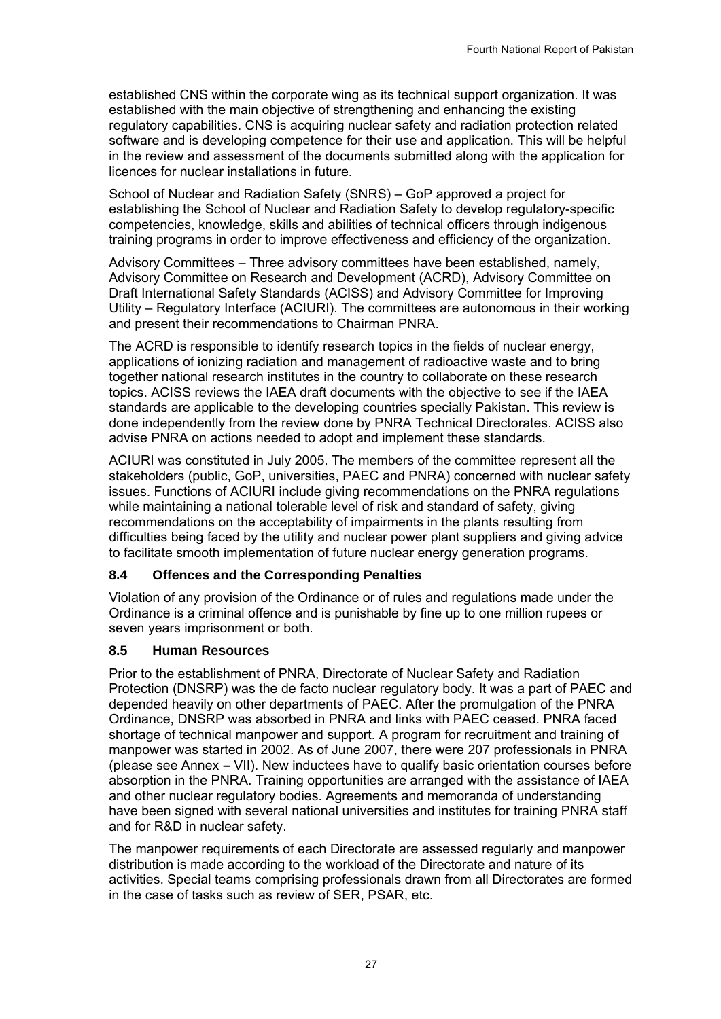established CNS within the corporate wing as its technical support organization. It was established with the main objective of strengthening and enhancing the existing regulatory capabilities. CNS is acquiring nuclear safety and radiation protection related software and is developing competence for their use and application. This will be helpful in the review and assessment of the documents submitted along with the application for licences for nuclear installations in future.

School of Nuclear and Radiation Safety (SNRS) – GoP approved a project for establishing the School of Nuclear and Radiation Safety to develop regulatory-specific competencies, knowledge, skills and abilities of technical officers through indigenous training programs in order to improve effectiveness and efficiency of the organization.

Advisory Committees – Three advisory committees have been established, namely, Advisory Committee on Research and Development (ACRD), Advisory Committee on Draft International Safety Standards (ACISS) and Advisory Committee for Improving Utility – Regulatory Interface (ACIURI). The committees are autonomous in their working and present their recommendations to Chairman PNRA.

The ACRD is responsible to identify research topics in the fields of nuclear energy, applications of ionizing radiation and management of radioactive waste and to bring together national research institutes in the country to collaborate on these research topics. ACISS reviews the IAEA draft documents with the objective to see if the IAEA standards are applicable to the developing countries specially Pakistan. This review is done independently from the review done by PNRA Technical Directorates. ACISS also advise PNRA on actions needed to adopt and implement these standards.

ACIURI was constituted in July 2005. The members of the committee represent all the stakeholders (public, GoP, universities, PAEC and PNRA) concerned with nuclear safety issues. Functions of ACIURI include giving recommendations on the PNRA regulations while maintaining a national tolerable level of risk and standard of safety, giving recommendations on the acceptability of impairments in the plants resulting from difficulties being faced by the utility and nuclear power plant suppliers and giving advice to facilitate smooth implementation of future nuclear energy generation programs.

## **8.4 Offences and the Corresponding Penalties**

Violation of any provision of the Ordinance or of rules and regulations made under the Ordinance is a criminal offence and is punishable by fine up to one million rupees or seven years imprisonment or both.

## **8.5 Human Resources**

Prior to the establishment of PNRA, Directorate of Nuclear Safety and Radiation Protection (DNSRP) was the de facto nuclear regulatory body. It was a part of PAEC and depended heavily on other departments of PAEC. After the promulgation of the PNRA Ordinance, DNSRP was absorbed in PNRA and links with PAEC ceased. PNRA faced shortage of technical manpower and support. A program for recruitment and training of manpower was started in 2002. As of June 2007, there were 207 professionals in PNRA (please see Annex **–** VII). New inductees have to qualify basic orientation courses before absorption in the PNRA. Training opportunities are arranged with the assistance of IAEA and other nuclear regulatory bodies. Agreements and memoranda of understanding have been signed with several national universities and institutes for training PNRA staff and for R&D in nuclear safety.

The manpower requirements of each Directorate are assessed regularly and manpower distribution is made according to the workload of the Directorate and nature of its activities. Special teams comprising professionals drawn from all Directorates are formed in the case of tasks such as review of SER, PSAR, etc.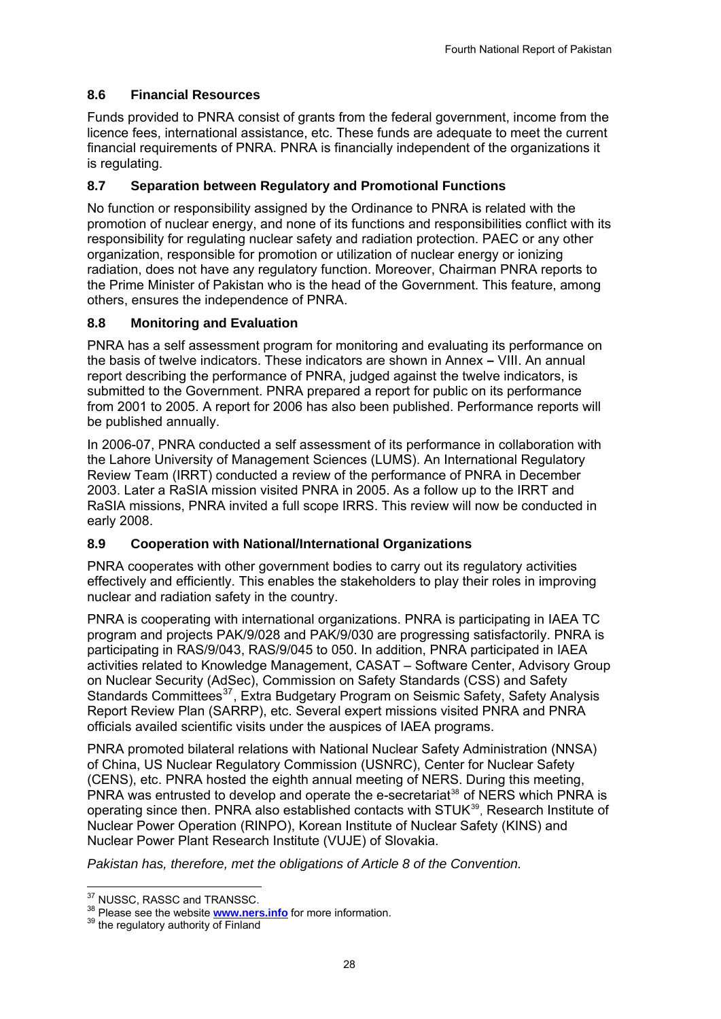### <span id="page-37-0"></span>**8.6 Financial Resources**

Funds provided to PNRA consist of grants from the federal government, income from the licence fees, international assistance, etc. These funds are adequate to meet the current financial requirements of PNRA. PNRA is financially independent of the organizations it is regulating.

### **8.7 Separation between Regulatory and Promotional Functions**

No function or responsibility assigned by the Ordinance to PNRA is related with the promotion of nuclear energy, and none of its functions and responsibilities conflict with its responsibility for regulating nuclear safety and radiation protection. PAEC or any other organization, responsible for promotion or utilization of nuclear energy or ionizing radiation, does not have any regulatory function. Moreover, Chairman PNRA reports to the Prime Minister of Pakistan who is the head of the Government. This feature, among others, ensures the independence of PNRA.

#### **8.8 Monitoring and Evaluation**

PNRA has a self assessment program for monitoring and evaluating its performance on the basis of twelve indicators. These indicators are shown in Annex **–** VIII. An annual report describing the performance of PNRA, judged against the twelve indicators, is submitted to the Government. PNRA prepared a report for public on its performance from 2001 to 2005. A report for 2006 has also been published. Performance reports will be published annually.

In 2006-07, PNRA conducted a self assessment of its performance in collaboration with the Lahore University of Management Sciences (LUMS). An International Regulatory Review Team (IRRT) conducted a review of the performance of PNRA in December 2003. Later a RaSIA mission visited PNRA in 2005. As a follow up to the IRRT and RaSIA missions, PNRA invited a full scope IRRS. This review will now be conducted in early 2008.

#### **8.9 Cooperation with National/International Organizations**

PNRA cooperates with other government bodies to carry out its regulatory activities effectively and efficiently. This enables the stakeholders to play their roles in improving nuclear and radiation safety in the country.

PNRA is cooperating with international organizations. PNRA is participating in IAEA TC program and projects PAK/9/028 and PAK/9/030 are progressing satisfactorily. PNRA is participating in RAS/9/043, RAS/9/045 to 050. In addition, PNRA participated in IAEA activities related to Knowledge Management, CASAT – Software Center, Advisory Group on Nuclear Security (AdSec), Commission on Safety Standards (CSS) and Safety Standards Committees<sup>[37](#page-37-0)</sup>, Extra Budgetary Program on Seismic Safety, Safety Analysis Report Review Plan (SARRP), etc. Several expert missions visited PNRA and PNRA officials availed scientific visits under the auspices of IAEA programs.

PNRA promoted bilateral relations with National Nuclear Safety Administration (NNSA) of China, US Nuclear Regulatory Commission (USNRC), Center for Nuclear Safety (CENS), etc. PNRA hosted the eighth annual meeting of NERS. During this meeting, PNRA was entrusted to develop and operate the e-secretariat<sup>[38](#page-37-0)</sup> of NERS which PNRA is operating since then. PNRA also established contacts with STUK<sup>[39](#page-37-0)</sup>, Research Institute of Nuclear Power Operation (RINPO), Korean Institute of Nuclear Safety (KINS) and Nuclear Power Plant Research Institute (VUJE) of Slovakia.

*Pakistan has, therefore, met the obligations of Article 8 of the Convention.* 

<sup>&</sup>lt;sup>37</sup> NUSSC, RASSC and TRANSSC.

<sup>&</sup>lt;sup>38</sup>Please see the website **www.ners.info** for more information.<br><sup>39</sup> the regulatory authority of Finland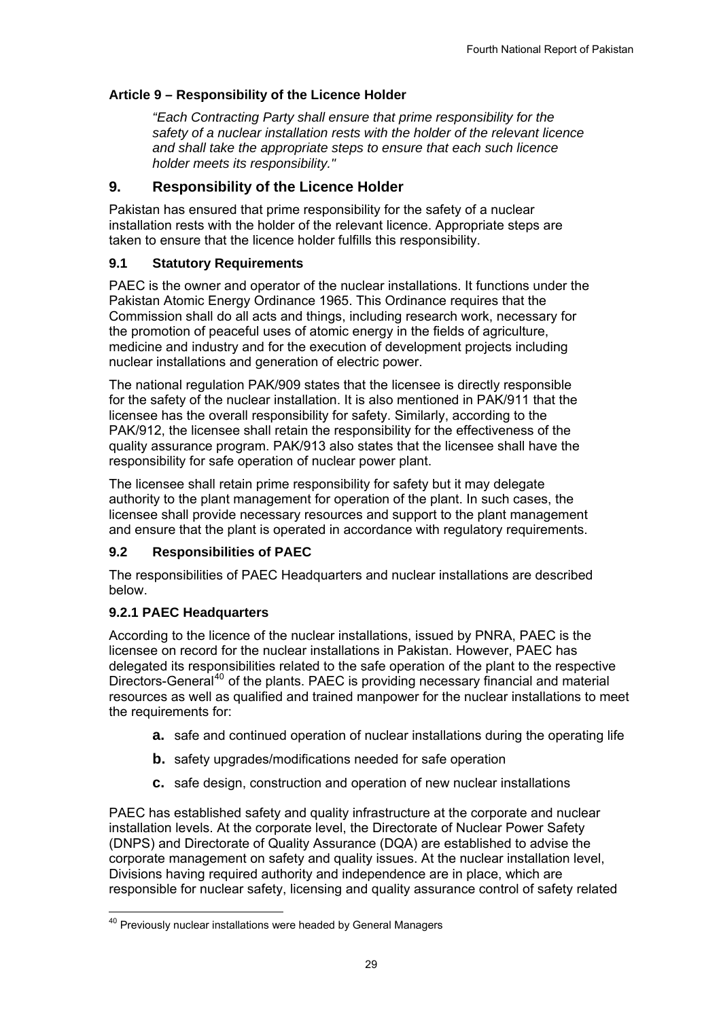## <span id="page-38-0"></span>**Article 9 – Responsibility of the Licence Holder**

*"Each Contracting Party shall ensure that prime responsibility for the safety of a nuclear installation rests with the holder of the relevant licence and shall take the appropriate steps to ensure that each such licence holder meets its responsibility."* 

# **9. Responsibility of the Licence Holder**

Pakistan has ensured that prime responsibility for the safety of a nuclear installation rests with the holder of the relevant licence. Appropriate steps are taken to ensure that the licence holder fulfills this responsibility.

## **9.1 Statutory Requirements**

PAEC is the owner and operator of the nuclear installations. It functions under the Pakistan Atomic Energy Ordinance 1965. This Ordinance requires that the Commission shall do all acts and things, including research work, necessary for the promotion of peaceful uses of atomic energy in the fields of agriculture, medicine and industry and for the execution of development projects including nuclear installations and generation of electric power.

The national regulation PAK/909 states that the licensee is directly responsible for the safety of the nuclear installation. It is also mentioned in PAK/911 that the licensee has the overall responsibility for safety. Similarly, according to the PAK/912, the licensee shall retain the responsibility for the effectiveness of the quality assurance program. PAK/913 also states that the licensee shall have the responsibility for safe operation of nuclear power plant.

The licensee shall retain prime responsibility for safety but it may delegate authority to the plant management for operation of the plant. In such cases, the licensee shall provide necessary resources and support to the plant management and ensure that the plant is operated in accordance with regulatory requirements.

# **9.2 Responsibilities of PAEC**

The responsibilities of PAEC Headquarters and nuclear installations are described below.

## **9.2.1 PAEC Headquarters**

1

According to the licence of the nuclear installations, issued by PNRA, PAEC is the licensee on record for the nuclear installations in Pakistan. However, PAEC has delegated its responsibilities related to the safe operation of the plant to the respective Directors-General<sup>[40](#page-38-0)</sup> of the plants. PAEC is providing necessary financial and material resources as well as qualified and trained manpower for the nuclear installations to meet the requirements for:

- **a.** safe and continued operation of nuclear installations during the operating life
- **b.** safety upgrades/modifications needed for safe operation
- **c.** safe design, construction and operation of new nuclear installations

PAEC has established safety and quality infrastructure at the corporate and nuclear installation levels. At the corporate level, the Directorate of Nuclear Power Safety (DNPS) and Directorate of Quality Assurance (DQA) are established to advise the corporate management on safety and quality issues. At the nuclear installation level, Divisions having required authority and independence are in place, which are responsible for nuclear safety, licensing and quality assurance control of safety related

 $40$  Previously nuclear installations were headed by General Managers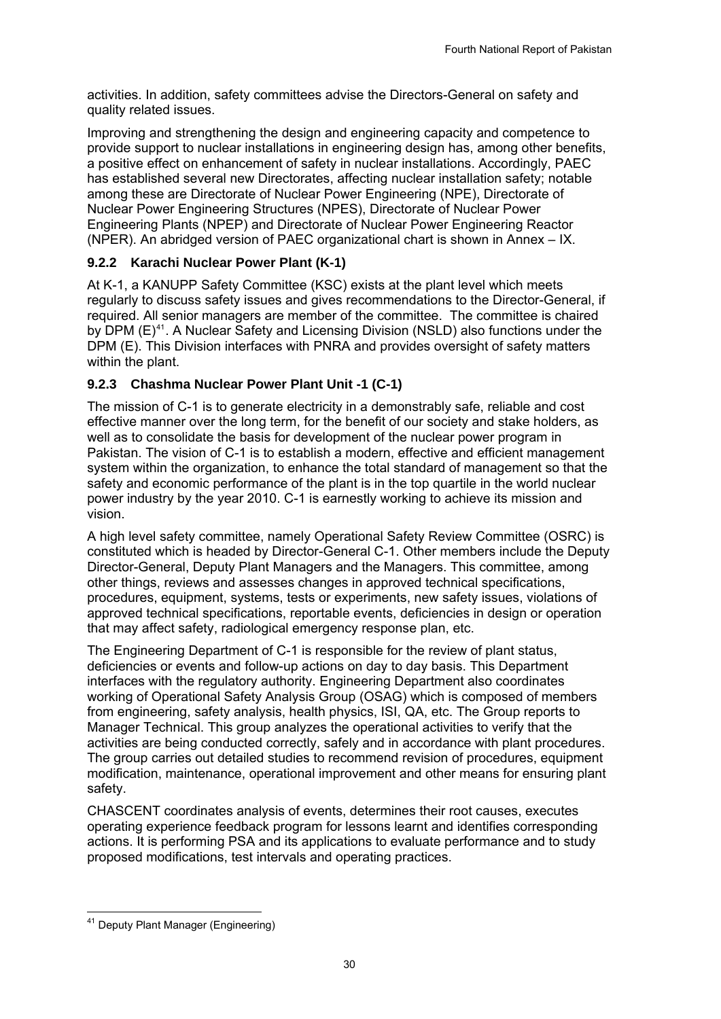<span id="page-39-0"></span>activities. In addition, safety committees advise the Directors-General on safety and quality related issues.

Improving and strengthening the design and engineering capacity and competence to provide support to nuclear installations in engineering design has, among other benefits, a positive effect on enhancement of safety in nuclear installations. Accordingly, PAEC has established several new Directorates, affecting nuclear installation safety; notable among these are Directorate of Nuclear Power Engineering (NPE), Directorate of Nuclear Power Engineering Structures (NPES), Directorate of Nuclear Power Engineering Plants (NPEP) and Directorate of Nuclear Power Engineering Reactor (NPER). An abridged version of PAEC organizational chart is shown in Annex – IX.

# **9.2.2 Karachi Nuclear Power Plant (K-1)**

At K-1, a KANUPP Safety Committee (KSC) exists at the plant level which meets regularly to discuss safety issues and gives recommendations to the Director-General, if required. All senior managers are member of the committee. The committee is chaired by DPM  $(E)^{41}$  $(E)^{41}$  $(E)^{41}$ . A Nuclear Safety and Licensing Division (NSLD) also functions under the DPM (E). This Division interfaces with PNRA and provides oversight of safety matters within the plant.

# **9.2.3 Chashma Nuclear Power Plant Unit -1 (C-1)**

The mission of C-1 is to generate electricity in a demonstrably safe, reliable and cost effective manner over the long term, for the benefit of our society and stake holders, as well as to consolidate the basis for development of the nuclear power program in Pakistan. The vision of C-1 is to establish a modern, effective and efficient management system within the organization, to enhance the total standard of management so that the safety and economic performance of the plant is in the top quartile in the world nuclear power industry by the year 2010. C-1 is earnestly working to achieve its mission and vision.

A high level safety committee, namely Operational Safety Review Committee (OSRC) is constituted which is headed by Director-General C-1. Other members include the Deputy Director-General, Deputy Plant Managers and the Managers. This committee, among other things, reviews and assesses changes in approved technical specifications, procedures, equipment, systems, tests or experiments, new safety issues, violations of approved technical specifications, reportable events, deficiencies in design or operation that may affect safety, radiological emergency response plan, etc.

The Engineering Department of C-1 is responsible for the review of plant status, deficiencies or events and follow-up actions on day to day basis. This Department interfaces with the regulatory authority. Engineering Department also coordinates working of Operational Safety Analysis Group (OSAG) which is composed of members from engineering, safety analysis, health physics, ISI, QA, etc. The Group reports to Manager Technical. This group analyzes the operational activities to verify that the activities are being conducted correctly, safely and in accordance with plant procedures. The group carries out detailed studies to recommend revision of procedures, equipment modification, maintenance, operational improvement and other means for ensuring plant safety.

CHASCENT coordinates analysis of events, determines their root causes, executes operating experience feedback program for lessons learnt and identifies corresponding actions. It is performing PSA and its applications to evaluate performance and to study proposed modifications, test intervals and operating practices.

<sup>1</sup> <sup>41</sup> Deputy Plant Manager (Engineering)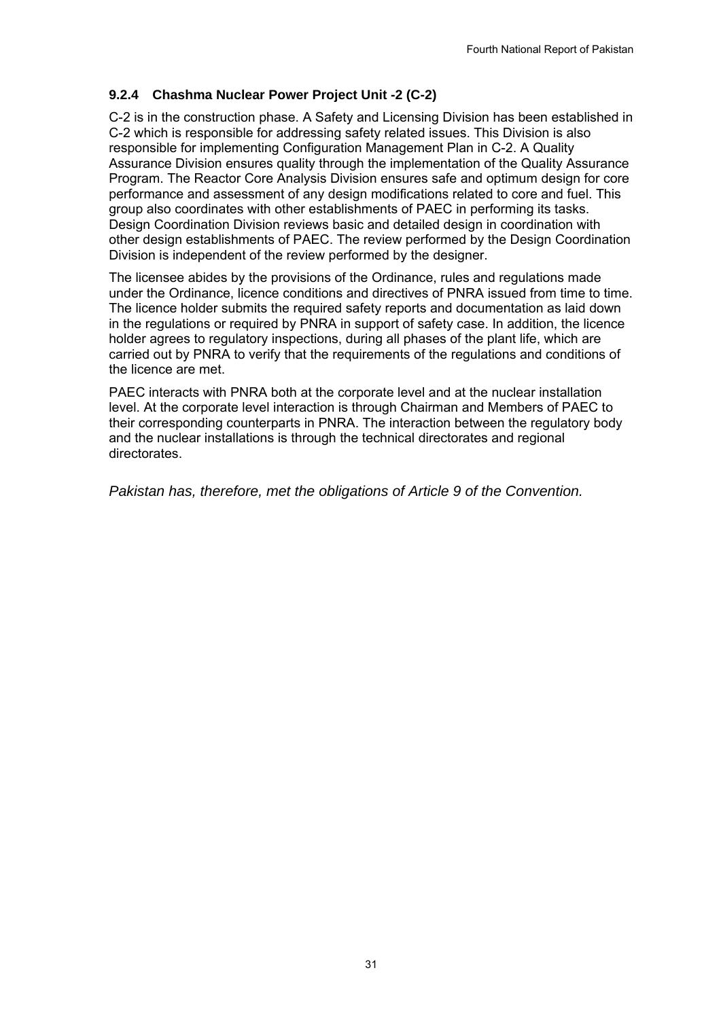# **9.2.4 Chashma Nuclear Power Project Unit -2 (C-2)**

C-2 is in the construction phase. A Safety and Licensing Division has been established in C-2 which is responsible for addressing safety related issues. This Division is also responsible for implementing Configuration Management Plan in C-2. A Quality Assurance Division ensures quality through the implementation of the Quality Assurance Program. The Reactor Core Analysis Division ensures safe and optimum design for core performance and assessment of any design modifications related to core and fuel. This group also coordinates with other establishments of PAEC in performing its tasks. Design Coordination Division reviews basic and detailed design in coordination with other design establishments of PAEC. The review performed by the Design Coordination Division is independent of the review performed by the designer.

The licensee abides by the provisions of the Ordinance, rules and regulations made under the Ordinance, licence conditions and directives of PNRA issued from time to time. The licence holder submits the required safety reports and documentation as laid down in the regulations or required by PNRA in support of safety case. In addition, the licence holder agrees to regulatory inspections, during all phases of the plant life, which are carried out by PNRA to verify that the requirements of the regulations and conditions of the licence are met.

PAEC interacts with PNRA both at the corporate level and at the nuclear installation level. At the corporate level interaction is through Chairman and Members of PAEC to their corresponding counterparts in PNRA. The interaction between the regulatory body and the nuclear installations is through the technical directorates and regional directorates.

*Pakistan has, therefore, met the obligations of Article 9 of the Convention.*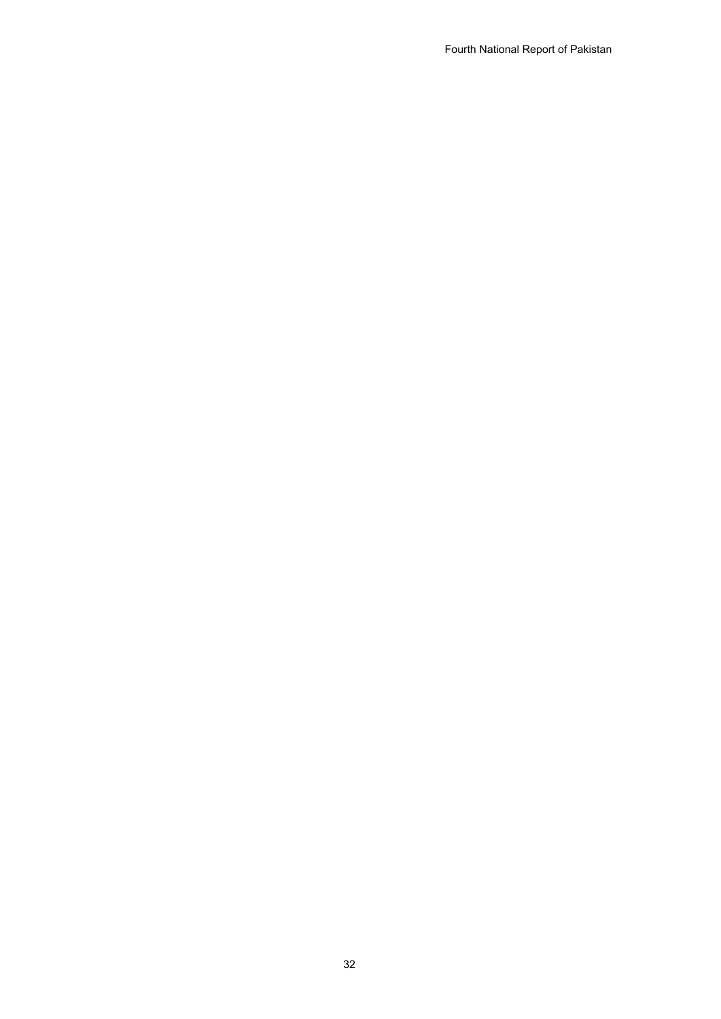Fourth National Report of Pakistan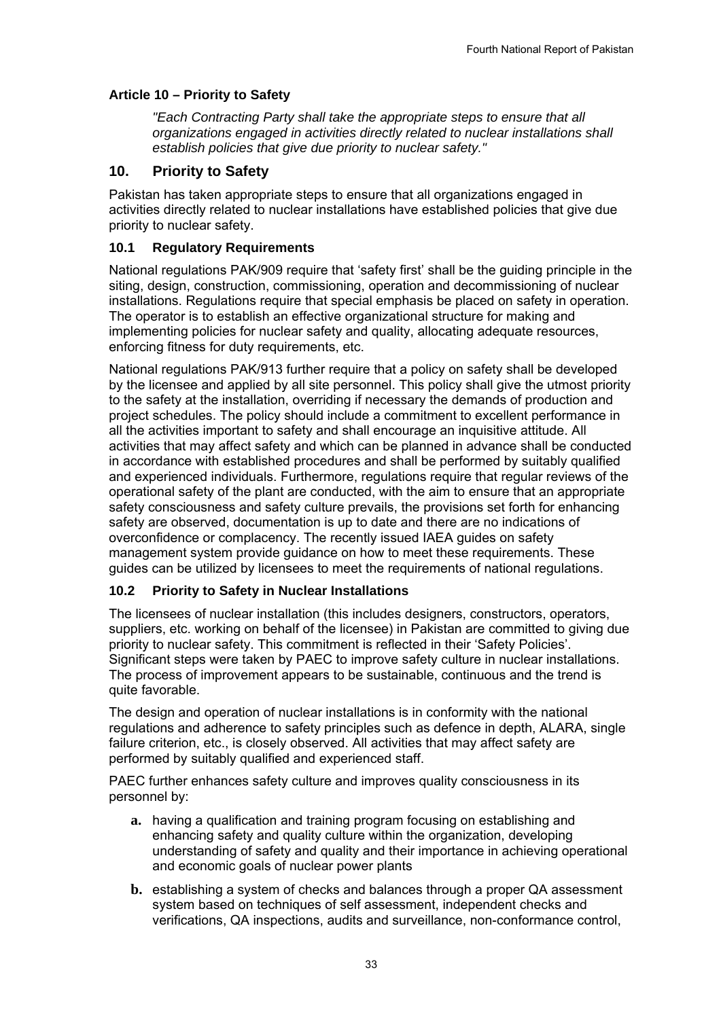## **Article 10 – Priority to Safety**

*"Each Contracting Party shall take the appropriate steps to ensure that all organizations engaged in activities directly related to nuclear installations shall establish policies that give due priority to nuclear safety."* 

## **10. Priority to Safety**

Pakistan has taken appropriate steps to ensure that all organizations engaged in activities directly related to nuclear installations have established policies that give due priority to nuclear safety.

#### **10.1 Regulatory Requirements**

National regulations PAK/909 require that 'safety first' shall be the guiding principle in the siting, design, construction, commissioning, operation and decommissioning of nuclear installations. Regulations require that special emphasis be placed on safety in operation. The operator is to establish an effective organizational structure for making and implementing policies for nuclear safety and quality, allocating adequate resources, enforcing fitness for duty requirements, etc.

National regulations PAK/913 further require that a policy on safety shall be developed by the licensee and applied by all site personnel. This policy shall give the utmost priority to the safety at the installation, overriding if necessary the demands of production and project schedules. The policy should include a commitment to excellent performance in all the activities important to safety and shall encourage an inquisitive attitude. All activities that may affect safety and which can be planned in advance shall be conducted in accordance with established procedures and shall be performed by suitably qualified and experienced individuals. Furthermore, regulations require that regular reviews of the operational safety of the plant are conducted, with the aim to ensure that an appropriate safety consciousness and safety culture prevails, the provisions set forth for enhancing safety are observed, documentation is up to date and there are no indications of overconfidence or complacency. The recently issued IAEA guides on safety management system provide guidance on how to meet these requirements. These guides can be utilized by licensees to meet the requirements of national regulations.

## **10.2 Priority to Safety in Nuclear Installations**

The licensees of nuclear installation (this includes designers, constructors, operators, suppliers, etc. working on behalf of the licensee) in Pakistan are committed to giving due priority to nuclear safety. This commitment is reflected in their 'Safety Policies'. Significant steps were taken by PAEC to improve safety culture in nuclear installations. The process of improvement appears to be sustainable, continuous and the trend is quite favorable.

The design and operation of nuclear installations is in conformity with the national regulations and adherence to safety principles such as defence in depth, ALARA, single failure criterion, etc., is closely observed. All activities that may affect safety are performed by suitably qualified and experienced staff.

PAEC further enhances safety culture and improves quality consciousness in its personnel by:

- **a.** having a qualification and training program focusing on establishing and enhancing safety and quality culture within the organization, developing understanding of safety and quality and their importance in achieving operational and economic goals of nuclear power plants
- **b.** establishing a system of checks and balances through a proper QA assessment system based on techniques of self assessment, independent checks and verifications, QA inspections, audits and surveillance, non-conformance control,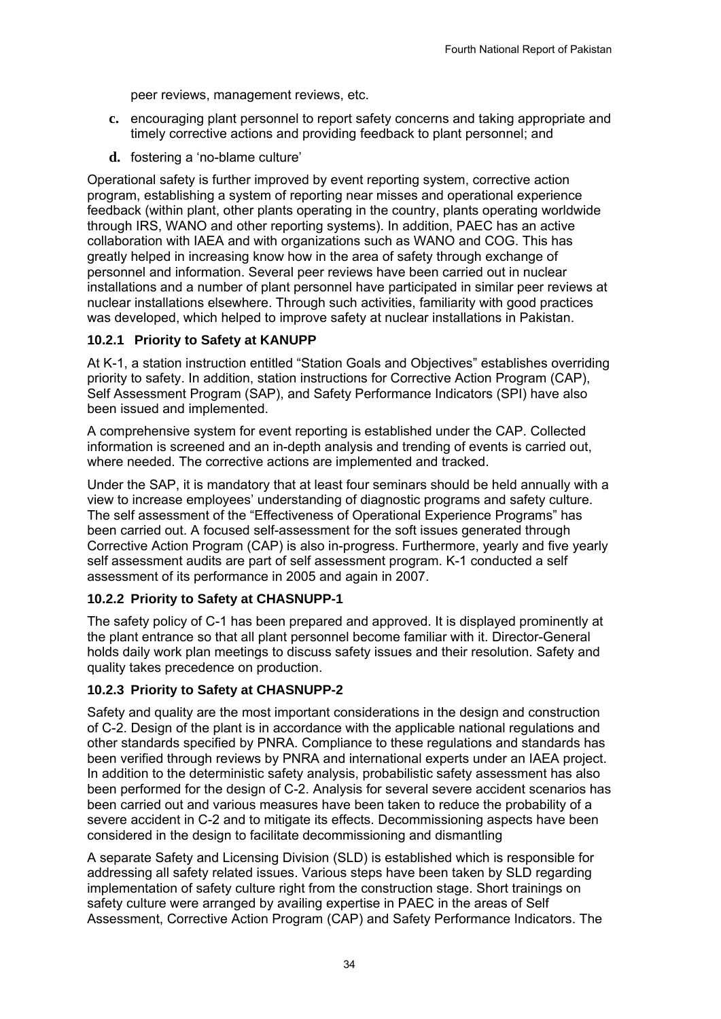peer reviews, management reviews, etc.

- **c.** encouraging plant personnel to report safety concerns and taking appropriate and timely corrective actions and providing feedback to plant personnel; and
- **d.** fostering a 'no-blame culture'

Operational safety is further improved by event reporting system, corrective action program, establishing a system of reporting near misses and operational experience feedback (within plant, other plants operating in the country, plants operating worldwide through IRS, WANO and other reporting systems). In addition, PAEC has an active collaboration with IAEA and with organizations such as WANO and COG. This has greatly helped in increasing know how in the area of safety through exchange of personnel and information. Several peer reviews have been carried out in nuclear installations and a number of plant personnel have participated in similar peer reviews at nuclear installations elsewhere. Through such activities, familiarity with good practices was developed, which helped to improve safety at nuclear installations in Pakistan.

#### **10.2.1 Priority to Safety at KANUPP**

At K-1, a station instruction entitled "Station Goals and Objectives" establishes overriding priority to safety. In addition, station instructions for Corrective Action Program (CAP), Self Assessment Program (SAP), and Safety Performance Indicators (SPI) have also been issued and implemented.

A comprehensive system for event reporting is established under the CAP. Collected information is screened and an in-depth analysis and trending of events is carried out, where needed. The corrective actions are implemented and tracked.

Under the SAP, it is mandatory that at least four seminars should be held annually with a view to increase employees' understanding of diagnostic programs and safety culture. The self assessment of the "Effectiveness of Operational Experience Programs" has been carried out. A focused self-assessment for the soft issues generated through Corrective Action Program (CAP) is also in-progress. Furthermore, yearly and five yearly self assessment audits are part of self assessment program. K-1 conducted a self assessment of its performance in 2005 and again in 2007.

## **10.2.2 Priority to Safety at CHASNUPP-1**

The safety policy of C-1 has been prepared and approved. It is displayed prominently at the plant entrance so that all plant personnel become familiar with it. Director-General holds daily work plan meetings to discuss safety issues and their resolution. Safety and quality takes precedence on production.

#### **10.2.3 Priority to Safety at CHASNUPP-2**

Safety and quality are the most important considerations in the design and construction of C-2. Design of the plant is in accordance with the applicable national regulations and other standards specified by PNRA. Compliance to these regulations and standards has been verified through reviews by PNRA and international experts under an IAEA project. In addition to the deterministic safety analysis, probabilistic safety assessment has also been performed for the design of C-2. Analysis for several severe accident scenarios has been carried out and various measures have been taken to reduce the probability of a severe accident in C-2 and to mitigate its effects. Decommissioning aspects have been considered in the design to facilitate decommissioning and dismantling

A separate Safety and Licensing Division (SLD) is established which is responsible for addressing all safety related issues. Various steps have been taken by SLD regarding implementation of safety culture right from the construction stage. Short trainings on safety culture were arranged by availing expertise in PAEC in the areas of Self Assessment, Corrective Action Program (CAP) and Safety Performance Indicators. The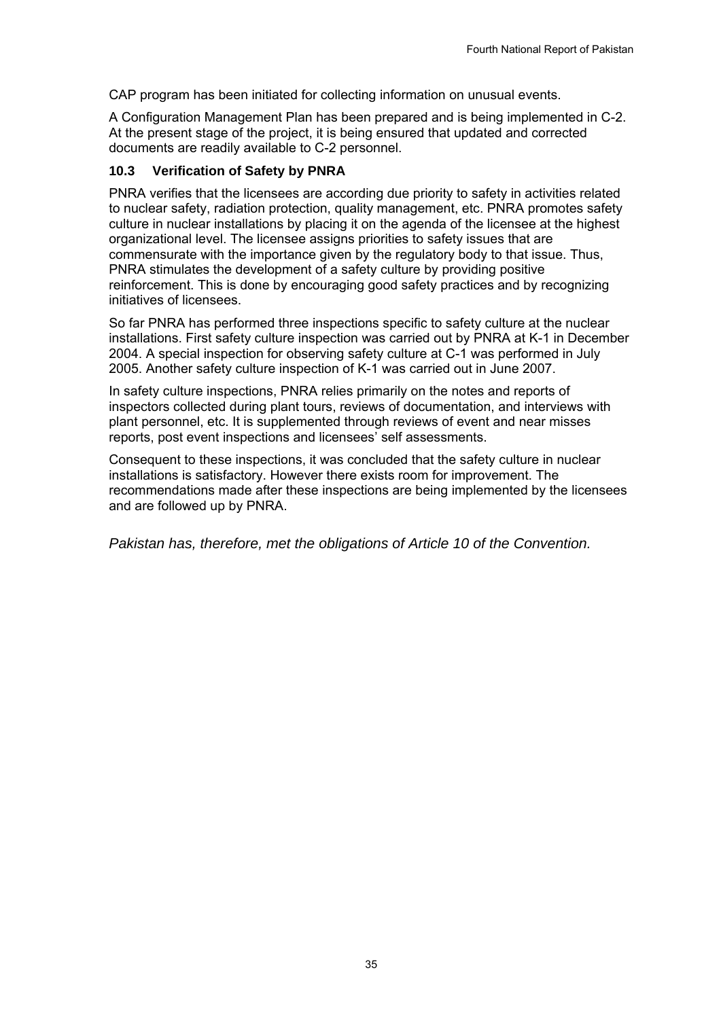CAP program has been initiated for collecting information on unusual events.

A Configuration Management Plan has been prepared and is being implemented in C-2. At the present stage of the project, it is being ensured that updated and corrected documents are readily available to C-2 personnel.

## **10.3 Verification of Safety by PNRA**

PNRA verifies that the licensees are according due priority to safety in activities related to nuclear safety, radiation protection, quality management, etc. PNRA promotes safety culture in nuclear installations by placing it on the agenda of the licensee at the highest organizational level. The licensee assigns priorities to safety issues that are commensurate with the importance given by the regulatory body to that issue. Thus, PNRA stimulates the development of a safety culture by providing positive reinforcement. This is done by encouraging good safety practices and by recognizing initiatives of licensees.

So far PNRA has performed three inspections specific to safety culture at the nuclear installations. First safety culture inspection was carried out by PNRA at K-1 in December 2004. A special inspection for observing safety culture at C-1 was performed in July 2005. Another safety culture inspection of K-1 was carried out in June 2007.

In safety culture inspections, PNRA relies primarily on the notes and reports of inspectors collected during plant tours, reviews of documentation, and interviews with plant personnel, etc. It is supplemented through reviews of event and near misses reports, post event inspections and licensees' self assessments.

Consequent to these inspections, it was concluded that the safety culture in nuclear installations is satisfactory. However there exists room for improvement. The recommendations made after these inspections are being implemented by the licensees and are followed up by PNRA.

*Pakistan has, therefore, met the obligations of Article 10 of the Convention.*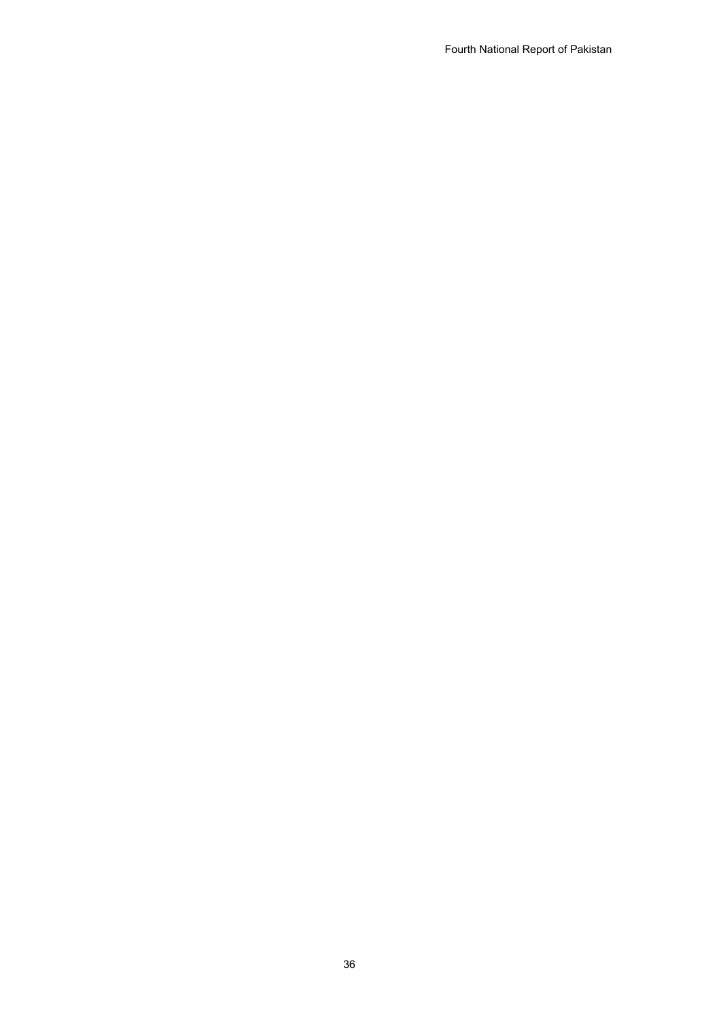Fourth National Report of Pakistan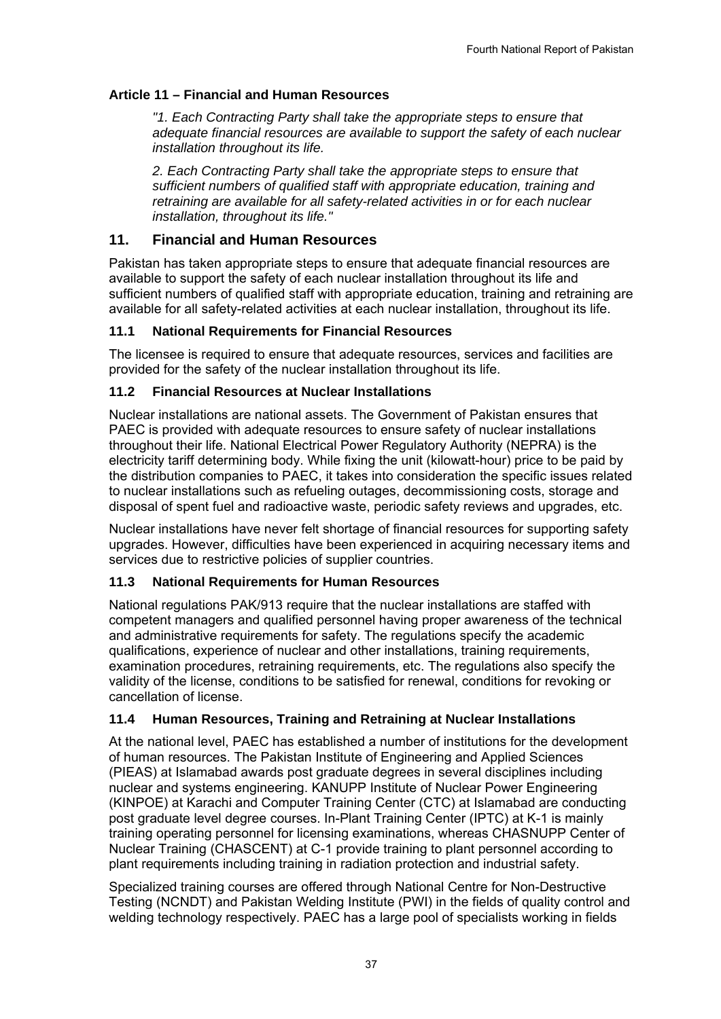## **Article 11 – Financial and Human Resources**

*"1. Each Contracting Party shall take the appropriate steps to ensure that adequate financial resources are available to support the safety of each nuclear installation throughout its life.* 

*2. Each Contracting Party shall take the appropriate steps to ensure that sufficient numbers of qualified staff with appropriate education, training and retraining are available for all safety-related activities in or for each nuclear installation, throughout its life."* 

# **11. Financial and Human Resources**

Pakistan has taken appropriate steps to ensure that adequate financial resources are available to support the safety of each nuclear installation throughout its life and sufficient numbers of qualified staff with appropriate education, training and retraining are available for all safety-related activities at each nuclear installation, throughout its life.

## **11.1 National Requirements for Financial Resources**

The licensee is required to ensure that adequate resources, services and facilities are provided for the safety of the nuclear installation throughout its life.

## **11.2 Financial Resources at Nuclear Installations**

Nuclear installations are national assets. The Government of Pakistan ensures that PAEC is provided with adequate resources to ensure safety of nuclear installations throughout their life. National Electrical Power Regulatory Authority (NEPRA) is the electricity tariff determining body. While fixing the unit (kilowatt-hour) price to be paid by the distribution companies to PAEC, it takes into consideration the specific issues related to nuclear installations such as refueling outages, decommissioning costs, storage and disposal of spent fuel and radioactive waste, periodic safety reviews and upgrades, etc.

Nuclear installations have never felt shortage of financial resources for supporting safety upgrades. However, difficulties have been experienced in acquiring necessary items and services due to restrictive policies of supplier countries.

## **11.3 National Requirements for Human Resources**

National regulations PAK/913 require that the nuclear installations are staffed with competent managers and qualified personnel having proper awareness of the technical and administrative requirements for safety. The regulations specify the academic qualifications, experience of nuclear and other installations, training requirements, examination procedures, retraining requirements, etc. The regulations also specify the validity of the license, conditions to be satisfied for renewal, conditions for revoking or cancellation of license.

## **11.4 Human Resources, Training and Retraining at Nuclear Installations**

At the national level, PAEC has established a number of institutions for the development of human resources. The Pakistan Institute of Engineering and Applied Sciences (PIEAS) at Islamabad awards post graduate degrees in several disciplines including nuclear and systems engineering. KANUPP Institute of Nuclear Power Engineering (KINPOE) at Karachi and Computer Training Center (CTC) at Islamabad are conducting post graduate level degree courses. In-Plant Training Center (IPTC) at K-1 is mainly training operating personnel for licensing examinations, whereas CHASNUPP Center of Nuclear Training (CHASCENT) at C-1 provide training to plant personnel according to plant requirements including training in radiation protection and industrial safety.

Specialized training courses are offered through National Centre for Non-Destructive Testing (NCNDT) and Pakistan Welding Institute (PWI) in the fields of quality control and welding technology respectively. PAEC has a large pool of specialists working in fields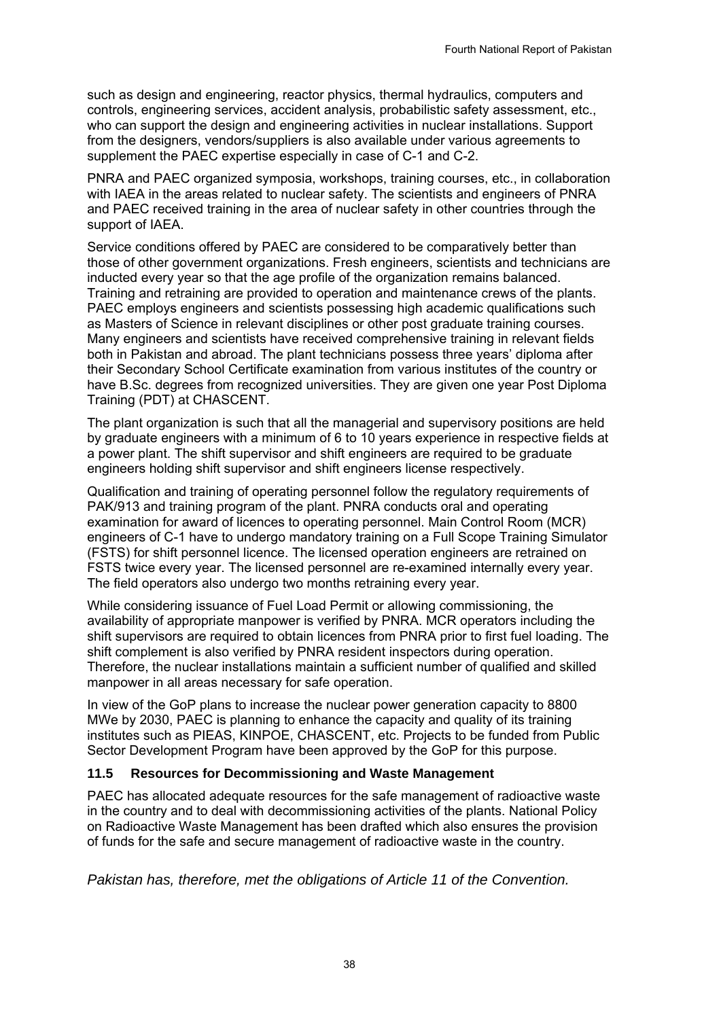such as design and engineering, reactor physics, thermal hydraulics, computers and controls, engineering services, accident analysis, probabilistic safety assessment, etc., who can support the design and engineering activities in nuclear installations. Support from the designers, vendors/suppliers is also available under various agreements to supplement the PAEC expertise especially in case of C-1 and C-2.

PNRA and PAEC organized symposia, workshops, training courses, etc., in collaboration with IAEA in the areas related to nuclear safety. The scientists and engineers of PNRA and PAEC received training in the area of nuclear safety in other countries through the support of IAEA.

Service conditions offered by PAEC are considered to be comparatively better than those of other government organizations. Fresh engineers, scientists and technicians are inducted every year so that the age profile of the organization remains balanced. Training and retraining are provided to operation and maintenance crews of the plants. PAEC employs engineers and scientists possessing high academic qualifications such as Masters of Science in relevant disciplines or other post graduate training courses. Many engineers and scientists have received comprehensive training in relevant fields both in Pakistan and abroad. The plant technicians possess three years' diploma after their Secondary School Certificate examination from various institutes of the country or have B.Sc. degrees from recognized universities. They are given one year Post Diploma Training (PDT) at CHASCENT.

The plant organization is such that all the managerial and supervisory positions are held by graduate engineers with a minimum of 6 to 10 years experience in respective fields at a power plant. The shift supervisor and shift engineers are required to be graduate engineers holding shift supervisor and shift engineers license respectively.

Qualification and training of operating personnel follow the regulatory requirements of PAK/913 and training program of the plant. PNRA conducts oral and operating examination for award of licences to operating personnel. Main Control Room (MCR) engineers of C-1 have to undergo mandatory training on a Full Scope Training Simulator (FSTS) for shift personnel licence. The licensed operation engineers are retrained on FSTS twice every year. The licensed personnel are re-examined internally every year. The field operators also undergo two months retraining every year.

While considering issuance of Fuel Load Permit or allowing commissioning, the availability of appropriate manpower is verified by PNRA. MCR operators including the shift supervisors are required to obtain licences from PNRA prior to first fuel loading. The shift complement is also verified by PNRA resident inspectors during operation. Therefore, the nuclear installations maintain a sufficient number of qualified and skilled manpower in all areas necessary for safe operation.

In view of the GoP plans to increase the nuclear power generation capacity to 8800 MWe by 2030, PAEC is planning to enhance the capacity and quality of its training institutes such as PIEAS, KINPOE, CHASCENT, etc. Projects to be funded from Public Sector Development Program have been approved by the GoP for this purpose.

#### **11.5 Resources for Decommissioning and Waste Management**

PAEC has allocated adequate resources for the safe management of radioactive waste in the country and to deal with decommissioning activities of the plants. National Policy on Radioactive Waste Management has been drafted which also ensures the provision of funds for the safe and secure management of radioactive waste in the country.

*Pakistan has, therefore, met the obligations of Article 11 of the Convention.*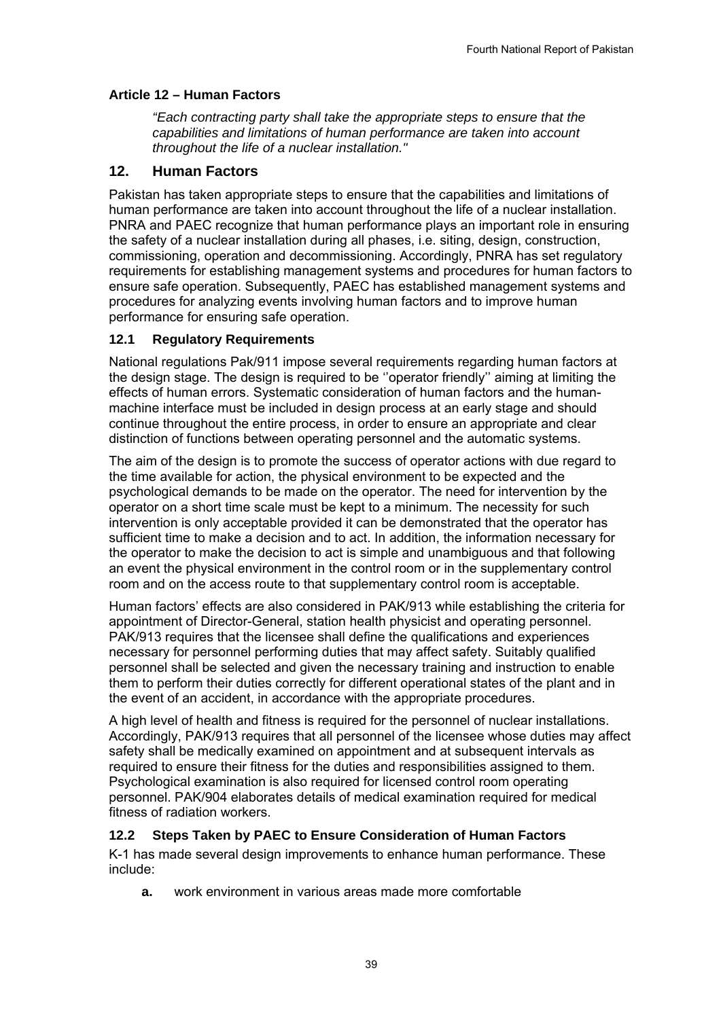### **Article 12 – Human Factors**

*"Each contracting party shall take the appropriate steps to ensure that the capabilities and limitations of human performance are taken into account throughout the life of a nuclear installation."* 

## **12. Human Factors**

Pakistan has taken appropriate steps to ensure that the capabilities and limitations of human performance are taken into account throughout the life of a nuclear installation. PNRA and PAEC recognize that human performance plays an important role in ensuring the safety of a nuclear installation during all phases, i.e. siting, design, construction, commissioning, operation and decommissioning. Accordingly, PNRA has set regulatory requirements for establishing management systems and procedures for human factors to ensure safe operation. Subsequently, PAEC has established management systems and procedures for analyzing events involving human factors and to improve human performance for ensuring safe operation.

## **12.1 Regulatory Requirements**

National regulations Pak/911 impose several requirements regarding human factors at the design stage. The design is required to be ''operator friendly'' aiming at limiting the effects of human errors. Systematic consideration of human factors and the humanmachine interface must be included in design process at an early stage and should continue throughout the entire process, in order to ensure an appropriate and clear distinction of functions between operating personnel and the automatic systems.

The aim of the design is to promote the success of operator actions with due regard to the time available for action, the physical environment to be expected and the psychological demands to be made on the operator. The need for intervention by the operator on a short time scale must be kept to a minimum. The necessity for such intervention is only acceptable provided it can be demonstrated that the operator has sufficient time to make a decision and to act. In addition, the information necessary for the operator to make the decision to act is simple and unambiguous and that following an event the physical environment in the control room or in the supplementary control room and on the access route to that supplementary control room is acceptable.

Human factors' effects are also considered in PAK/913 while establishing the criteria for appointment of Director-General, station health physicist and operating personnel. PAK/913 requires that the licensee shall define the qualifications and experiences necessary for personnel performing duties that may affect safety. Suitably qualified personnel shall be selected and given the necessary training and instruction to enable them to perform their duties correctly for different operational states of the plant and in the event of an accident, in accordance with the appropriate procedures.

A high level of health and fitness is required for the personnel of nuclear installations. Accordingly, PAK/913 requires that all personnel of the licensee whose duties may affect safety shall be medically examined on appointment and at subsequent intervals as required to ensure their fitness for the duties and responsibilities assigned to them. Psychological examination is also required for licensed control room operating personnel. PAK/904 elaborates details of medical examination required for medical fitness of radiation workers.

## **12.2 Steps Taken by PAEC to Ensure Consideration of Human Factors**

K-1 has made several design improvements to enhance human performance. These include:

**a.** work environment in various areas made more comfortable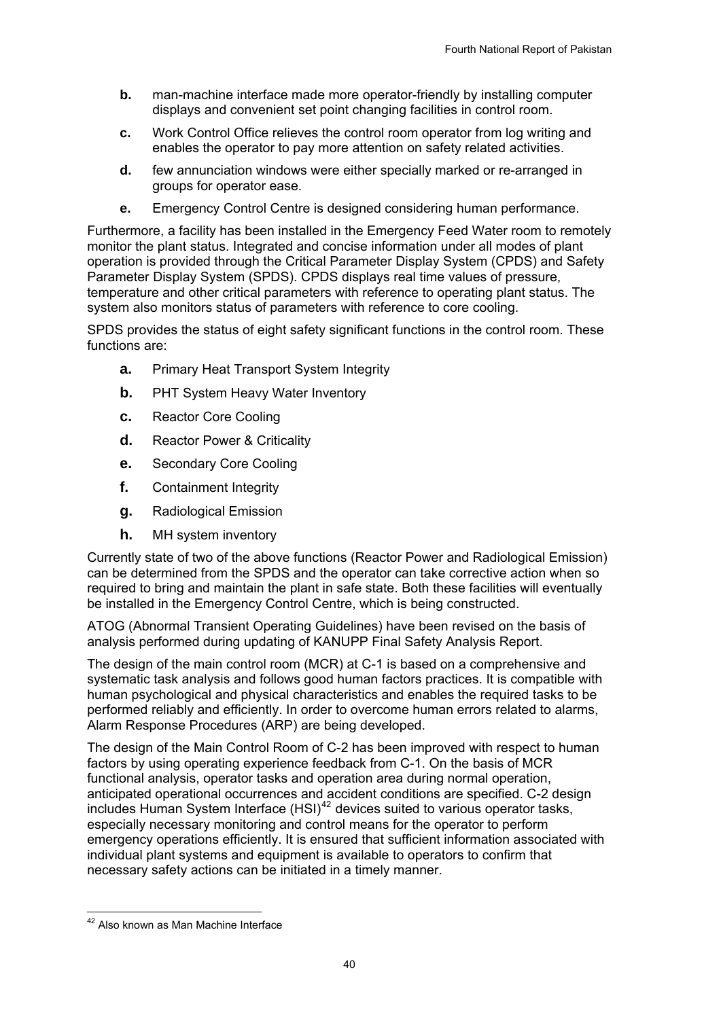- <span id="page-49-0"></span>**b.** man-machine interface made more operator-friendly by installing computer displays and convenient set point changing facilities in control room.
- **c.** Work Control Office relieves the control room operator from log writing and enables the operator to pay more attention on safety related activities.
- **d.** few annunciation windows were either specially marked or re-arranged in groups for operator ease.
- **e.** Emergency Control Centre is designed considering human performance.

Furthermore, a facility has been installed in the Emergency Feed Water room to remotely monitor the plant status. Integrated and concise information under all modes of plant operation is provided through the Critical Parameter Display System (CPDS) and Safety Parameter Display System (SPDS). CPDS displays real time values of pressure, temperature and other critical parameters with reference to operating plant status. The system also monitors status of parameters with reference to core cooling.

SPDS provides the status of eight safety significant functions in the control room. These functions are:

- **a.** Primary Heat Transport System Integrity
- **b.** PHT System Heavy Water Inventory
- **c.** Reactor Core Cooling
- **d.** Reactor Power & Criticality
- **e.** Secondary Core Cooling
- **f.** Containment Integrity
- **g.** Radiological Emission
- **h.** MH system inventory

Currently state of two of the above functions (Reactor Power and Radiological Emission) can be determined from the SPDS and the operator can take corrective action when so required to bring and maintain the plant in safe state. Both these facilities will eventually be installed in the Emergency Control Centre, which is being constructed.

ATOG (Abnormal Transient Operating Guidelines) have been revised on the basis of analysis performed during updating of KANUPP Final Safety Analysis Report.

The design of the main control room (MCR) at C-1 is based on a comprehensive and systematic task analysis and follows good human factors practices. It is compatible with human psychological and physical characteristics and enables the required tasks to be performed reliably and efficiently. In order to overcome human errors related to alarms, Alarm Response Procedures (ARP) are being developed.

The design of the Main Control Room of C-2 has been improved with respect to human factors by using operating experience feedback from C-1. On the basis of MCR functional analysis, operator tasks and operation area during normal operation, anticipated operational occurrences and accident conditions are specified. C-2 design includes Human System Interface (HSI)[42](#page-49-0) devices suited to various operator tasks, especially necessary monitoring and control means for the operator to perform emergency operations efficiently. It is ensured that sufficient information associated with individual plant systems and equipment is available to operators to confirm that necessary safety actions can be initiated in a timely manner.

<sup>1</sup> <sup>42</sup> Also known as Man Machine Interface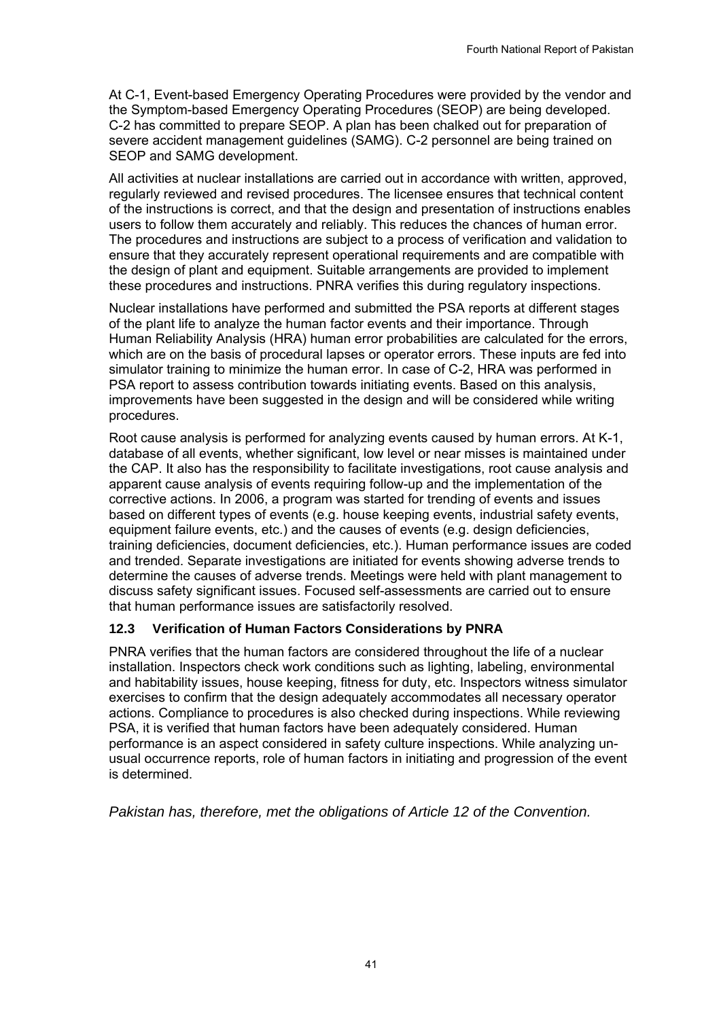At C-1, Event-based Emergency Operating Procedures were provided by the vendor and the Symptom-based Emergency Operating Procedures (SEOP) are being developed. C-2 has committed to prepare SEOP. A plan has been chalked out for preparation of severe accident management guidelines (SAMG). C-2 personnel are being trained on SEOP and SAMG development.

All activities at nuclear installations are carried out in accordance with written, approved, regularly reviewed and revised procedures. The licensee ensures that technical content of the instructions is correct, and that the design and presentation of instructions enables users to follow them accurately and reliably. This reduces the chances of human error. The procedures and instructions are subject to a process of verification and validation to ensure that they accurately represent operational requirements and are compatible with the design of plant and equipment. Suitable arrangements are provided to implement these procedures and instructions. PNRA verifies this during regulatory inspections.

Nuclear installations have performed and submitted the PSA reports at different stages of the plant life to analyze the human factor events and their importance. Through Human Reliability Analysis (HRA) human error probabilities are calculated for the errors, which are on the basis of procedural lapses or operator errors. These inputs are fed into simulator training to minimize the human error. In case of C-2, HRA was performed in PSA report to assess contribution towards initiating events. Based on this analysis, improvements have been suggested in the design and will be considered while writing procedures.

Root cause analysis is performed for analyzing events caused by human errors. At K-1, database of all events, whether significant, low level or near misses is maintained under the CAP. It also has the responsibility to facilitate investigations, root cause analysis and apparent cause analysis of events requiring follow-up and the implementation of the corrective actions. In 2006, a program was started for trending of events and issues based on different types of events (e.g. house keeping events, industrial safety events, equipment failure events, etc.) and the causes of events (e.g. design deficiencies, training deficiencies, document deficiencies, etc.). Human performance issues are coded and trended. Separate investigations are initiated for events showing adverse trends to determine the causes of adverse trends. Meetings were held with plant management to discuss safety significant issues. Focused self-assessments are carried out to ensure that human performance issues are satisfactorily resolved.

## **12.3 Verification of Human Factors Considerations by PNRA**

PNRA verifies that the human factors are considered throughout the life of a nuclear installation. Inspectors check work conditions such as lighting, labeling, environmental and habitability issues, house keeping, fitness for duty, etc. Inspectors witness simulator exercises to confirm that the design adequately accommodates all necessary operator actions. Compliance to procedures is also checked during inspections. While reviewing PSA, it is verified that human factors have been adequately considered. Human performance is an aspect considered in safety culture inspections. While analyzing unusual occurrence reports, role of human factors in initiating and progression of the event is determined.

*Pakistan has, therefore, met the obligations of Article 12 of the Convention.*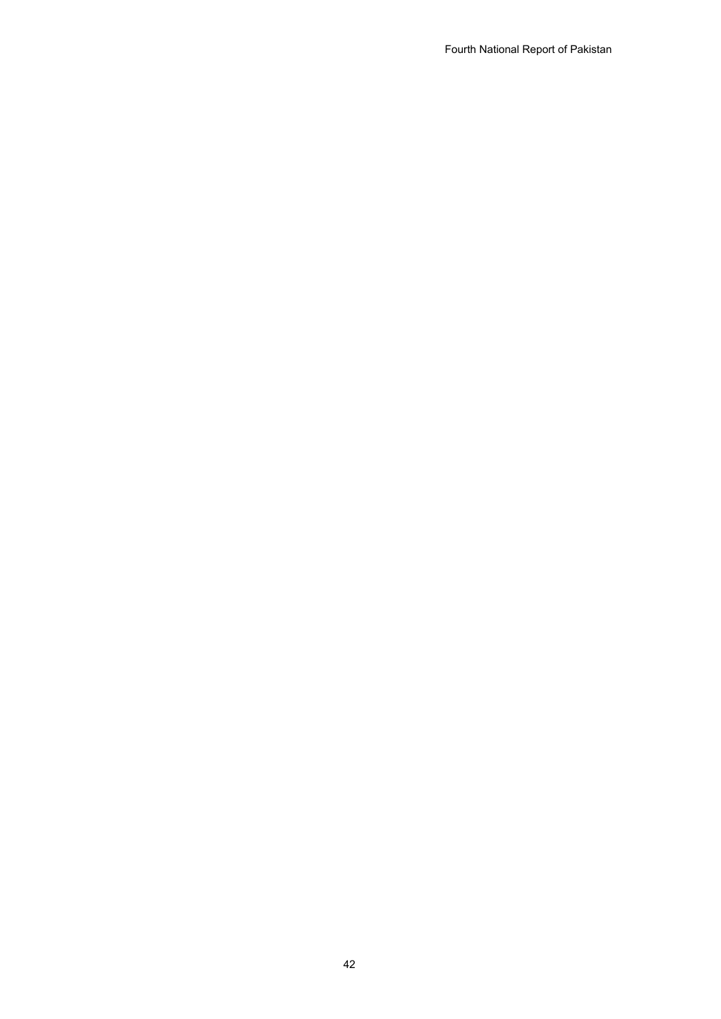Fourth National Report of Pakistan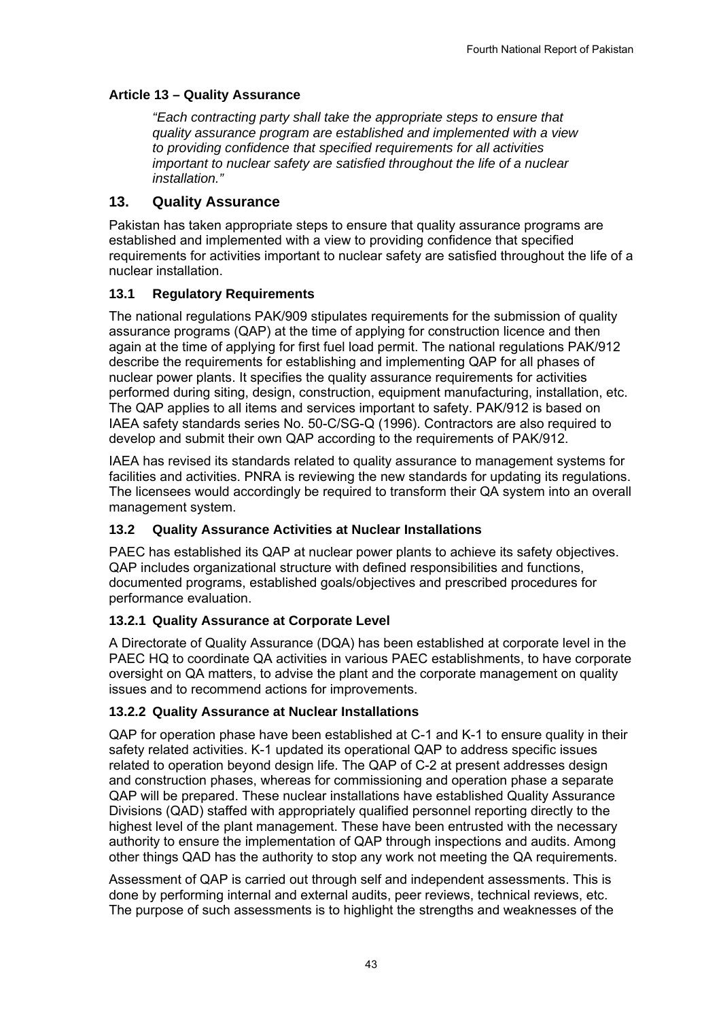### **Article 13 – Quality Assurance**

*"Each contracting party shall take the appropriate steps to ensure that quality assurance program are established and implemented with a view to providing confidence that specified requirements for all activities important to nuclear safety are satisfied throughout the life of a nuclear installation."*

## **13. Quality Assurance**

Pakistan has taken appropriate steps to ensure that quality assurance programs are established and implemented with a view to providing confidence that specified requirements for activities important to nuclear safety are satisfied throughout the life of a nuclear installation.

## **13.1 Regulatory Requirements**

The national regulations PAK/909 stipulates requirements for the submission of quality assurance programs (QAP) at the time of applying for construction licence and then again at the time of applying for first fuel load permit. The national regulations PAK/912 describe the requirements for establishing and implementing QAP for all phases of nuclear power plants. It specifies the quality assurance requirements for activities performed during siting, design, construction, equipment manufacturing, installation, etc. The QAP applies to all items and services important to safety. PAK/912 is based on IAEA safety standards series No. 50-C/SG-Q (1996). Contractors are also required to develop and submit their own QAP according to the requirements of PAK/912.

IAEA has revised its standards related to quality assurance to management systems for facilities and activities. PNRA is reviewing the new standards for updating its regulations. The licensees would accordingly be required to transform their QA system into an overall management system.

## **13.2 Quality Assurance Activities at Nuclear Installations**

PAEC has established its QAP at nuclear power plants to achieve its safety objectives. QAP includes organizational structure with defined responsibilities and functions, documented programs, established goals/objectives and prescribed procedures for performance evaluation.

## **13.2.1 Quality Assurance at Corporate Level**

A Directorate of Quality Assurance (DQA) has been established at corporate level in the PAEC HQ to coordinate QA activities in various PAEC establishments, to have corporate oversight on QA matters, to advise the plant and the corporate management on quality issues and to recommend actions for improvements.

## **13.2.2 Quality Assurance at Nuclear Installations**

QAP for operation phase have been established at C-1 and K-1 to ensure quality in their safety related activities. K-1 updated its operational QAP to address specific issues related to operation beyond design life. The QAP of C-2 at present addresses design and construction phases, whereas for commissioning and operation phase a separate QAP will be prepared. These nuclear installations have established Quality Assurance Divisions (QAD) staffed with appropriately qualified personnel reporting directly to the highest level of the plant management. These have been entrusted with the necessary authority to ensure the implementation of QAP through inspections and audits. Among other things QAD has the authority to stop any work not meeting the QA requirements.

Assessment of QAP is carried out through self and independent assessments. This is done by performing internal and external audits, peer reviews, technical reviews, etc. The purpose of such assessments is to highlight the strengths and weaknesses of the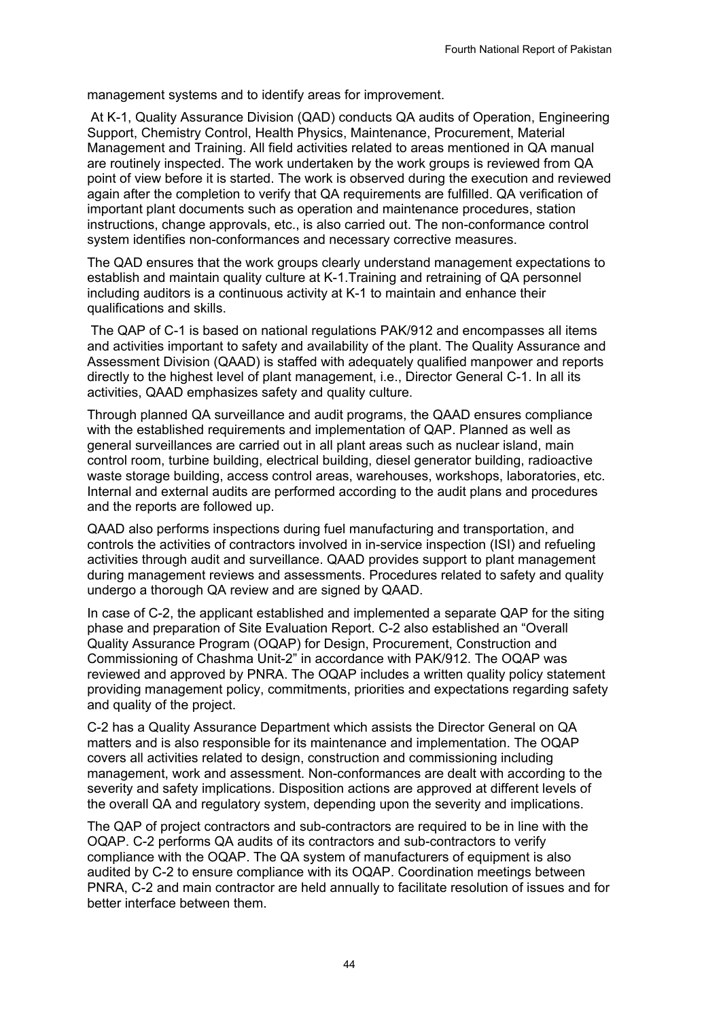management systems and to identify areas for improvement.

At K-1, Quality Assurance Division (QAD) conducts QA audits of Operation, Engineering Support, Chemistry Control, Health Physics, Maintenance, Procurement, Material Management and Training. All field activities related to areas mentioned in QA manual are routinely inspected. The work undertaken by the work groups is reviewed from QA point of view before it is started. The work is observed during the execution and reviewed again after the completion to verify that QA requirements are fulfilled. QA verification of important plant documents such as operation and maintenance procedures, station instructions, change approvals, etc., is also carried out. The non-conformance control system identifies non-conformances and necessary corrective measures.

The QAD ensures that the work groups clearly understand management expectations to establish and maintain quality culture at K-1.Training and retraining of QA personnel including auditors is a continuous activity at K-1 to maintain and enhance their qualifications and skills.

The QAP of C-1 is based on national regulations PAK/912 and encompasses all items and activities important to safety and availability of the plant. The Quality Assurance and Assessment Division (QAAD) is staffed with adequately qualified manpower and reports directly to the highest level of plant management, i.e., Director General C-1. In all its activities, QAAD emphasizes safety and quality culture.

Through planned QA surveillance and audit programs, the QAAD ensures compliance with the established requirements and implementation of QAP. Planned as well as general surveillances are carried out in all plant areas such as nuclear island, main control room, turbine building, electrical building, diesel generator building, radioactive waste storage building, access control areas, warehouses, workshops, laboratories, etc. Internal and external audits are performed according to the audit plans and procedures and the reports are followed up.

QAAD also performs inspections during fuel manufacturing and transportation, and controls the activities of contractors involved in in-service inspection (ISI) and refueling activities through audit and surveillance. QAAD provides support to plant management during management reviews and assessments. Procedures related to safety and quality undergo a thorough QA review and are signed by QAAD.

In case of C-2, the applicant established and implemented a separate QAP for the siting phase and preparation of Site Evaluation Report. C-2 also established an "Overall Quality Assurance Program (OQAP) for Design, Procurement, Construction and Commissioning of Chashma Unit-2" in accordance with PAK/912. The OQAP was reviewed and approved by PNRA. The OQAP includes a written quality policy statement providing management policy, commitments, priorities and expectations regarding safety and quality of the project.

C-2 has a Quality Assurance Department which assists the Director General on QA matters and is also responsible for its maintenance and implementation. The OQAP covers all activities related to design, construction and commissioning including management, work and assessment. Non-conformances are dealt with according to the severity and safety implications. Disposition actions are approved at different levels of the overall QA and regulatory system, depending upon the severity and implications.

The QAP of project contractors and sub-contractors are required to be in line with the OQAP. C-2 performs QA audits of its contractors and sub-contractors to verify compliance with the OQAP. The QA system of manufacturers of equipment is also audited by C-2 to ensure compliance with its OQAP. Coordination meetings between PNRA, C-2 and main contractor are held annually to facilitate resolution of issues and for better interface between them.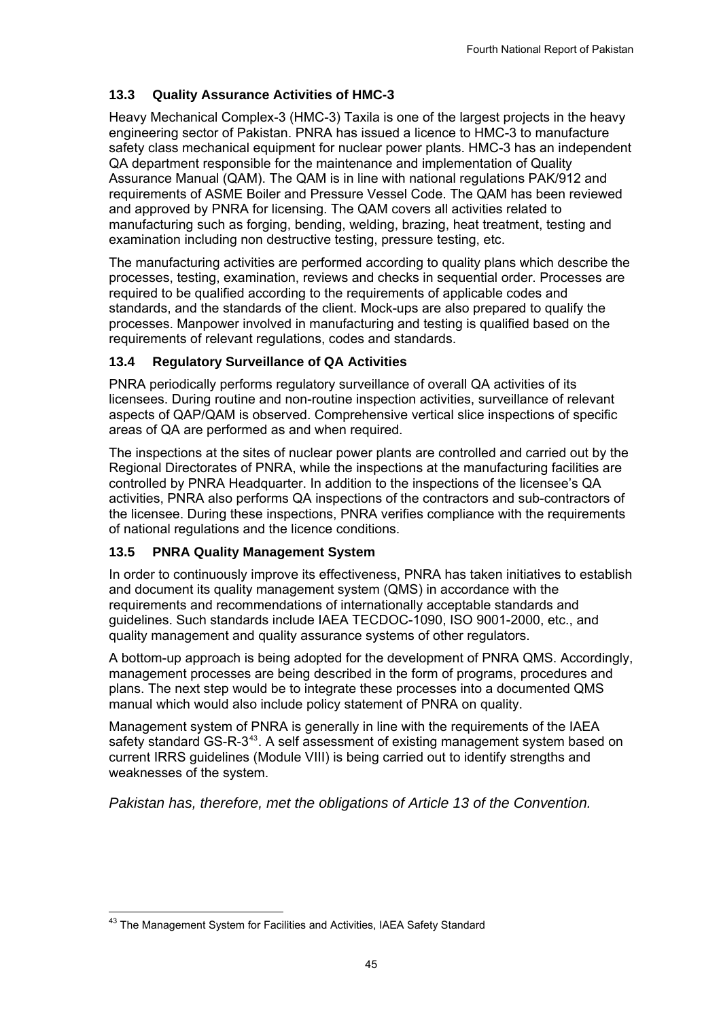# <span id="page-54-0"></span>**13.3 Quality Assurance Activities of HMC-3**

Heavy Mechanical Complex-3 (HMC-3) Taxila is one of the largest projects in the heavy engineering sector of Pakistan. PNRA has issued a licence to HMC-3 to manufacture safety class mechanical equipment for nuclear power plants. HMC-3 has an independent QA department responsible for the maintenance and implementation of Quality Assurance Manual (QAM). The QAM is in line with national regulations PAK/912 and requirements of ASME Boiler and Pressure Vessel Code. The QAM has been reviewed and approved by PNRA for licensing. The QAM covers all activities related to manufacturing such as forging, bending, welding, brazing, heat treatment, testing and examination including non destructive testing, pressure testing, etc.

The manufacturing activities are performed according to quality plans which describe the processes, testing, examination, reviews and checks in sequential order. Processes are required to be qualified according to the requirements of applicable codes and standards, and the standards of the client. Mock-ups are also prepared to qualify the processes. Manpower involved in manufacturing and testing is qualified based on the requirements of relevant regulations, codes and standards.

# **13.4 Regulatory Surveillance of QA Activities**

PNRA periodically performs regulatory surveillance of overall QA activities of its licensees. During routine and non-routine inspection activities, surveillance of relevant aspects of QAP/QAM is observed. Comprehensive vertical slice inspections of specific areas of QA are performed as and when required.

The inspections at the sites of nuclear power plants are controlled and carried out by the Regional Directorates of PNRA, while the inspections at the manufacturing facilities are controlled by PNRA Headquarter. In addition to the inspections of the licensee's QA activities, PNRA also performs QA inspections of the contractors and sub-contractors of the licensee. During these inspections, PNRA verifies compliance with the requirements of national regulations and the licence conditions.

## **13.5 PNRA Quality Management System**

In order to continuously improve its effectiveness, PNRA has taken initiatives to establish and document its quality management system (QMS) in accordance with the requirements and recommendations of internationally acceptable standards and guidelines. Such standards include IAEA TECDOC-1090, ISO 9001-2000, etc., and quality management and quality assurance systems of other regulators.

A bottom-up approach is being adopted for the development of PNRA QMS. Accordingly, management processes are being described in the form of programs, procedures and plans. The next step would be to integrate these processes into a documented QMS manual which would also include policy statement of PNRA on quality.

Management system of PNRA is generally in line with the requirements of the IAEA safety standard GS-R-3<sup>[43](#page-54-0)</sup>. A self assessment of existing management system based on current IRRS guidelines (Module VIII) is being carried out to identify strengths and weaknesses of the system.

*Pakistan has, therefore, met the obligations of Article 13 of the Convention.* 

<sup>1</sup>  $43$  The Management System for Facilities and Activities, IAEA Safety Standard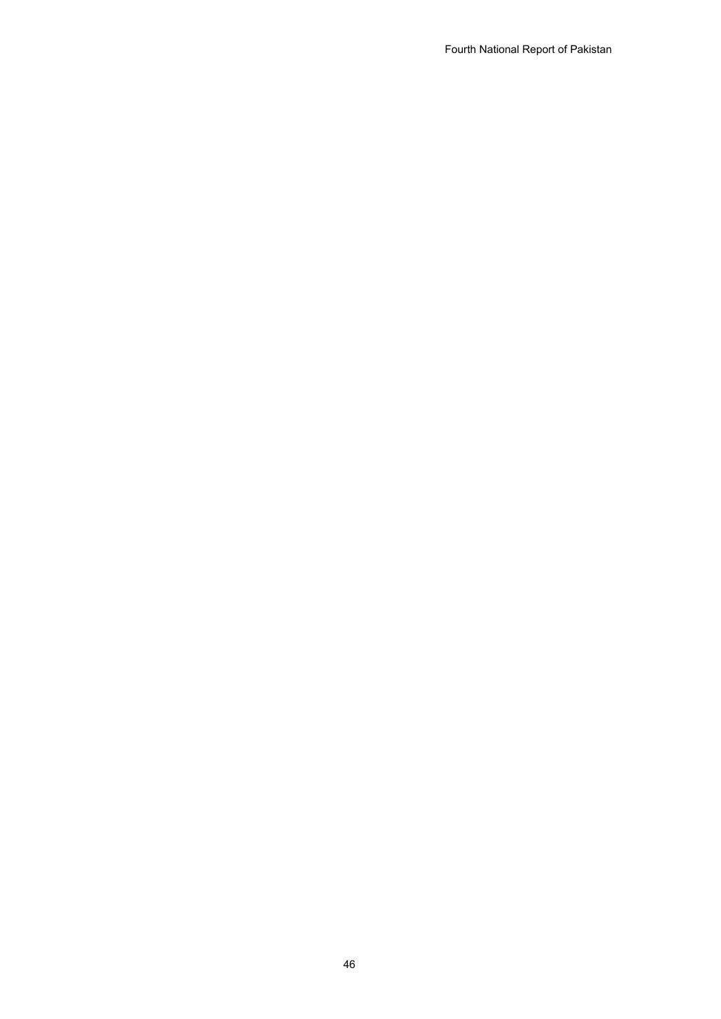Fourth National Report of Pakistan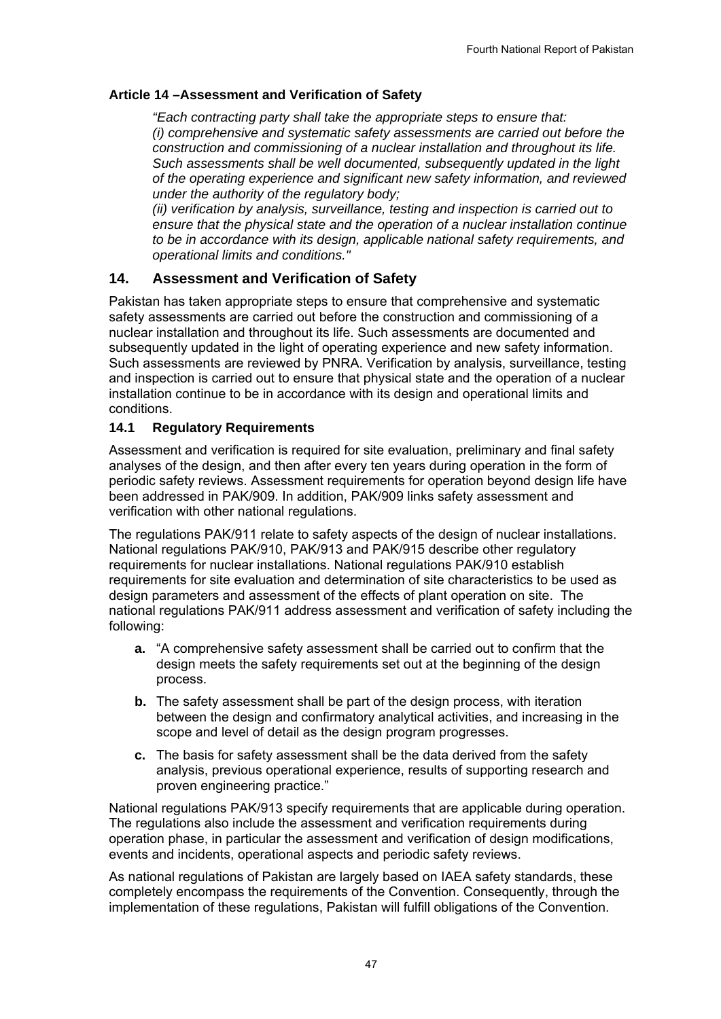### **Article 14 –Assessment and Verification of Safety**

*"Each contracting party shall take the appropriate steps to ensure that: (i) comprehensive and systematic safety assessments are carried out before the construction and commissioning of a nuclear installation and throughout its life. Such assessments shall be well documented, subsequently updated in the light of the operating experience and significant new safety information, and reviewed under the authority of the regulatory body;* 

*(ii) verification by analysis, surveillance, testing and inspection is carried out to ensure that the physical state and the operation of a nuclear installation continue to be in accordance with its design, applicable national safety requirements, and operational limits and conditions."* 

# **14. Assessment and Verification of Safety**

Pakistan has taken appropriate steps to ensure that comprehensive and systematic safety assessments are carried out before the construction and commissioning of a nuclear installation and throughout its life. Such assessments are documented and subsequently updated in the light of operating experience and new safety information. Such assessments are reviewed by PNRA. Verification by analysis, surveillance, testing and inspection is carried out to ensure that physical state and the operation of a nuclear installation continue to be in accordance with its design and operational limits and conditions.

## **14.1 Regulatory Requirements**

Assessment and verification is required for site evaluation, preliminary and final safety analyses of the design, and then after every ten years during operation in the form of periodic safety reviews. Assessment requirements for operation beyond design life have been addressed in PAK/909. In addition, PAK/909 links safety assessment and verification with other national regulations.

The regulations PAK/911 relate to safety aspects of the design of nuclear installations. National regulations PAK/910, PAK/913 and PAK/915 describe other regulatory requirements for nuclear installations. National regulations PAK/910 establish requirements for site evaluation and determination of site characteristics to be used as design parameters and assessment of the effects of plant operation on site. The national regulations PAK/911 address assessment and verification of safety including the following:

- **a.** "A comprehensive safety assessment shall be carried out to confirm that the design meets the safety requirements set out at the beginning of the design process.
- **b.** The safety assessment shall be part of the design process, with iteration between the design and confirmatory analytical activities, and increasing in the scope and level of detail as the design program progresses.
- **c.** The basis for safety assessment shall be the data derived from the safety analysis, previous operational experience, results of supporting research and proven engineering practice."

National regulations PAK/913 specify requirements that are applicable during operation. The regulations also include the assessment and verification requirements during operation phase, in particular the assessment and verification of design modifications, events and incidents, operational aspects and periodic safety reviews.

As national regulations of Pakistan are largely based on IAEA safety standards, these completely encompass the requirements of the Convention. Consequently, through the implementation of these regulations, Pakistan will fulfill obligations of the Convention.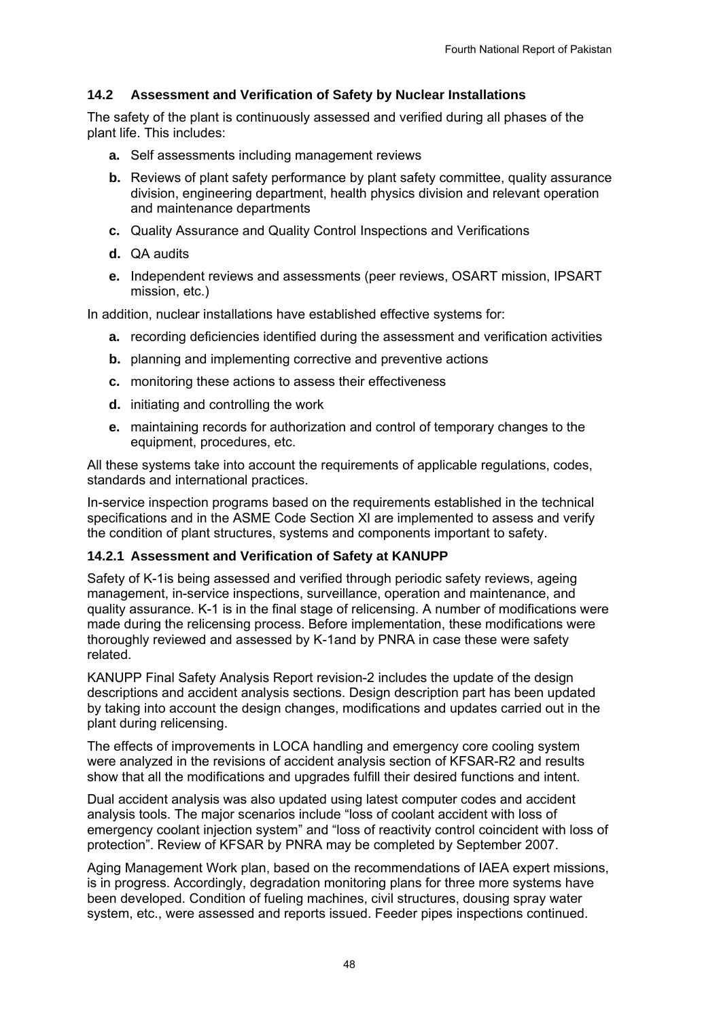### **14.2 Assessment and Verification of Safety by Nuclear Installations**

The safety of the plant is continuously assessed and verified during all phases of the plant life. This includes:

- **a.** Self assessments including management reviews
- **b.** Reviews of plant safety performance by plant safety committee, quality assurance division, engineering department, health physics division and relevant operation and maintenance departments
- **c.** Quality Assurance and Quality Control Inspections and Verifications
- **d.** QA audits
- **e.** Independent reviews and assessments (peer reviews, OSART mission, IPSART mission, etc.)

In addition, nuclear installations have established effective systems for:

- **a.** recording deficiencies identified during the assessment and verification activities
- **b.** planning and implementing corrective and preventive actions
- **c.** monitoring these actions to assess their effectiveness
- **d.** initiating and controlling the work
- **e.** maintaining records for authorization and control of temporary changes to the equipment, procedures, etc.

All these systems take into account the requirements of applicable regulations, codes, standards and international practices.

In-service inspection programs based on the requirements established in the technical specifications and in the ASME Code Section XI are implemented to assess and verify the condition of plant structures, systems and components important to safety.

#### **14.2.1 Assessment and Verification of Safety at KANUPP**

Safety of K-1is being assessed and verified through periodic safety reviews, ageing management, in-service inspections, surveillance, operation and maintenance, and quality assurance. K-1 is in the final stage of relicensing. A number of modifications were made during the relicensing process. Before implementation, these modifications were thoroughly reviewed and assessed by K-1and by PNRA in case these were safety related.

KANUPP Final Safety Analysis Report revision-2 includes the update of the design descriptions and accident analysis sections. Design description part has been updated by taking into account the design changes, modifications and updates carried out in the plant during relicensing.

The effects of improvements in LOCA handling and emergency core cooling system were analyzed in the revisions of accident analysis section of KFSAR-R2 and results show that all the modifications and upgrades fulfill their desired functions and intent.

Dual accident analysis was also updated using latest computer codes and accident analysis tools. The major scenarios include "loss of coolant accident with loss of emergency coolant injection system" and "loss of reactivity control coincident with loss of protection". Review of KFSAR by PNRA may be completed by September 2007.

Aging Management Work plan, based on the recommendations of IAEA expert missions, is in progress. Accordingly, degradation monitoring plans for three more systems have been developed. Condition of fueling machines, civil structures, dousing spray water system, etc., were assessed and reports issued. Feeder pipes inspections continued.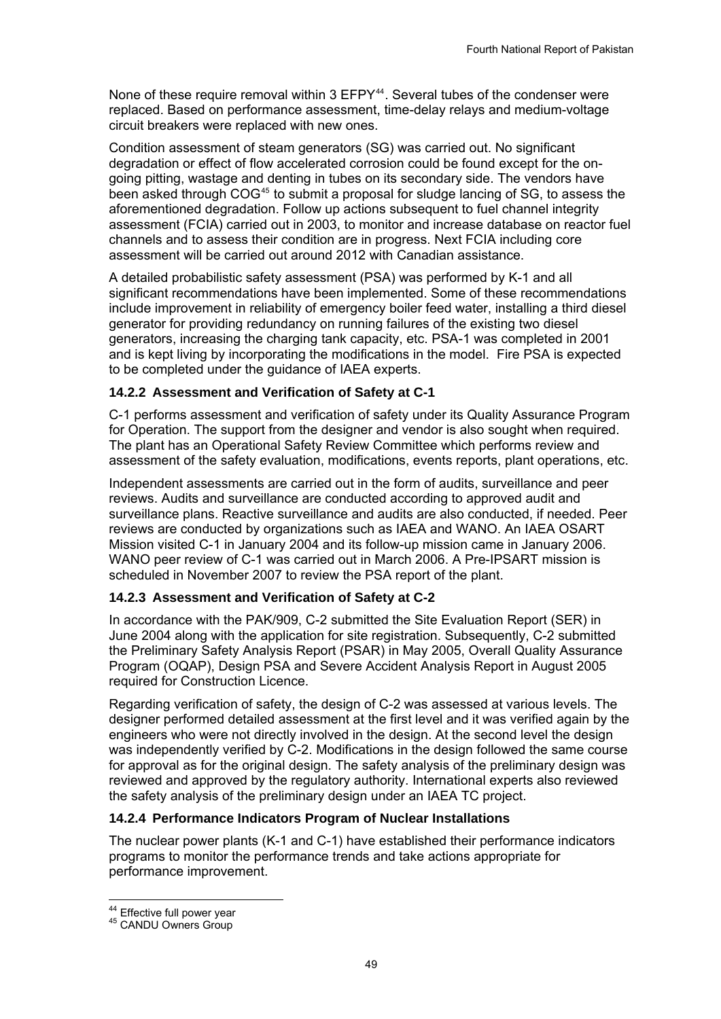<span id="page-58-0"></span>None of these require removal within 3 EFPY<sup>[44](#page-58-0)</sup>. Several tubes of the condenser were replaced. Based on performance assessment, time-delay relays and medium-voltage circuit breakers were replaced with new ones.

Condition assessment of steam generators (SG) was carried out. No significant degradation or effect of flow accelerated corrosion could be found except for the ongoing pitting, wastage and denting in tubes on its secondary side. The vendors have been asked through COG<sup>[45](#page-58-0)</sup> to submit a proposal for sludge lancing of SG, to assess the aforementioned degradation. Follow up actions subsequent to fuel channel integrity assessment (FCIA) carried out in 2003, to monitor and increase database on reactor fuel channels and to assess their condition are in progress. Next FCIA including core assessment will be carried out around 2012 with Canadian assistance.

A detailed probabilistic safety assessment (PSA) was performed by K-1 and all significant recommendations have been implemented. Some of these recommendations include improvement in reliability of emergency boiler feed water, installing a third diesel generator for providing redundancy on running failures of the existing two diesel generators, increasing the charging tank capacity, etc. PSA-1 was completed in 2001 and is kept living by incorporating the modifications in the model. Fire PSA is expected to be completed under the guidance of IAEA experts.

## **14.2.2 Assessment and Verification of Safety at C-1**

C-1 performs assessment and verification of safety under its Quality Assurance Program for Operation. The support from the designer and vendor is also sought when required. The plant has an Operational Safety Review Committee which performs review and assessment of the safety evaluation, modifications, events reports, plant operations, etc.

Independent assessments are carried out in the form of audits, surveillance and peer reviews. Audits and surveillance are conducted according to approved audit and surveillance plans. Reactive surveillance and audits are also conducted, if needed. Peer reviews are conducted by organizations such as IAEA and WANO. An IAEA OSART Mission visited C-1 in January 2004 and its follow-up mission came in January 2006. WANO peer review of C-1 was carried out in March 2006. A Pre-IPSART mission is scheduled in November 2007 to review the PSA report of the plant.

## **14.2.3 Assessment and Verification of Safety at C-2**

In accordance with the PAK/909, C-2 submitted the Site Evaluation Report (SER) in June 2004 along with the application for site registration. Subsequently, C-2 submitted the Preliminary Safety Analysis Report (PSAR) in May 2005, Overall Quality Assurance Program (OQAP), Design PSA and Severe Accident Analysis Report in August 2005 required for Construction Licence.

Regarding verification of safety, the design of C-2 was assessed at various levels. The designer performed detailed assessment at the first level and it was verified again by the engineers who were not directly involved in the design. At the second level the design was independently verified by C-2. Modifications in the design followed the same course for approval as for the original design. The safety analysis of the preliminary design was reviewed and approved by the regulatory authority. International experts also reviewed the safety analysis of the preliminary design under an IAEA TC project.

## **14.2.4 Performance Indicators Program of Nuclear Installations**

The nuclear power plants (K-1 and C-1) have established their performance indicators programs to monitor the performance trends and take actions appropriate for performance improvement.

1

<sup>&</sup>lt;sup>44</sup> Effective full power year<br><sup>45</sup> CANDU Owners Group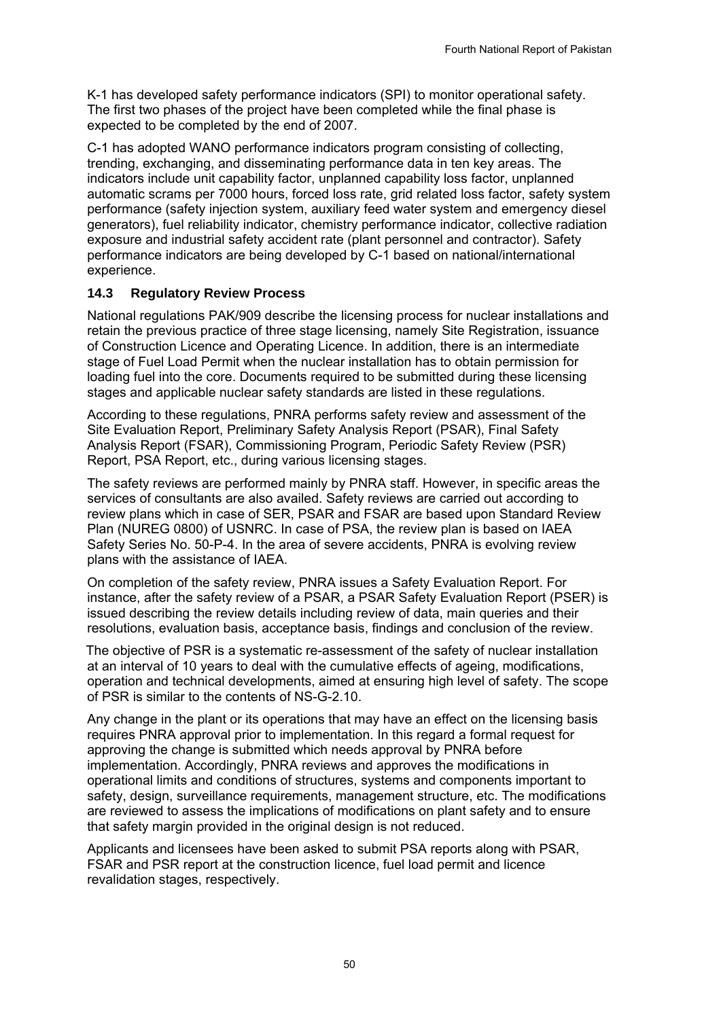K-1 has developed safety performance indicators (SPI) to monitor operational safety. The first two phases of the project have been completed while the final phase is expected to be completed by the end of 2007.

C-1 has adopted WANO performance indicators program consisting of collecting, trending, exchanging, and disseminating performance data in ten key areas. The indicators include unit capability factor, unplanned capability loss factor, unplanned automatic scrams per 7000 hours, forced loss rate, grid related loss factor, safety system performance (safety injection system, auxiliary feed water system and emergency diesel generators), fuel reliability indicator, chemistry performance indicator, collective radiation exposure and industrial safety accident rate (plant personnel and contractor). Safety performance indicators are being developed by C-1 based on national/international experience.

## **14.3 Regulatory Review Process**

National regulations PAK/909 describe the licensing process for nuclear installations and retain the previous practice of three stage licensing, namely Site Registration, issuance of Construction Licence and Operating Licence. In addition, there is an intermediate stage of Fuel Load Permit when the nuclear installation has to obtain permission for loading fuel into the core. Documents required to be submitted during these licensing stages and applicable nuclear safety standards are listed in these regulations.

According to these regulations, PNRA performs safety review and assessment of the Site Evaluation Report, Preliminary Safety Analysis Report (PSAR), Final Safety Analysis Report (FSAR), Commissioning Program, Periodic Safety Review (PSR) Report, PSA Report, etc., during various licensing stages.

The safety reviews are performed mainly by PNRA staff. However, in specific areas the services of consultants are also availed. Safety reviews are carried out according to review plans which in case of SER, PSAR and FSAR are based upon Standard Review Plan (NUREG 0800) of USNRC. In case of PSA, the review plan is based on IAEA Safety Series No. 50-P-4. In the area of severe accidents, PNRA is evolving review plans with the assistance of IAEA.

On completion of the safety review, PNRA issues a Safety Evaluation Report. For instance, after the safety review of a PSAR, a PSAR Safety Evaluation Report (PSER) is issued describing the review details including review of data, main queries and their resolutions, evaluation basis, acceptance basis, findings and conclusion of the review.

The objective of PSR is a systematic re-assessment of the safety of nuclear installation at an interval of 10 years to deal with the cumulative effects of ageing, modifications, operation and technical developments, aimed at ensuring high level of safety. The scope of PSR is similar to the contents of NS-G-2.10.

Any change in the plant or its operations that may have an effect on the licensing basis requires PNRA approval prior to implementation. In this regard a formal request for approving the change is submitted which needs approval by PNRA before implementation. Accordingly, PNRA reviews and approves the modifications in operational limits and conditions of structures, systems and components important to safety, design, surveillance requirements, management structure, etc. The modifications are reviewed to assess the implications of modifications on plant safety and to ensure that safety margin provided in the original design is not reduced.

Applicants and licensees have been asked to submit PSA reports along with PSAR, FSAR and PSR report at the construction licence, fuel load permit and licence revalidation stages, respectively.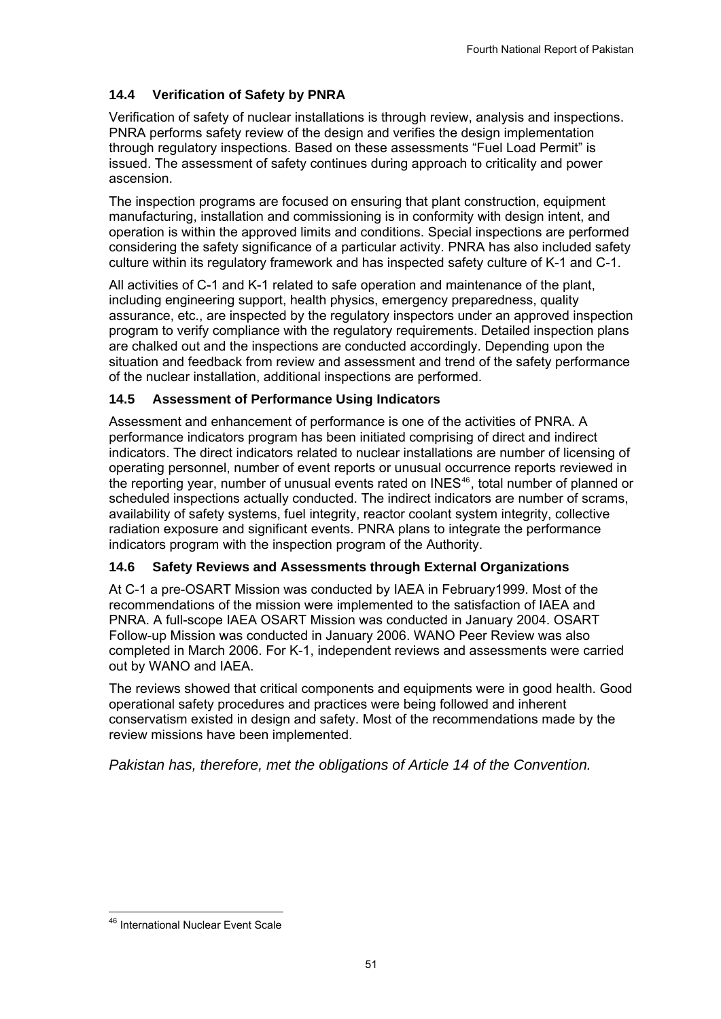# <span id="page-60-0"></span>**14.4 Verification of Safety by PNRA**

Verification of safety of nuclear installations is through review, analysis and inspections. PNRA performs safety review of the design and verifies the design implementation through regulatory inspections. Based on these assessments "Fuel Load Permit" is issued. The assessment of safety continues during approach to criticality and power ascension.

The inspection programs are focused on ensuring that plant construction, equipment manufacturing, installation and commissioning is in conformity with design intent, and operation is within the approved limits and conditions. Special inspections are performed considering the safety significance of a particular activity. PNRA has also included safety culture within its regulatory framework and has inspected safety culture of K-1 and C-1.

All activities of C-1 and K-1 related to safe operation and maintenance of the plant, including engineering support, health physics, emergency preparedness, quality assurance, etc., are inspected by the regulatory inspectors under an approved inspection program to verify compliance with the regulatory requirements. Detailed inspection plans are chalked out and the inspections are conducted accordingly. Depending upon the situation and feedback from review and assessment and trend of the safety performance of the nuclear installation, additional inspections are performed.

#### **14.5 Assessment of Performance Using Indicators**

Assessment and enhancement of performance is one of the activities of PNRA. A performance indicators program has been initiated comprising of direct and indirect indicators. The direct indicators related to nuclear installations are number of licensing of operating personnel, number of event reports or unusual occurrence reports reviewed in the reporting year, number of unusual events rated on INES<sup>[46](#page-60-0)</sup>, total number of planned or scheduled inspections actually conducted. The indirect indicators are number of scrams, availability of safety systems, fuel integrity, reactor coolant system integrity, collective radiation exposure and significant events. PNRA plans to integrate the performance indicators program with the inspection program of the Authority.

## **14.6 Safety Reviews and Assessments through External Organizations**

At C-1 a pre-OSART Mission was conducted by IAEA in February1999. Most of the recommendations of the mission were implemented to the satisfaction of IAEA and PNRA. A full-scope IAEA OSART Mission was conducted in January 2004. OSART Follow-up Mission was conducted in January 2006. WANO Peer Review was also completed in March 2006. For K-1, independent reviews and assessments were carried out by WANO and IAEA.

The reviews showed that critical components and equipments were in good health. Good operational safety procedures and practices were being followed and inherent conservatism existed in design and safety. Most of the recommendations made by the review missions have been implemented.

*Pakistan has, therefore, met the obligations of Article 14 of the Convention.* 

<sup>1</sup> <sup>46</sup> International Nuclear Event Scale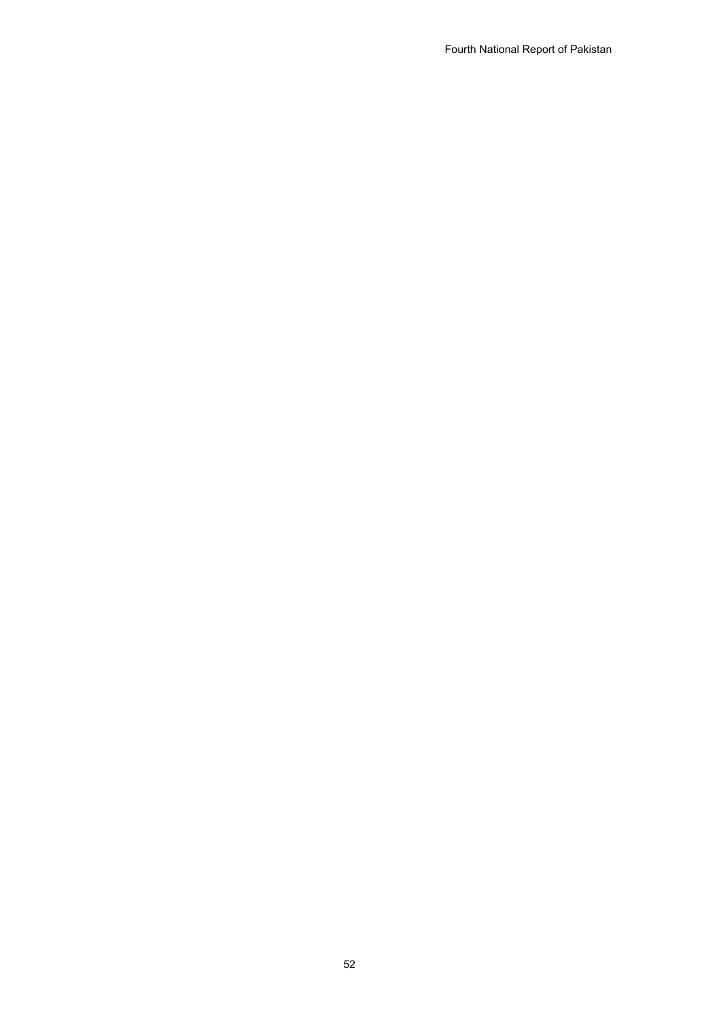Fourth National Report of Pakistan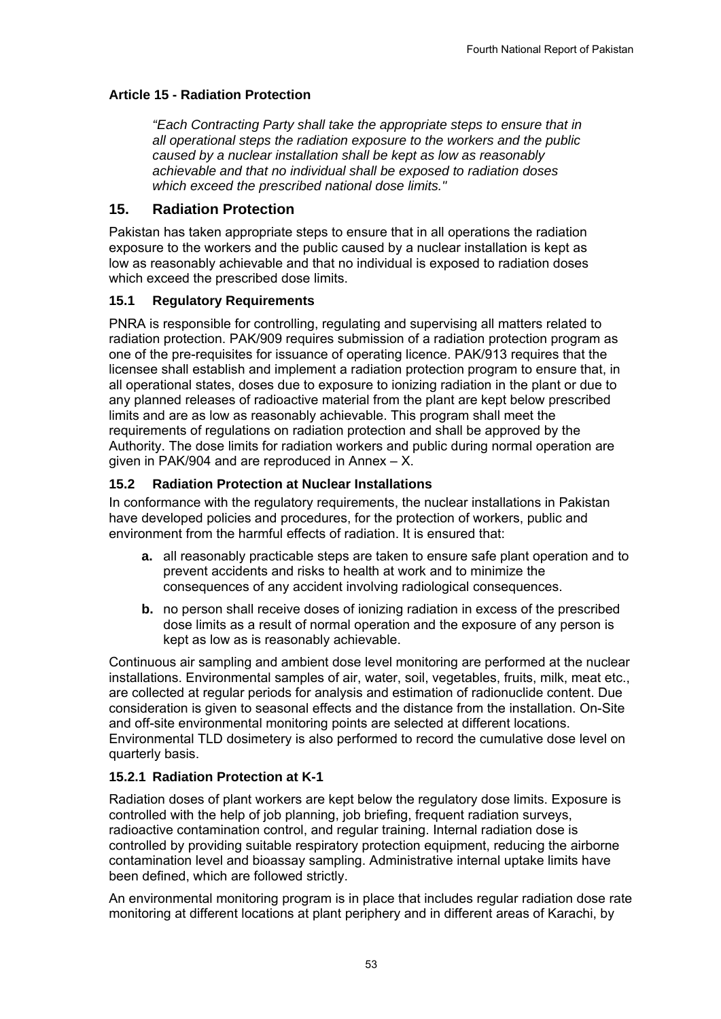## **Article 15 - Radiation Protection**

*"Each Contracting Party shall take the appropriate steps to ensure that in all operational steps the radiation exposure to the workers and the public caused by a nuclear installation shall be kept as low as reasonably achievable and that no individual shall be exposed to radiation doses which exceed the prescribed national dose limits."* 

## **15. Radiation Protection**

Pakistan has taken appropriate steps to ensure that in all operations the radiation exposure to the workers and the public caused by a nuclear installation is kept as low as reasonably achievable and that no individual is exposed to radiation doses which exceed the prescribed dose limits.

## **15.1 Regulatory Requirements**

PNRA is responsible for controlling, regulating and supervising all matters related to radiation protection. PAK/909 requires submission of a radiation protection program as one of the pre-requisites for issuance of operating licence. PAK/913 requires that the licensee shall establish and implement a radiation protection program to ensure that, in all operational states, doses due to exposure to ionizing radiation in the plant or due to any planned releases of radioactive material from the plant are kept below prescribed limits and are as low as reasonably achievable. This program shall meet the requirements of regulations on radiation protection and shall be approved by the Authority. The dose limits for radiation workers and public during normal operation are given in PAK/904 and are reproduced in Annex  $- X$ .

## **15.2 Radiation Protection at Nuclear Installations**

In conformance with the regulatory requirements, the nuclear installations in Pakistan have developed policies and procedures, for the protection of workers, public and environment from the harmful effects of radiation. It is ensured that:

- **a.** all reasonably practicable steps are taken to ensure safe plant operation and to prevent accidents and risks to health at work and to minimize the consequences of any accident involving radiological consequences.
- **b.** no person shall receive doses of ionizing radiation in excess of the prescribed dose limits as a result of normal operation and the exposure of any person is kept as low as is reasonably achievable.

Continuous air sampling and ambient dose level monitoring are performed at the nuclear installations. Environmental samples of air, water, soil, vegetables, fruits, milk, meat etc., are collected at regular periods for analysis and estimation of radionuclide content. Due consideration is given to seasonal effects and the distance from the installation. On-Site and off-site environmental monitoring points are selected at different locations. Environmental TLD dosimetery is also performed to record the cumulative dose level on quarterly basis.

## **15.2.1 Radiation Protection at K-1**

Radiation doses of plant workers are kept below the regulatory dose limits. Exposure is controlled with the help of job planning, job briefing, frequent radiation surveys, radioactive contamination control, and regular training. Internal radiation dose is controlled by providing suitable respiratory protection equipment, reducing the airborne contamination level and bioassay sampling. Administrative internal uptake limits have been defined, which are followed strictly.

An environmental monitoring program is in place that includes regular radiation dose rate monitoring at different locations at plant periphery and in different areas of Karachi, by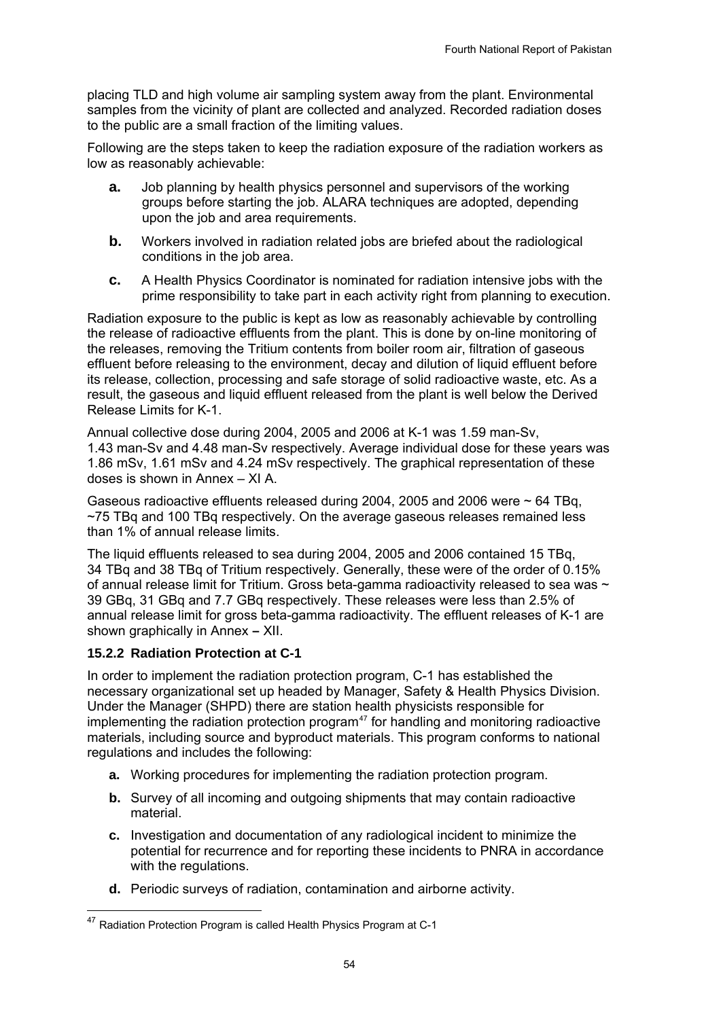<span id="page-63-0"></span>placing TLD and high volume air sampling system away from the plant. Environmental samples from the vicinity of plant are collected and analyzed. Recorded radiation doses to the public are a small fraction of the limiting values.

Following are the steps taken to keep the radiation exposure of the radiation workers as low as reasonably achievable:

- **a.** Job planning by health physics personnel and supervisors of the working groups before starting the job. ALARA techniques are adopted, depending upon the job and area requirements.
- **b.** Workers involved in radiation related jobs are briefed about the radiological conditions in the job area.
- **c.** A Health Physics Coordinator is nominated for radiation intensive jobs with the prime responsibility to take part in each activity right from planning to execution.

Radiation exposure to the public is kept as low as reasonably achievable by controlling the release of radioactive effluents from the plant. This is done by on-line monitoring of the releases, removing the Tritium contents from boiler room air, filtration of gaseous effluent before releasing to the environment, decay and dilution of liquid effluent before its release, collection, processing and safe storage of solid radioactive waste, etc. As a result, the gaseous and liquid effluent released from the plant is well below the Derived Release Limits for K-1.

Annual collective dose during 2004, 2005 and 2006 at K-1 was 1.59 man-Sv, 1.43 man-Sv and 4.48 man-Sv respectively. Average individual dose for these years was 1.86 mSv, 1.61 mSv and 4.24 mSv respectively. The graphical representation of these doses is shown in Annex – XI A.

Gaseous radioactive effluents released during 2004, 2005 and 2006 were  $\sim$  64 TBq, ~75 TBq and 100 TBq respectively. On the average gaseous releases remained less than 1% of annual release limits.

The liquid effluents released to sea during 2004, 2005 and 2006 contained 15 TBq, 34 TBq and 38 TBq of Tritium respectively. Generally, these were of the order of 0.15% of annual release limit for Tritium. Gross beta-gamma radioactivity released to sea was ~ 39 GBq, 31 GBq and 7.7 GBq respectively. These releases were less than 2.5% of annual release limit for gross beta-gamma radioactivity. The effluent releases of K-1 are shown graphically in Annex **–** XII.

#### **15.2.2 Radiation Protection at C-1**

In order to implement the radiation protection program, C-1 has established the necessary organizational set up headed by Manager, Safety & Health Physics Division. Under the Manager (SHPD) there are station health physicists responsible for implementing the radiation protection program<sup>[47](#page-63-0)</sup> for handling and monitoring radioactive materials, including source and byproduct materials. This program conforms to national regulations and includes the following:

- **a.** Working procedures for implementing the radiation protection program.
- **b.** Survey of all incoming and outgoing shipments that may contain radioactive material.
- **c.** Investigation and documentation of any radiological incident to minimize the potential for recurrence and for reporting these incidents to PNRA in accordance with the regulations.
- **d.** Periodic surveys of radiation, contamination and airborne activity.

<sup>1</sup> <sup>47</sup> Radiation Protection Program is called Health Physics Program at C-1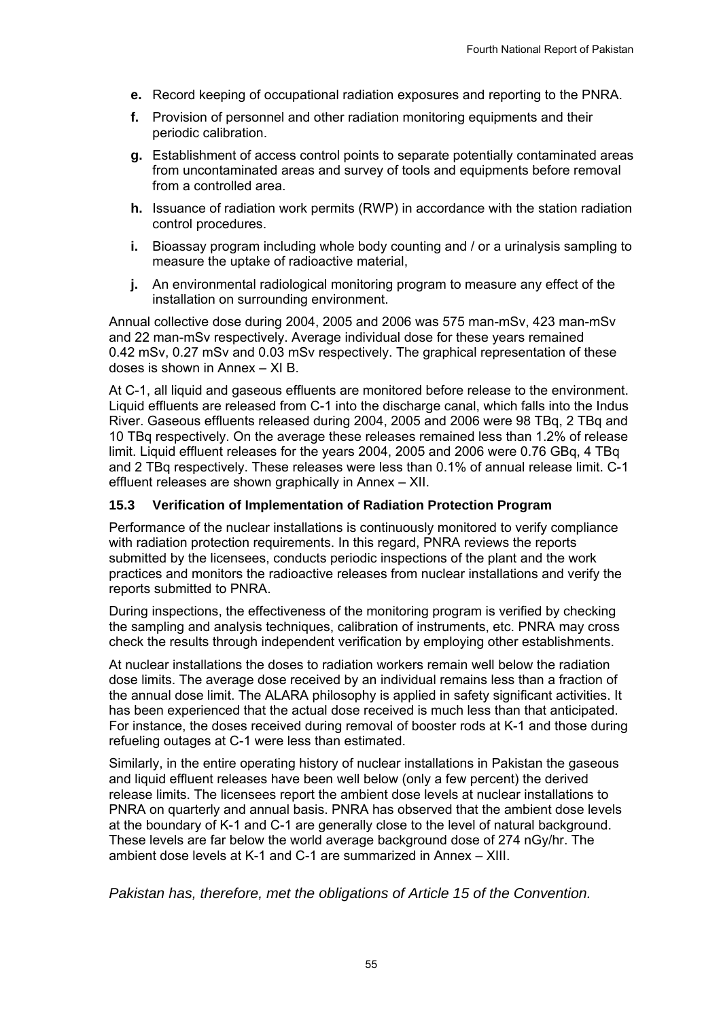- **e.** Record keeping of occupational radiation exposures and reporting to the PNRA.
- **f.** Provision of personnel and other radiation monitoring equipments and their periodic calibration.
- **g.** Establishment of access control points to separate potentially contaminated areas from uncontaminated areas and survey of tools and equipments before removal from a controlled area.
- **h.** Issuance of radiation work permits (RWP) in accordance with the station radiation control procedures.
- **i.** Bioassay program including whole body counting and / or a urinalysis sampling to measure the uptake of radioactive material,
- **j.** An environmental radiological monitoring program to measure any effect of the installation on surrounding environment.

Annual collective dose during 2004, 2005 and 2006 was 575 man-mSv, 423 man-mSv and 22 man-mSv respectively. Average individual dose for these years remained 0.42 mSv, 0.27 mSv and 0.03 mSv respectively. The graphical representation of these doses is shown in Annex – XI B.

At C-1, all liquid and gaseous effluents are monitored before release to the environment. Liquid effluents are released from C-1 into the discharge canal, which falls into the Indus River. Gaseous effluents released during 2004, 2005 and 2006 were 98 TBq, 2 TBq and 10 TBq respectively. On the average these releases remained less than 1.2% of release limit. Liquid effluent releases for the years 2004, 2005 and 2006 were 0.76 GBq, 4 TBq and 2 TBq respectively. These releases were less than 0.1% of annual release limit. C-1 effluent releases are shown graphically in Annex – XII.

#### **15.3 Verification of Implementation of Radiation Protection Program**

Performance of the nuclear installations is continuously monitored to verify compliance with radiation protection requirements. In this regard, PNRA reviews the reports submitted by the licensees, conducts periodic inspections of the plant and the work practices and monitors the radioactive releases from nuclear installations and verify the reports submitted to PNRA.

During inspections, the effectiveness of the monitoring program is verified by checking the sampling and analysis techniques, calibration of instruments, etc. PNRA may cross check the results through independent verification by employing other establishments.

At nuclear installations the doses to radiation workers remain well below the radiation dose limits. The average dose received by an individual remains less than a fraction of the annual dose limit. The ALARA philosophy is applied in safety significant activities. It has been experienced that the actual dose received is much less than that anticipated. For instance, the doses received during removal of booster rods at K-1 and those during refueling outages at C-1 were less than estimated.

Similarly, in the entire operating history of nuclear installations in Pakistan the gaseous and liquid effluent releases have been well below (only a few percent) the derived release limits. The licensees report the ambient dose levels at nuclear installations to PNRA on quarterly and annual basis. PNRA has observed that the ambient dose levels at the boundary of K-1 and C-1 are generally close to the level of natural background. These levels are far below the world average background dose of 274 nGy/hr. The ambient dose levels at K-1 and C-1 are summarized in Annex – XIII.

*Pakistan has, therefore, met the obligations of Article 15 of the Convention.*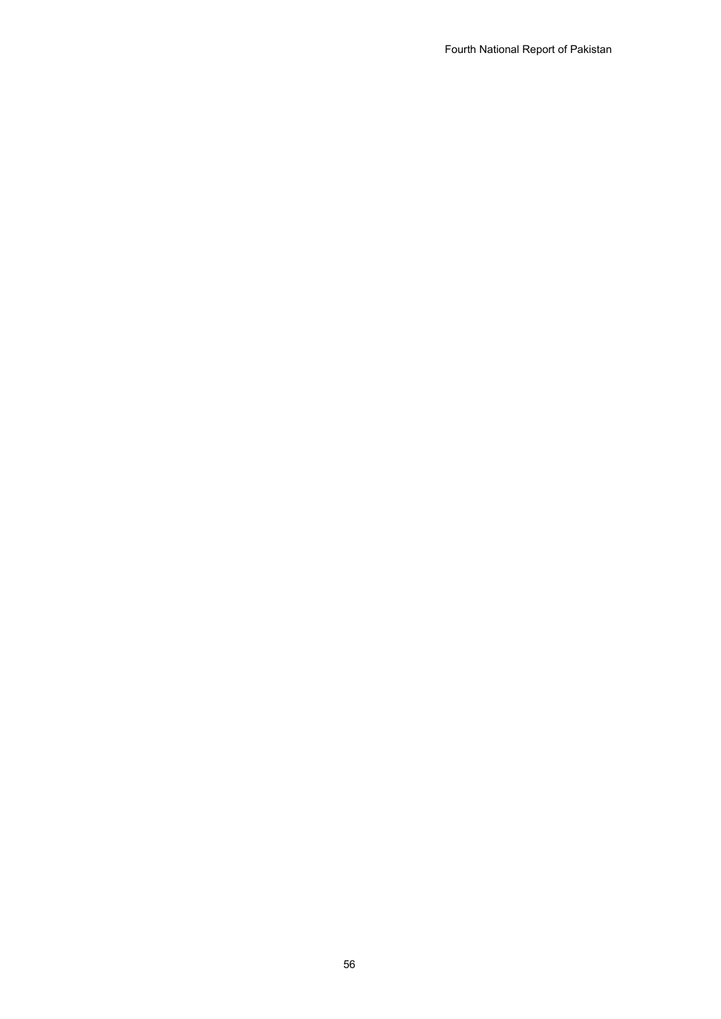Fourth National Report of Pakistan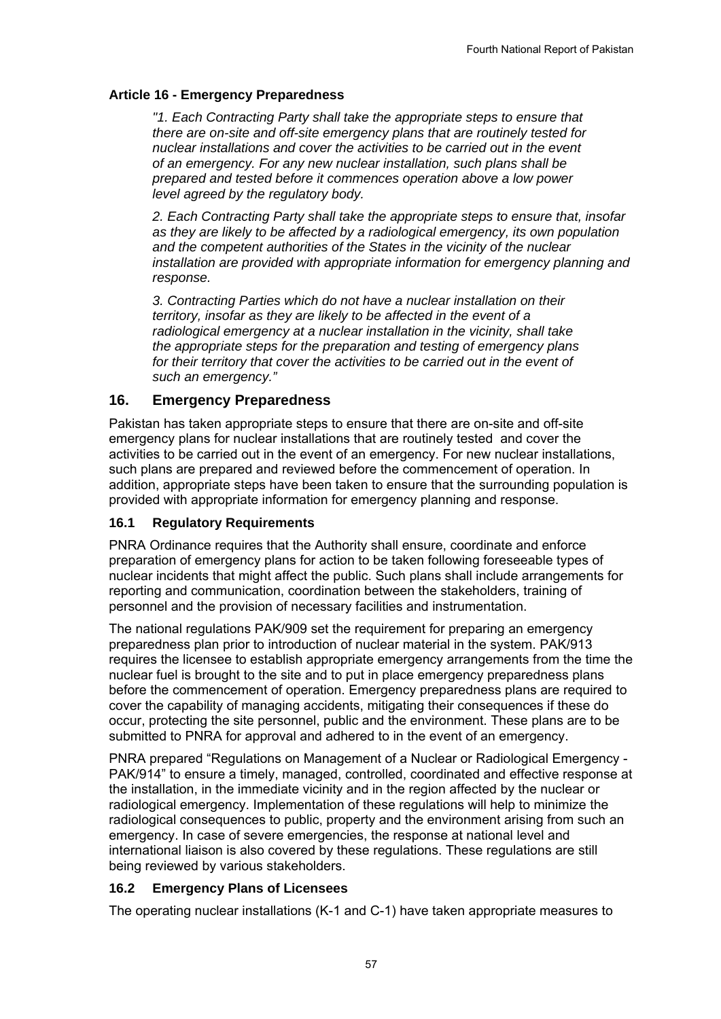#### **Article 16 - Emergency Preparedness**

*"1. Each Contracting Party shall take the appropriate steps to ensure that there are on-site and off-site emergency plans that are routinely tested for nuclear installations and cover the activities to be carried out in the event of an emergency. For any new nuclear installation, such plans shall be prepared and tested before it commences operation above a low power level agreed by the regulatory body.* 

*2. Each Contracting Party shall take the appropriate steps to ensure that, insofar as they are likely to be affected by a radiological emergency, its own population and the competent authorities of the States in the vicinity of the nuclear installation are provided with appropriate information for emergency planning and response.* 

*3. Contracting Parties which do not have a nuclear installation on their territory, insofar as they are likely to be affected in the event of a radiological emergency at a nuclear installation in the vicinity, shall take the appropriate steps for the preparation and testing of emergency plans*  for their territory that cover the activities to be carried out in the event of *such an emergency."*

# **16. Emergency Preparedness**

Pakistan has taken appropriate steps to ensure that there are on-site and off-site emergency plans for nuclear installations that are routinely tested and cover the activities to be carried out in the event of an emergency. For new nuclear installations, such plans are prepared and reviewed before the commencement of operation. In addition, appropriate steps have been taken to ensure that the surrounding population is provided with appropriate information for emergency planning and response.

## **16.1 Regulatory Requirements**

PNRA Ordinance requires that the Authority shall ensure, coordinate and enforce preparation of emergency plans for action to be taken following foreseeable types of nuclear incidents that might affect the public. Such plans shall include arrangements for reporting and communication, coordination between the stakeholders, training of personnel and the provision of necessary facilities and instrumentation.

The national regulations PAK/909 set the requirement for preparing an emergency preparedness plan prior to introduction of nuclear material in the system. PAK/913 requires the licensee to establish appropriate emergency arrangements from the time the nuclear fuel is brought to the site and to put in place emergency preparedness plans before the commencement of operation. Emergency preparedness plans are required to cover the capability of managing accidents, mitigating their consequences if these do occur, protecting the site personnel, public and the environment. These plans are to be submitted to PNRA for approval and adhered to in the event of an emergency.

PNRA prepared "Regulations on Management of a Nuclear or Radiological Emergency - PAK/914" to ensure a timely, managed, controlled, coordinated and effective response at the installation, in the immediate vicinity and in the region affected by the nuclear or radiological emergency. Implementation of these regulations will help to minimize the radiological consequences to public, property and the environment arising from such an emergency. In case of severe emergencies, the response at national level and international liaison is also covered by these regulations. These regulations are still being reviewed by various stakeholders.

## **16.2 Emergency Plans of Licensees**

The operating nuclear installations (K-1 and C-1) have taken appropriate measures to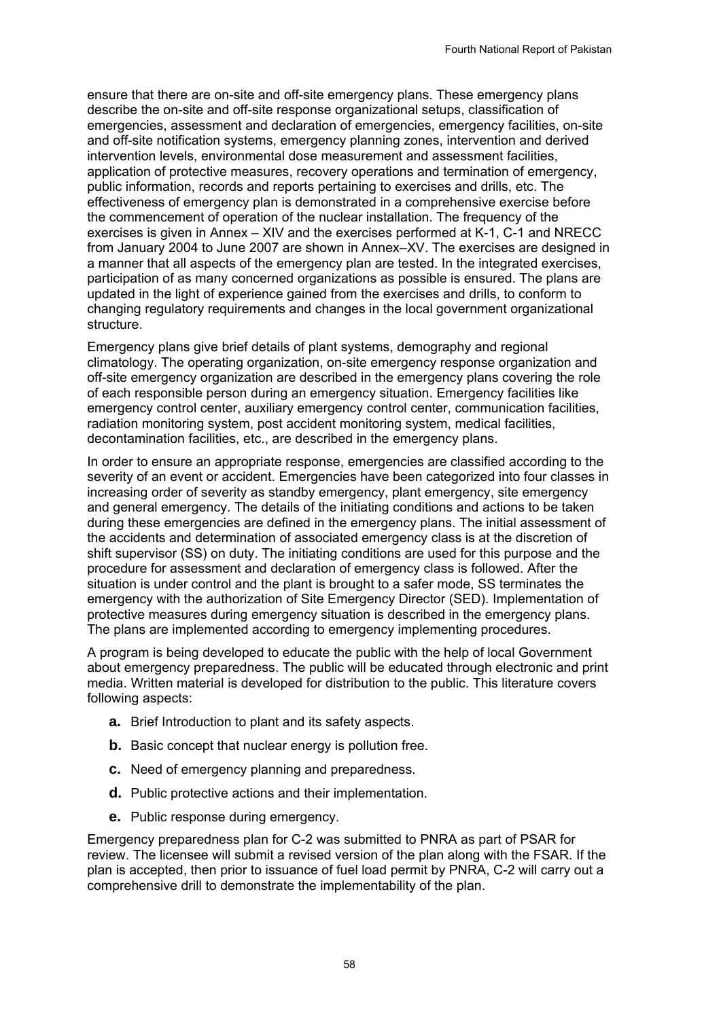ensure that there are on-site and off-site emergency plans. These emergency plans describe the on-site and off-site response organizational setups, classification of emergencies, assessment and declaration of emergencies, emergency facilities, on-site and off-site notification systems, emergency planning zones, intervention and derived intervention levels, environmental dose measurement and assessment facilities, application of protective measures, recovery operations and termination of emergency, public information, records and reports pertaining to exercises and drills, etc. The effectiveness of emergency plan is demonstrated in a comprehensive exercise before the commencement of operation of the nuclear installation. The frequency of the exercises is given in Annex – XIV and the exercises performed at K-1, C-1 and NRECC from January 2004 to June 2007 are shown in Annex–XV. The exercises are designed in a manner that all aspects of the emergency plan are tested. In the integrated exercises, participation of as many concerned organizations as possible is ensured. The plans are updated in the light of experience gained from the exercises and drills, to conform to changing regulatory requirements and changes in the local government organizational structure.

Emergency plans give brief details of plant systems, demography and regional climatology. The operating organization, on-site emergency response organization and off-site emergency organization are described in the emergency plans covering the role of each responsible person during an emergency situation. Emergency facilities like emergency control center, auxiliary emergency control center, communication facilities, radiation monitoring system, post accident monitoring system, medical facilities, decontamination facilities, etc., are described in the emergency plans.

In order to ensure an appropriate response, emergencies are classified according to the severity of an event or accident. Emergencies have been categorized into four classes in increasing order of severity as standby emergency, plant emergency, site emergency and general emergency. The details of the initiating conditions and actions to be taken during these emergencies are defined in the emergency plans. The initial assessment of the accidents and determination of associated emergency class is at the discretion of shift supervisor (SS) on duty. The initiating conditions are used for this purpose and the procedure for assessment and declaration of emergency class is followed. After the situation is under control and the plant is brought to a safer mode, SS terminates the emergency with the authorization of Site Emergency Director (SED). Implementation of protective measures during emergency situation is described in the emergency plans. The plans are implemented according to emergency implementing procedures.

A program is being developed to educate the public with the help of local Government about emergency preparedness. The public will be educated through electronic and print media. Written material is developed for distribution to the public. This literature covers following aspects:

- **a.** Brief Introduction to plant and its safety aspects.
- **b.** Basic concept that nuclear energy is pollution free.
- **c.** Need of emergency planning and preparedness.
- **d.** Public protective actions and their implementation.
- **e.** Public response during emergency.

Emergency preparedness plan for C-2 was submitted to PNRA as part of PSAR for review. The licensee will submit a revised version of the plan along with the FSAR. If the plan is accepted, then prior to issuance of fuel load permit by PNRA, C-2 will carry out a comprehensive drill to demonstrate the implementability of the plan.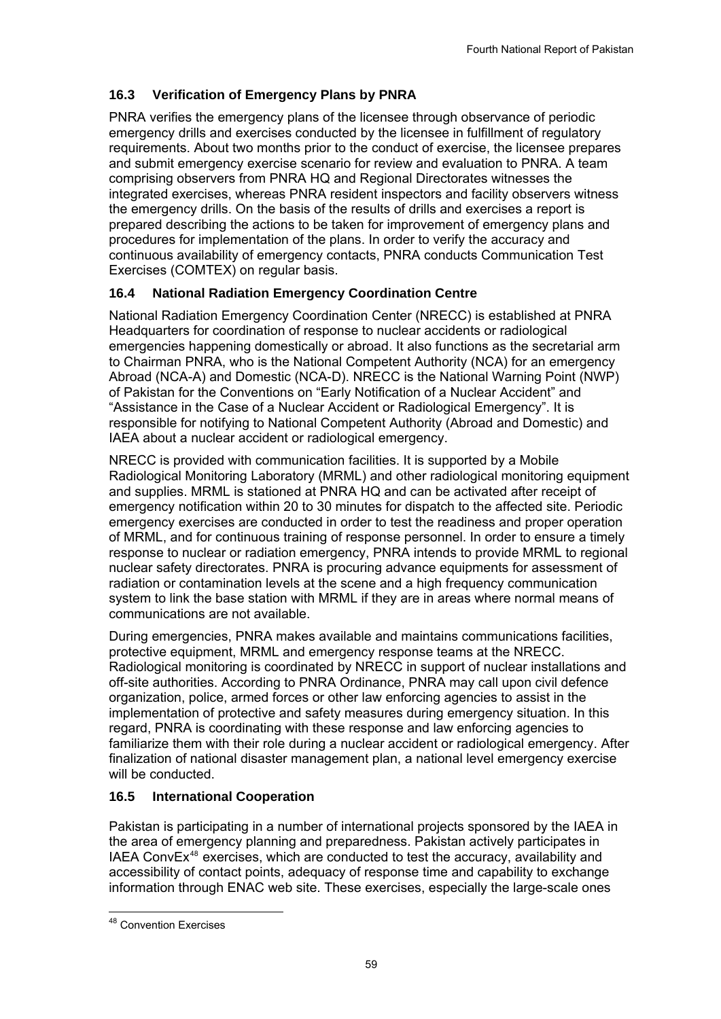# <span id="page-68-0"></span>**16.3 Verification of Emergency Plans by PNRA**

PNRA verifies the emergency plans of the licensee through observance of periodic emergency drills and exercises conducted by the licensee in fulfillment of regulatory requirements. About two months prior to the conduct of exercise, the licensee prepares and submit emergency exercise scenario for review and evaluation to PNRA. A team comprising observers from PNRA HQ and Regional Directorates witnesses the integrated exercises, whereas PNRA resident inspectors and facility observers witness the emergency drills. On the basis of the results of drills and exercises a report is prepared describing the actions to be taken for improvement of emergency plans and procedures for implementation of the plans. In order to verify the accuracy and continuous availability of emergency contacts, PNRA conducts Communication Test Exercises (COMTEX) on regular basis.

# **16.4 National Radiation Emergency Coordination Centre**

National Radiation Emergency Coordination Center (NRECC) is established at PNRA Headquarters for coordination of response to nuclear accidents or radiological emergencies happening domestically or abroad. It also functions as the secretarial arm to Chairman PNRA, who is the National Competent Authority (NCA) for an emergency Abroad (NCA-A) and Domestic (NCA-D). NRECC is the National Warning Point (NWP) of Pakistan for the Conventions on "Early Notification of a Nuclear Accident" and "Assistance in the Case of a Nuclear Accident or Radiological Emergency". It is responsible for notifying to National Competent Authority (Abroad and Domestic) and IAEA about a nuclear accident or radiological emergency.

NRECC is provided with communication facilities. It is supported by a Mobile Radiological Monitoring Laboratory (MRML) and other radiological monitoring equipment and supplies. MRML is stationed at PNRA HQ and can be activated after receipt of emergency notification within 20 to 30 minutes for dispatch to the affected site. Periodic emergency exercises are conducted in order to test the readiness and proper operation of MRML, and for continuous training of response personnel. In order to ensure a timely response to nuclear or radiation emergency, PNRA intends to provide MRML to regional nuclear safety directorates. PNRA is procuring advance equipments for assessment of radiation or contamination levels at the scene and a high frequency communication system to link the base station with MRML if they are in areas where normal means of communications are not available.

During emergencies, PNRA makes available and maintains communications facilities, protective equipment, MRML and emergency response teams at the NRECC. Radiological monitoring is coordinated by NRECC in support of nuclear installations and off-site authorities. According to PNRA Ordinance, PNRA may call upon civil defence organization, police, armed forces or other law enforcing agencies to assist in the implementation of protective and safety measures during emergency situation. In this regard, PNRA is coordinating with these response and law enforcing agencies to familiarize them with their role during a nuclear accident or radiological emergency. After finalization of national disaster management plan, a national level emergency exercise will be conducted.

## **16.5 International Cooperation**

Pakistan is participating in a number of international projects sponsored by the IAEA in the area of emergency planning and preparedness. Pakistan actively participates in IAEA ConvEx<sup>[48](#page-68-0)</sup> exercises, which are conducted to test the accuracy, availability and accessibility of contact points, adequacy of response time and capability to exchange information through ENAC web site. These exercises, especially the large-scale ones

1

<sup>48</sup> Convention Exercises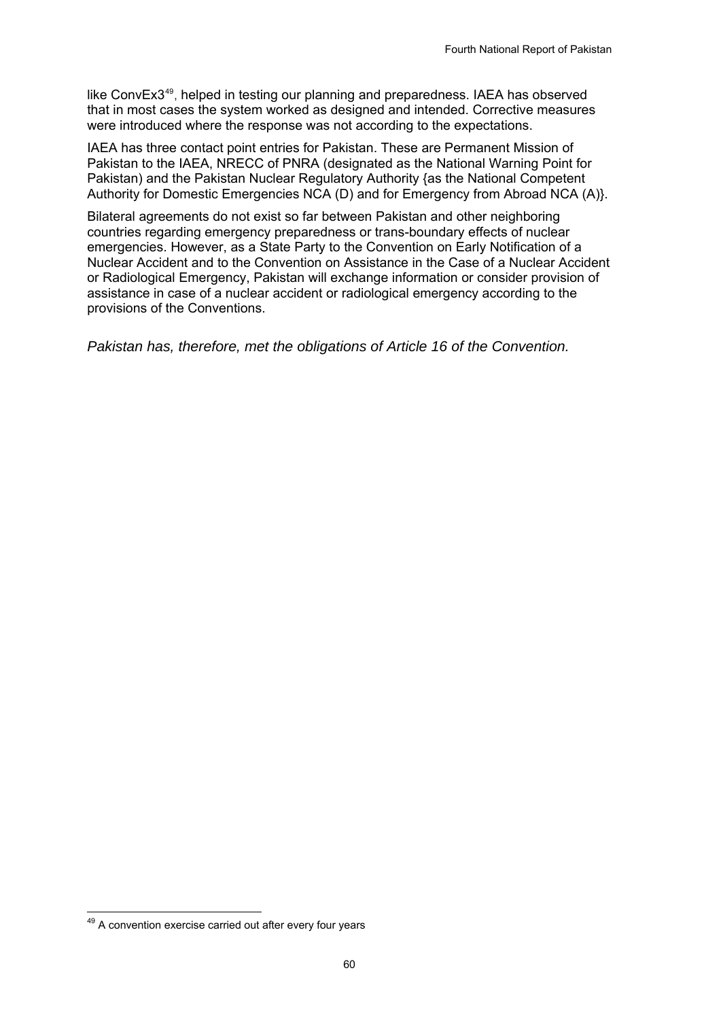<span id="page-69-0"></span>like ConvEx3<sup>[49](#page-69-0)</sup>, helped in testing our planning and preparedness. IAEA has observed that in most cases the system worked as designed and intended. Corrective measures were introduced where the response was not according to the expectations.

IAEA has three contact point entries for Pakistan. These are Permanent Mission of Pakistan to the IAEA, NRECC of PNRA (designated as the National Warning Point for Pakistan) and the Pakistan Nuclear Regulatory Authority {as the National Competent Authority for Domestic Emergencies NCA (D) and for Emergency from Abroad NCA (A)}.

Bilateral agreements do not exist so far between Pakistan and other neighboring countries regarding emergency preparedness or trans-boundary effects of nuclear emergencies. However, as a State Party to the Convention on Early Notification of a Nuclear Accident and to the Convention on Assistance in the Case of a Nuclear Accident or Radiological Emergency, Pakistan will exchange information or consider provision of assistance in case of a nuclear accident or radiological emergency according to the provisions of the Conventions.

*Pakistan has, therefore, met the obligations of Article 16 of the Convention.* 

1

 $49$  A convention exercise carried out after every four years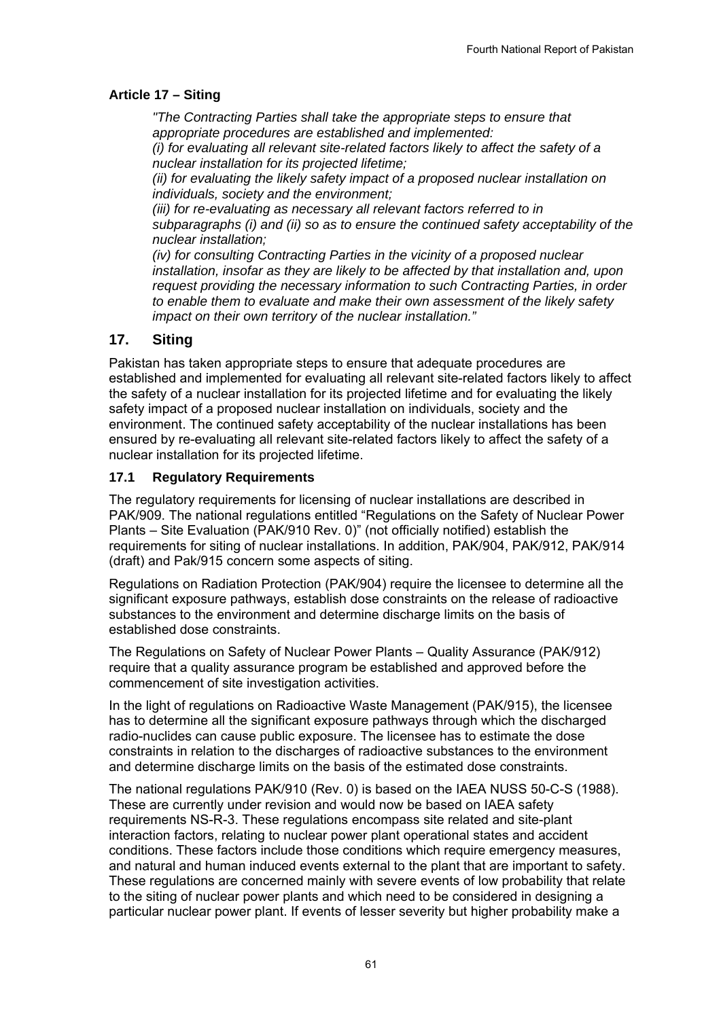### **Article 17 – Siting**

*"The Contracting Parties shall take the appropriate steps to ensure that appropriate procedures are established and implemented:* 

*(i) for evaluating all relevant site-related factors likely to affect the safety of a nuclear installation for its projected lifetime;* 

*(ii) for evaluating the likely safety impact of a proposed nuclear installation on individuals, society and the environment;* 

*(iii) for re-evaluating as necessary all relevant factors referred to in subparagraphs (i) and (ii) so as to ensure the continued safety acceptability of the nuclear installation;* 

*(iv) for consulting Contracting Parties in the vicinity of a proposed nuclear installation, insofar as they are likely to be affected by that installation and, upon request providing the necessary information to such Contracting Parties, in order to enable them to evaluate and make their own assessment of the likely safety impact on their own territory of the nuclear installation."* 

# **17. Siting**

Pakistan has taken appropriate steps to ensure that adequate procedures are established and implemented for evaluating all relevant site-related factors likely to affect the safety of a nuclear installation for its projected lifetime and for evaluating the likely safety impact of a proposed nuclear installation on individuals, society and the environment. The continued safety acceptability of the nuclear installations has been ensured by re-evaluating all relevant site-related factors likely to affect the safety of a nuclear installation for its projected lifetime.

## **17.1 Regulatory Requirements**

The regulatory requirements for licensing of nuclear installations are described in PAK/909. The national regulations entitled "Regulations on the Safety of Nuclear Power Plants – Site Evaluation (PAK/910 Rev. 0)" (not officially notified) establish the requirements for siting of nuclear installations. In addition, PAK/904, PAK/912, PAK/914 (draft) and Pak/915 concern some aspects of siting.

Regulations on Radiation Protection (PAK/904) require the licensee to determine all the significant exposure pathways, establish dose constraints on the release of radioactive substances to the environment and determine discharge limits on the basis of established dose constraints.

The Regulations on Safety of Nuclear Power Plants – Quality Assurance (PAK/912) require that a quality assurance program be established and approved before the commencement of site investigation activities.

In the light of regulations on Radioactive Waste Management (PAK/915), the licensee has to determine all the significant exposure pathways through which the discharged radio-nuclides can cause public exposure. The licensee has to estimate the dose constraints in relation to the discharges of radioactive substances to the environment and determine discharge limits on the basis of the estimated dose constraints.

The national regulations PAK/910 (Rev. 0) is based on the IAEA NUSS 50-C-S (1988). These are currently under revision and would now be based on IAEA safety requirements NS-R-3. These regulations encompass site related and site-plant interaction factors, relating to nuclear power plant operational states and accident conditions. These factors include those conditions which require emergency measures, and natural and human induced events external to the plant that are important to safety. These regulations are concerned mainly with severe events of low probability that relate to the siting of nuclear power plants and which need to be considered in designing a particular nuclear power plant. If events of lesser severity but higher probability make a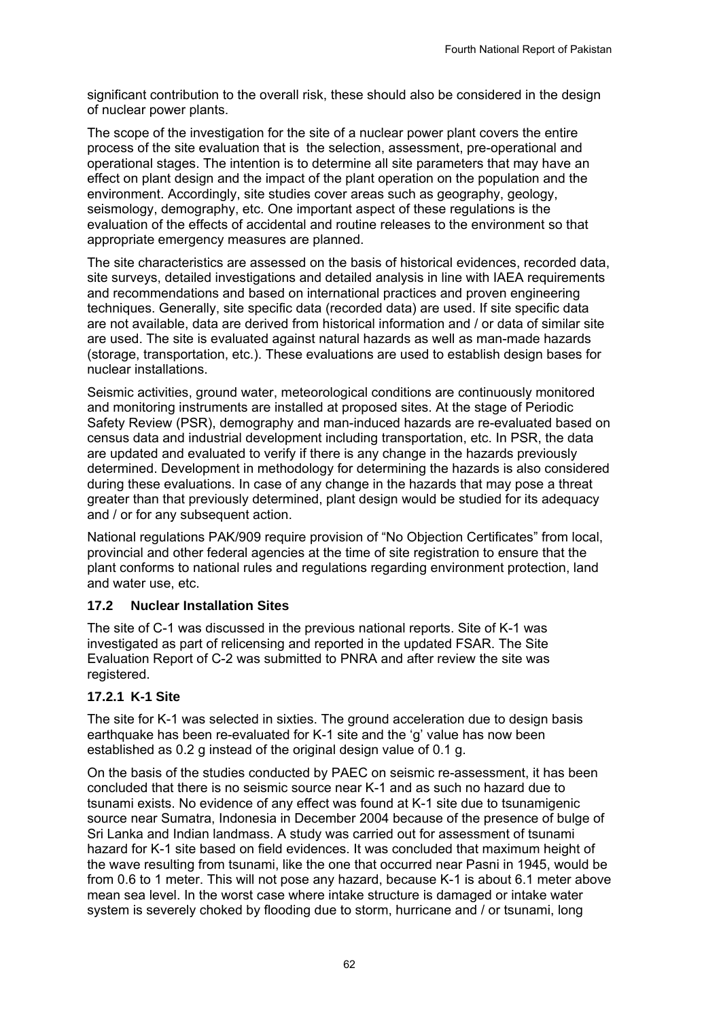significant contribution to the overall risk, these should also be considered in the design of nuclear power plants.

The scope of the investigation for the site of a nuclear power plant covers the entire process of the site evaluation that is the selection, assessment, pre-operational and operational stages. The intention is to determine all site parameters that may have an effect on plant design and the impact of the plant operation on the population and the environment. Accordingly, site studies cover areas such as geography, geology, seismology, demography, etc. One important aspect of these regulations is the evaluation of the effects of accidental and routine releases to the environment so that appropriate emergency measures are planned.

The site characteristics are assessed on the basis of historical evidences, recorded data, site surveys, detailed investigations and detailed analysis in line with IAEA requirements and recommendations and based on international practices and proven engineering techniques. Generally, site specific data (recorded data) are used. If site specific data are not available, data are derived from historical information and / or data of similar site are used. The site is evaluated against natural hazards as well as man-made hazards (storage, transportation, etc.). These evaluations are used to establish design bases for nuclear installations.

Seismic activities, ground water, meteorological conditions are continuously monitored and monitoring instruments are installed at proposed sites. At the stage of Periodic Safety Review (PSR), demography and man-induced hazards are re-evaluated based on census data and industrial development including transportation, etc. In PSR, the data are updated and evaluated to verify if there is any change in the hazards previously determined. Development in methodology for determining the hazards is also considered during these evaluations. In case of any change in the hazards that may pose a threat greater than that previously determined, plant design would be studied for its adequacy and / or for any subsequent action.

National regulations PAK/909 require provision of "No Objection Certificates" from local, provincial and other federal agencies at the time of site registration to ensure that the plant conforms to national rules and regulations regarding environment protection, land and water use, etc.

#### **17.2 Nuclear Installation Sites**

The site of C-1 was discussed in the previous national reports. Site of K-1 was investigated as part of relicensing and reported in the updated FSAR. The Site Evaluation Report of C-2 was submitted to PNRA and after review the site was registered.

## **17.2.1 K-1 Site**

The site for K-1 was selected in sixties. The ground acceleration due to design basis earthquake has been re-evaluated for K-1 site and the 'g' value has now been established as 0.2 g instead of the original design value of 0.1 g.

On the basis of the studies conducted by PAEC on seismic re-assessment, it has been concluded that there is no seismic source near K-1 and as such no hazard due to tsunami exists. No evidence of any effect was found at K-1 site due to tsunamigenic source near Sumatra, Indonesia in December 2004 because of the presence of bulge of Sri Lanka and Indian landmass. A study was carried out for assessment of tsunami hazard for K-1 site based on field evidences. It was concluded that maximum height of the wave resulting from tsunami, like the one that occurred near Pasni in 1945, would be from 0.6 to 1 meter. This will not pose any hazard, because K-1 is about 6.1 meter above mean sea level. In the worst case where intake structure is damaged or intake water system is severely choked by flooding due to storm, hurricane and / or tsunami, long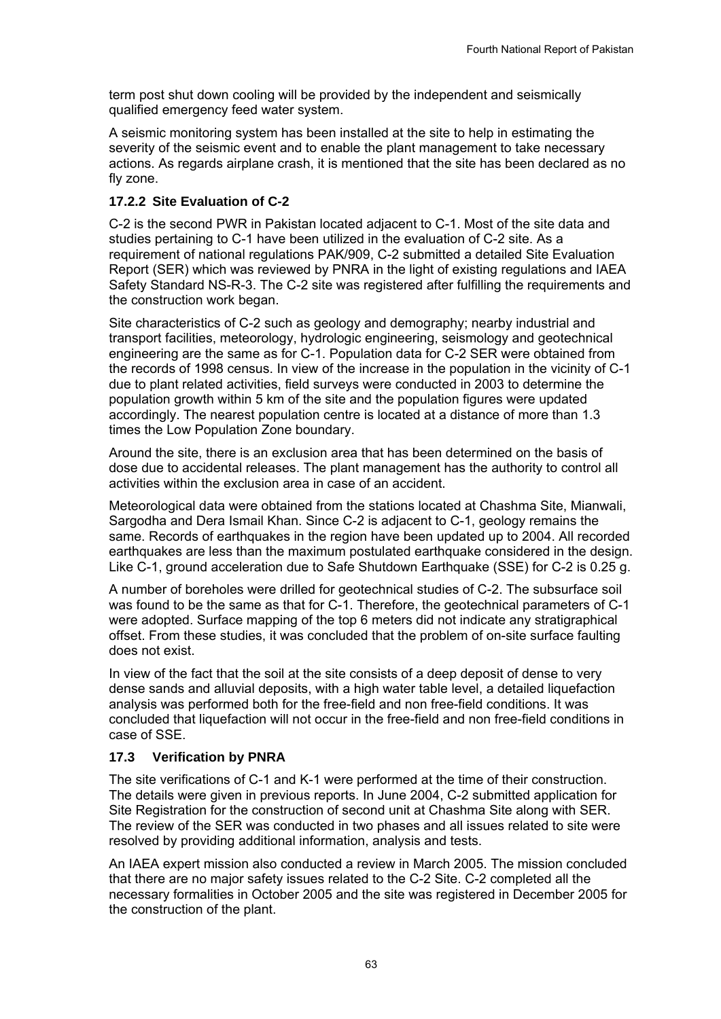term post shut down cooling will be provided by the independent and seismically qualified emergency feed water system.

A seismic monitoring system has been installed at the site to help in estimating the severity of the seismic event and to enable the plant management to take necessary actions. As regards airplane crash, it is mentioned that the site has been declared as no fly zone.

## **17.2.2 Site Evaluation of C-2**

C-2 is the second PWR in Pakistan located adjacent to C-1. Most of the site data and studies pertaining to C-1 have been utilized in the evaluation of C-2 site. As a requirement of national regulations PAK/909, C-2 submitted a detailed Site Evaluation Report (SER) which was reviewed by PNRA in the light of existing regulations and IAEA Safety Standard NS-R-3. The C-2 site was registered after fulfilling the requirements and the construction work began.

Site characteristics of C-2 such as geology and demography; nearby industrial and transport facilities, meteorology, hydrologic engineering, seismology and geotechnical engineering are the same as for C-1. Population data for C-2 SER were obtained from the records of 1998 census. In view of the increase in the population in the vicinity of C-1 due to plant related activities, field surveys were conducted in 2003 to determine the population growth within 5 km of the site and the population figures were updated accordingly. The nearest population centre is located at a distance of more than 1.3 times the Low Population Zone boundary.

Around the site, there is an exclusion area that has been determined on the basis of dose due to accidental releases. The plant management has the authority to control all activities within the exclusion area in case of an accident.

Meteorological data were obtained from the stations located at Chashma Site, Mianwali, Sargodha and Dera Ismail Khan. Since C-2 is adjacent to C-1, geology remains the same. Records of earthquakes in the region have been updated up to 2004. All recorded earthquakes are less than the maximum postulated earthquake considered in the design. Like C-1, ground acceleration due to Safe Shutdown Earthquake (SSE) for C-2 is 0.25 g.

A number of boreholes were drilled for geotechnical studies of C-2. The subsurface soil was found to be the same as that for C-1. Therefore, the geotechnical parameters of C-1 were adopted. Surface mapping of the top 6 meters did not indicate any stratigraphical offset. From these studies, it was concluded that the problem of on-site surface faulting does not exist.

In view of the fact that the soil at the site consists of a deep deposit of dense to very dense sands and alluvial deposits, with a high water table level, a detailed liquefaction analysis was performed both for the free-field and non free-field conditions. It was concluded that liquefaction will not occur in the free-field and non free-field conditions in case of SSE.

# **17.3 Verification by PNRA**

The site verifications of C-1 and K-1 were performed at the time of their construction. The details were given in previous reports. In June 2004, C-2 submitted application for Site Registration for the construction of second unit at Chashma Site along with SER. The review of the SER was conducted in two phases and all issues related to site were resolved by providing additional information, analysis and tests.

An IAEA expert mission also conducted a review in March 2005. The mission concluded that there are no major safety issues related to the C-2 Site. C-2 completed all the necessary formalities in October 2005 and the site was registered in December 2005 for the construction of the plant.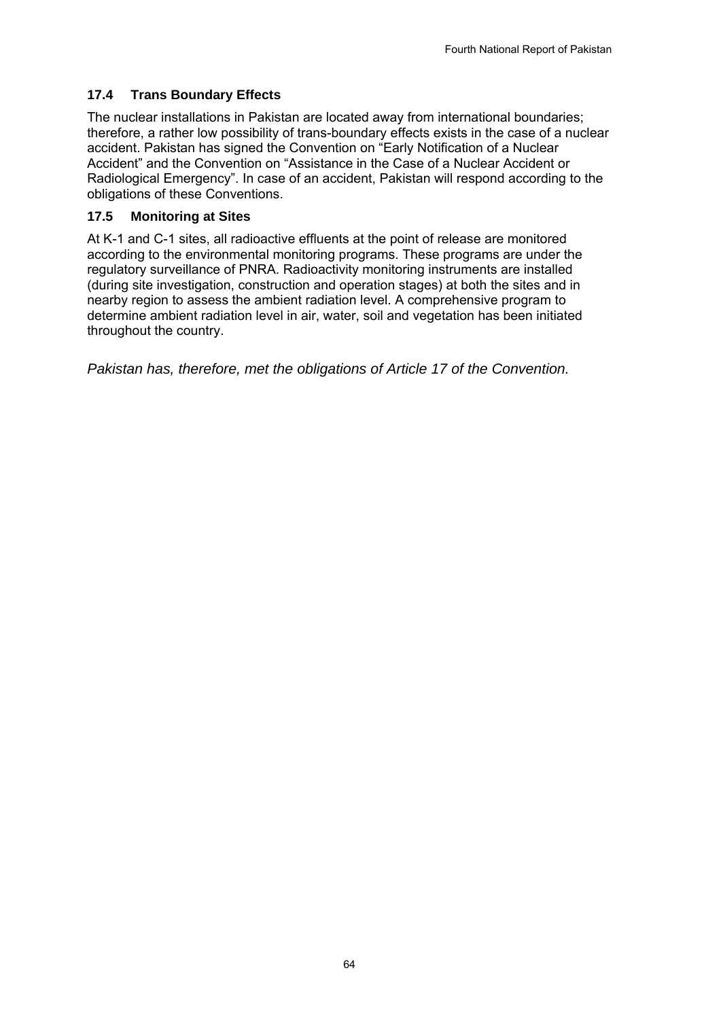## **17.4 Trans Boundary Effects**

The nuclear installations in Pakistan are located away from international boundaries; therefore, a rather low possibility of trans-boundary effects exists in the case of a nuclear accident. Pakistan has signed the Convention on "Early Notification of a Nuclear Accident" and the Convention on "Assistance in the Case of a Nuclear Accident or Radiological Emergency". In case of an accident, Pakistan will respond according to the obligations of these Conventions.

#### **17.5 Monitoring at Sites**

At K-1 and C-1 sites, all radioactive effluents at the point of release are monitored according to the environmental monitoring programs. These programs are under the regulatory surveillance of PNRA. Radioactivity monitoring instruments are installed (during site investigation, construction and operation stages) at both the sites and in nearby region to assess the ambient radiation level. A comprehensive program to determine ambient radiation level in air, water, soil and vegetation has been initiated throughout the country.

*Pakistan has, therefore, met the obligations of Article 17 of the Convention.*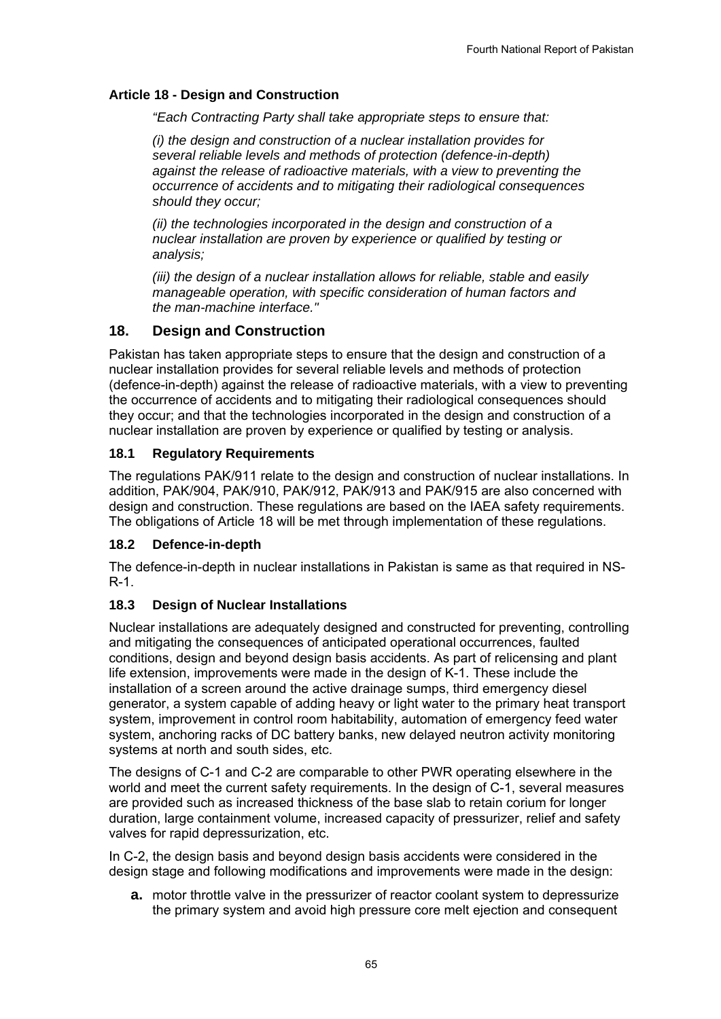## **Article 18 - Design and Construction**

*"Each Contracting Party shall take appropriate steps to ensure that:* 

*(i) the design and construction of a nuclear installation provides for several reliable levels and methods of protection (defence-in-depth) against the release of radioactive materials, with a view to preventing the occurrence of accidents and to mitigating their radiological consequences should they occur;* 

*(ii) the technologies incorporated in the design and construction of a nuclear installation are proven by experience or qualified by testing or analysis;* 

*(iii) the design of a nuclear installation allows for reliable, stable and easily manageable operation, with specific consideration of human factors and the man-machine interface."* 

## **18. Design and Construction**

Pakistan has taken appropriate steps to ensure that the design and construction of a nuclear installation provides for several reliable levels and methods of protection (defence-in-depth) against the release of radioactive materials, with a view to preventing the occurrence of accidents and to mitigating their radiological consequences should they occur; and that the technologies incorporated in the design and construction of a nuclear installation are proven by experience or qualified by testing or analysis.

## **18.1 Regulatory Requirements**

The regulations PAK/911 relate to the design and construction of nuclear installations. In addition, PAK/904, PAK/910, PAK/912, PAK/913 and PAK/915 are also concerned with design and construction. These regulations are based on the IAEA safety requirements. The obligations of Article 18 will be met through implementation of these regulations.

#### **18.2 Defence-in-depth**

The defence-in-depth in nuclear installations in Pakistan is same as that required in NS-R-1.

## **18.3 Design of Nuclear Installations**

Nuclear installations are adequately designed and constructed for preventing, controlling and mitigating the consequences of anticipated operational occurrences, faulted conditions, design and beyond design basis accidents. As part of relicensing and plant life extension, improvements were made in the design of K-1. These include the installation of a screen around the active drainage sumps, third emergency diesel generator, a system capable of adding heavy or light water to the primary heat transport system, improvement in control room habitability, automation of emergency feed water system, anchoring racks of DC battery banks, new delayed neutron activity monitoring systems at north and south sides, etc.

The designs of C-1 and C-2 are comparable to other PWR operating elsewhere in the world and meet the current safety requirements. In the design of C-1, several measures are provided such as increased thickness of the base slab to retain corium for longer duration, large containment volume, increased capacity of pressurizer, relief and safety valves for rapid depressurization, etc.

In C-2, the design basis and beyond design basis accidents were considered in the design stage and following modifications and improvements were made in the design:

**a.** motor throttle valve in the pressurizer of reactor coolant system to depressurize the primary system and avoid high pressure core melt ejection and consequent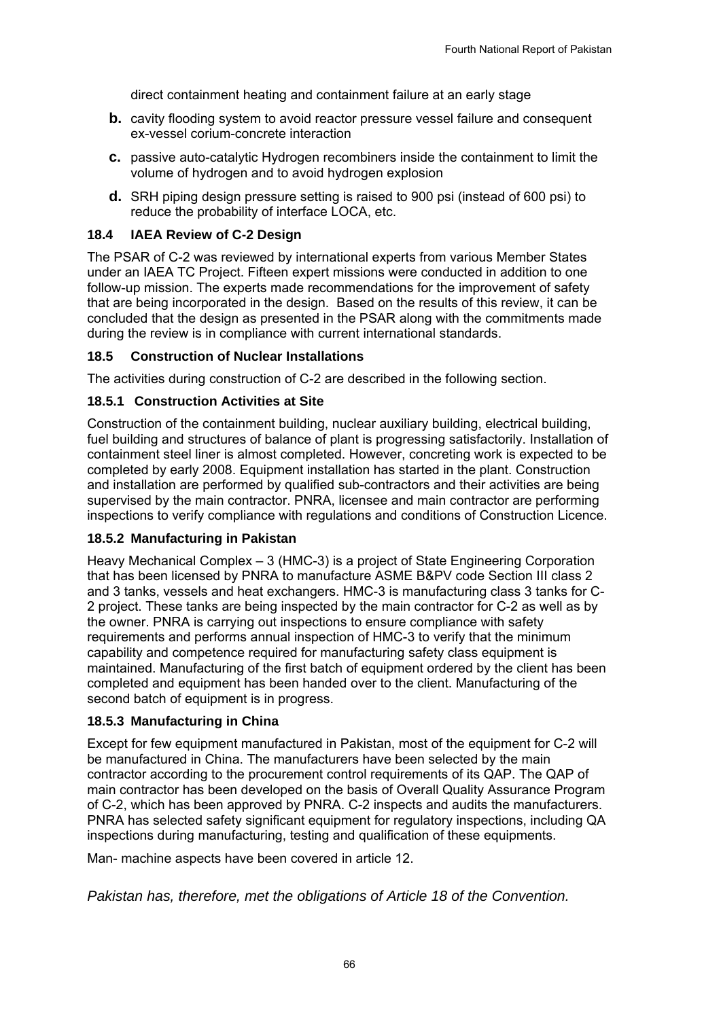direct containment heating and containment failure at an early stage

- **b.** cavity flooding system to avoid reactor pressure vessel failure and consequent ex-vessel corium-concrete interaction
- **c.** passive auto-catalytic Hydrogen recombiners inside the containment to limit the volume of hydrogen and to avoid hydrogen explosion
- **d.** SRH piping design pressure setting is raised to 900 psi (instead of 600 psi) to reduce the probability of interface LOCA, etc.

#### **18.4 IAEA Review of C-2 Design**

The PSAR of C-2 was reviewed by international experts from various Member States under an IAEA TC Project. Fifteen expert missions were conducted in addition to one follow-up mission. The experts made recommendations for the improvement of safety that are being incorporated in the design. Based on the results of this review, it can be concluded that the design as presented in the PSAR along with the commitments made during the review is in compliance with current international standards.

#### **18.5 Construction of Nuclear Installations**

The activities during construction of C-2 are described in the following section.

#### **18.5.1 Construction Activities at Site**

Construction of the containment building, nuclear auxiliary building, electrical building, fuel building and structures of balance of plant is progressing satisfactorily. Installation of containment steel liner is almost completed. However, concreting work is expected to be completed by early 2008. Equipment installation has started in the plant. Construction and installation are performed by qualified sub-contractors and their activities are being supervised by the main contractor. PNRA, licensee and main contractor are performing inspections to verify compliance with regulations and conditions of Construction Licence.

#### **18.5.2 Manufacturing in Pakistan**

Heavy Mechanical Complex – 3 (HMC-3) is a project of State Engineering Corporation that has been licensed by PNRA to manufacture ASME B&PV code Section III class 2 and 3 tanks, vessels and heat exchangers. HMC-3 is manufacturing class 3 tanks for C-2 project. These tanks are being inspected by the main contractor for C-2 as well as by the owner. PNRA is carrying out inspections to ensure compliance with safety requirements and performs annual inspection of HMC-3 to verify that the minimum capability and competence required for manufacturing safety class equipment is maintained. Manufacturing of the first batch of equipment ordered by the client has been completed and equipment has been handed over to the client. Manufacturing of the second batch of equipment is in progress.

#### **18.5.3 Manufacturing in China**

Except for few equipment manufactured in Pakistan, most of the equipment for C-2 will be manufactured in China. The manufacturers have been selected by the main contractor according to the procurement control requirements of its QAP. The QAP of main contractor has been developed on the basis of Overall Quality Assurance Program of C-2, which has been approved by PNRA. C-2 inspects and audits the manufacturers. PNRA has selected safety significant equipment for regulatory inspections, including QA inspections during manufacturing, testing and qualification of these equipments.

Man- machine aspects have been covered in article 12.

*Pakistan has, therefore, met the obligations of Article 18 of the Convention.*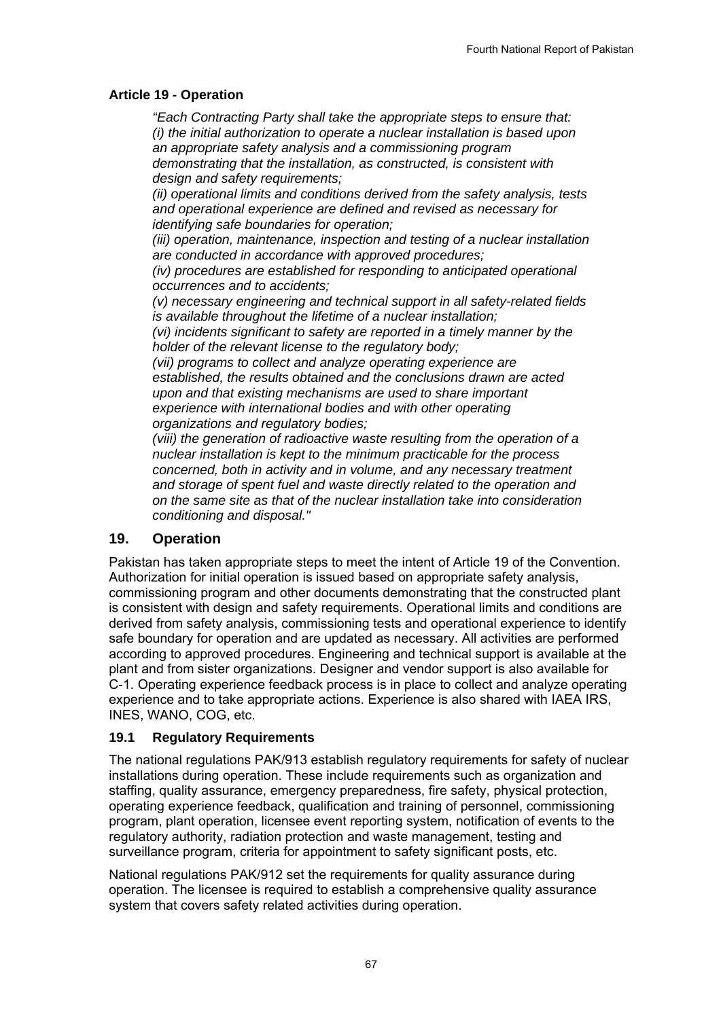## **Article 19 - Operation**

*"Each Contracting Party shall take the appropriate steps to ensure that: (i) the initial authorization to operate a nuclear installation is based upon an appropriate safety analysis and a commissioning program demonstrating that the installation, as constructed, is consistent with design and safety requirements;* 

*(ii) operational limits and conditions derived from the safety analysis, tests and operational experience are defined and revised as necessary for identifying safe boundaries for operation;* 

*(iii) operation, maintenance, inspection and testing of a nuclear installation are conducted in accordance with approved procedures;* 

*(iv) procedures are established for responding to anticipated operational occurrences and to accidents;* 

*(v) necessary engineering and technical support in all safety-related fields is available throughout the lifetime of a nuclear installation;* 

*(vi) incidents significant to safety are reported in a timely manner by the holder of the relevant license to the regulatory body;* 

*(vii) programs to collect and analyze operating experience are established, the results obtained and the conclusions drawn are acted upon and that existing mechanisms are used to share important experience with international bodies and with other operating organizations and regulatory bodies;* 

*(viii) the generation of radioactive waste resulting from the operation of a nuclear installation is kept to the minimum practicable for the process concerned, both in activity and in volume, and any necessary treatment and storage of spent fuel and waste directly related to the operation and on the same site as that of the nuclear installation take into consideration conditioning and disposal."* 

# **19. Operation**

Pakistan has taken appropriate steps to meet the intent of Article 19 of the Convention. Authorization for initial operation is issued based on appropriate safety analysis, commissioning program and other documents demonstrating that the constructed plant is consistent with design and safety requirements. Operational limits and conditions are derived from safety analysis, commissioning tests and operational experience to identify safe boundary for operation and are updated as necessary. All activities are performed according to approved procedures. Engineering and technical support is available at the plant and from sister organizations. Designer and vendor support is also available for C-1. Operating experience feedback process is in place to collect and analyze operating experience and to take appropriate actions. Experience is also shared with IAEA IRS, INES, WANO, COG, etc.

## **19.1 Regulatory Requirements**

The national regulations PAK/913 establish regulatory requirements for safety of nuclear installations during operation. These include requirements such as organization and staffing, quality assurance, emergency preparedness, fire safety, physical protection, operating experience feedback, qualification and training of personnel, commissioning program, plant operation, licensee event reporting system, notification of events to the regulatory authority, radiation protection and waste management, testing and surveillance program, criteria for appointment to safety significant posts, etc.

National regulations PAK/912 set the requirements for quality assurance during operation. The licensee is required to establish a comprehensive quality assurance system that covers safety related activities during operation.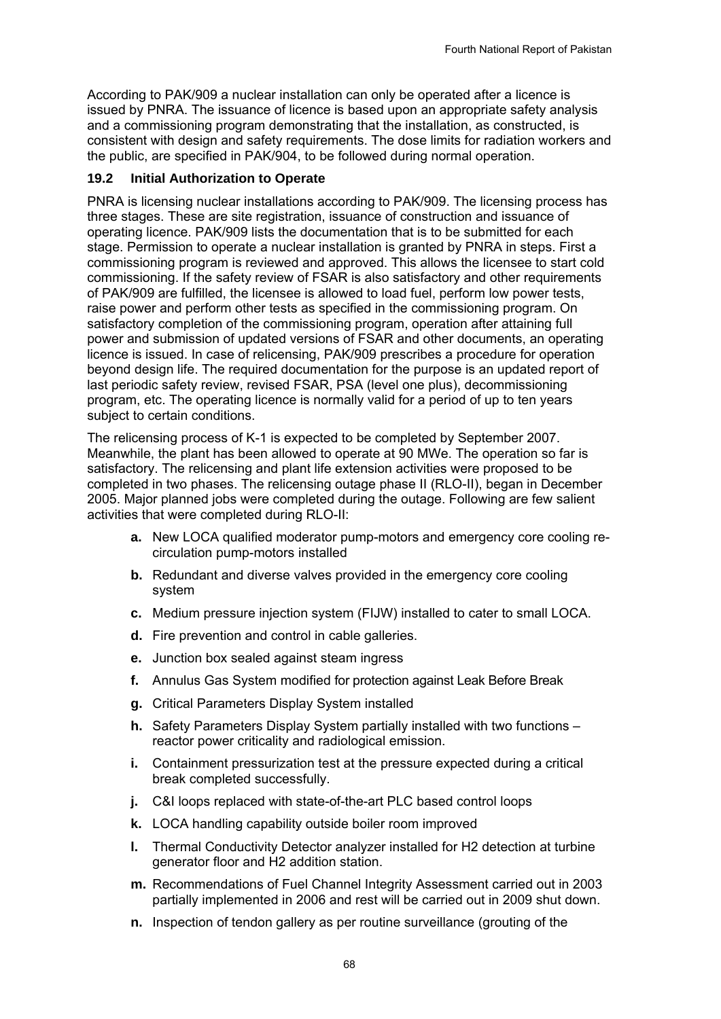According to PAK/909 a nuclear installation can only be operated after a licence is issued by PNRA. The issuance of licence is based upon an appropriate safety analysis and a commissioning program demonstrating that the installation, as constructed, is consistent with design and safety requirements. The dose limits for radiation workers and the public, are specified in PAK/904, to be followed during normal operation.

#### **19.2 Initial Authorization to Operate**

PNRA is licensing nuclear installations according to PAK/909. The licensing process has three stages. These are site registration, issuance of construction and issuance of operating licence. PAK/909 lists the documentation that is to be submitted for each stage. Permission to operate a nuclear installation is granted by PNRA in steps. First a commissioning program is reviewed and approved. This allows the licensee to start cold commissioning. If the safety review of FSAR is also satisfactory and other requirements of PAK/909 are fulfilled, the licensee is allowed to load fuel, perform low power tests, raise power and perform other tests as specified in the commissioning program. On satisfactory completion of the commissioning program, operation after attaining full power and submission of updated versions of FSAR and other documents, an operating licence is issued. In case of relicensing, PAK/909 prescribes a procedure for operation beyond design life. The required documentation for the purpose is an updated report of last periodic safety review, revised FSAR, PSA (level one plus), decommissioning program, etc. The operating licence is normally valid for a period of up to ten years subject to certain conditions.

The relicensing process of K-1 is expected to be completed by September 2007. Meanwhile, the plant has been allowed to operate at 90 MWe. The operation so far is satisfactory. The relicensing and plant life extension activities were proposed to be completed in two phases. The relicensing outage phase II (RLO-II), began in December 2005. Major planned jobs were completed during the outage. Following are few salient activities that were completed during RLO-II:

- **a.** New LOCA qualified moderator pump-motors and emergency core cooling recirculation pump-motors installed
- **b.** Redundant and diverse valves provided in the emergency core cooling system
- **c.** Medium pressure injection system (FIJW) installed to cater to small LOCA.
- **d.** Fire prevention and control in cable galleries.
- **e.** Junction box sealed against steam ingress
- **f.** Annulus Gas System modified for protection against Leak Before Break
- **g.** Critical Parameters Display System installed
- **h.** Safety Parameters Display System partially installed with two functions reactor power criticality and radiological emission.
- **i.** Containment pressurization test at the pressure expected during a critical break completed successfully.
- **j.** C&I loops replaced with state-of-the-art PLC based control loops
- **k.** LOCA handling capability outside boiler room improved
- **l.** Thermal Conductivity Detector analyzer installed for H2 detection at turbine generator floor and H2 addition station.
- **m.** Recommendations of Fuel Channel Integrity Assessment carried out in 2003 partially implemented in 2006 and rest will be carried out in 2009 shut down.
- **n.** Inspection of tendon gallery as per routine surveillance (grouting of the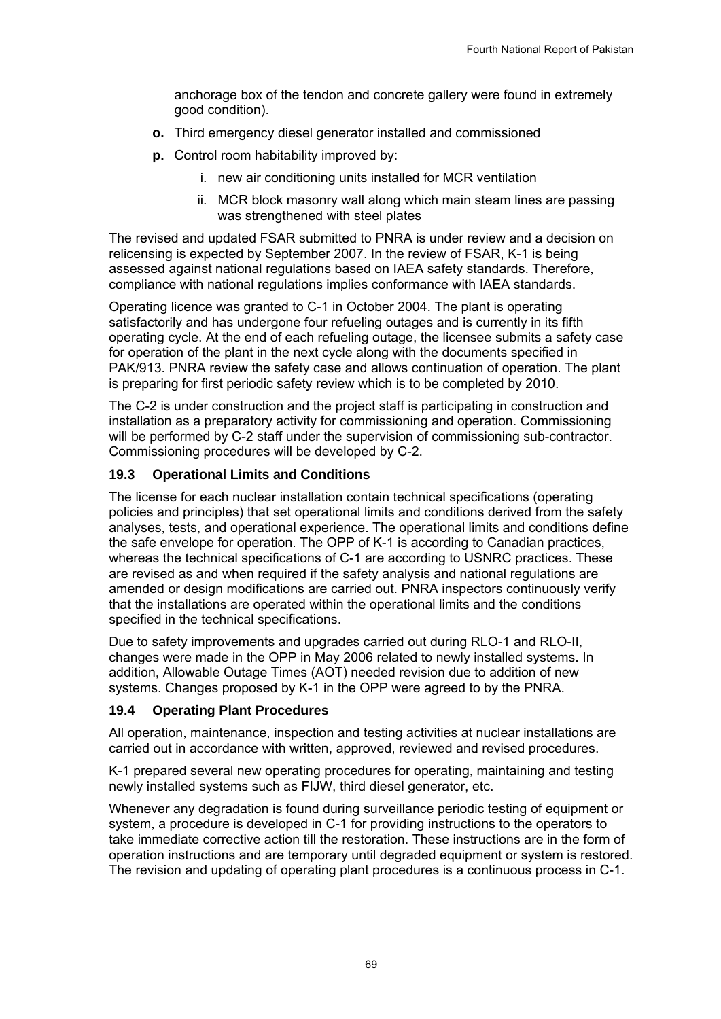anchorage box of the tendon and concrete gallery were found in extremely good condition).

- **o.** Third emergency diesel generator installed and commissioned
- **p.** Control room habitability improved by:
	- i. new air conditioning units installed for MCR ventilation
	- ii. MCR block masonry wall along which main steam lines are passing was strengthened with steel plates

The revised and updated FSAR submitted to PNRA is under review and a decision on relicensing is expected by September 2007. In the review of FSAR, K-1 is being assessed against national regulations based on IAEA safety standards. Therefore, compliance with national regulations implies conformance with IAEA standards.

Operating licence was granted to C-1 in October 2004. The plant is operating satisfactorily and has undergone four refueling outages and is currently in its fifth operating cycle. At the end of each refueling outage, the licensee submits a safety case for operation of the plant in the next cycle along with the documents specified in PAK/913. PNRA review the safety case and allows continuation of operation. The plant is preparing for first periodic safety review which is to be completed by 2010.

The C-2 is under construction and the project staff is participating in construction and installation as a preparatory activity for commissioning and operation. Commissioning will be performed by C-2 staff under the supervision of commissioning sub-contractor. Commissioning procedures will be developed by C-2.

## **19.3 Operational Limits and Conditions**

The license for each nuclear installation contain technical specifications (operating policies and principles) that set operational limits and conditions derived from the safety analyses, tests, and operational experience. The operational limits and conditions define the safe envelope for operation. The OPP of K-1 is according to Canadian practices, whereas the technical specifications of C-1 are according to USNRC practices. These are revised as and when required if the safety analysis and national regulations are amended or design modifications are carried out. PNRA inspectors continuously verify that the installations are operated within the operational limits and the conditions specified in the technical specifications.

Due to safety improvements and upgrades carried out during RLO-1 and RLO-II, changes were made in the OPP in May 2006 related to newly installed systems. In addition, Allowable Outage Times (AOT) needed revision due to addition of new systems. Changes proposed by K-1 in the OPP were agreed to by the PNRA.

#### **19.4 Operating Plant Procedures**

All operation, maintenance, inspection and testing activities at nuclear installations are carried out in accordance with written, approved, reviewed and revised procedures.

K-1 prepared several new operating procedures for operating, maintaining and testing newly installed systems such as FIJW, third diesel generator, etc.

Whenever any degradation is found during surveillance periodic testing of equipment or system, a procedure is developed in C-1 for providing instructions to the operators to take immediate corrective action till the restoration. These instructions are in the form of operation instructions and are temporary until degraded equipment or system is restored. The revision and updating of operating plant procedures is a continuous process in C-1.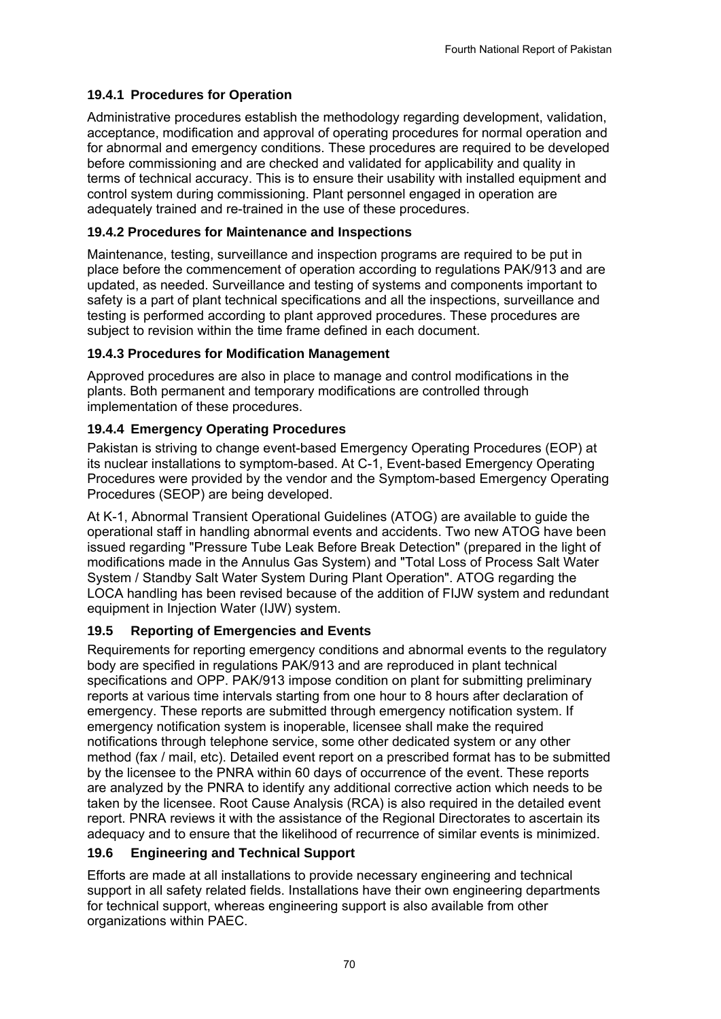## **19.4.1 Procedures for Operation**

Administrative procedures establish the methodology regarding development, validation, acceptance, modification and approval of operating procedures for normal operation and for abnormal and emergency conditions. These procedures are required to be developed before commissioning and are checked and validated for applicability and quality in terms of technical accuracy. This is to ensure their usability with installed equipment and control system during commissioning. Plant personnel engaged in operation are adequately trained and re-trained in the use of these procedures.

## **19.4.2 Procedures for Maintenance and Inspections**

Maintenance, testing, surveillance and inspection programs are required to be put in place before the commencement of operation according to regulations PAK/913 and are updated, as needed. Surveillance and testing of systems and components important to safety is a part of plant technical specifications and all the inspections, surveillance and testing is performed according to plant approved procedures. These procedures are subject to revision within the time frame defined in each document.

## **19.4.3 Procedures for Modification Management**

Approved procedures are also in place to manage and control modifications in the plants. Both permanent and temporary modifications are controlled through implementation of these procedures.

## **19.4.4 Emergency Operating Procedures**

Pakistan is striving to change event-based Emergency Operating Procedures (EOP) at its nuclear installations to symptom-based. At C-1, Event-based Emergency Operating Procedures were provided by the vendor and the Symptom-based Emergency Operating Procedures (SEOP) are being developed.

At K-1, Abnormal Transient Operational Guidelines (ATOG) are available to guide the operational staff in handling abnormal events and accidents. Two new ATOG have been issued regarding "Pressure Tube Leak Before Break Detection" (prepared in the light of modifications made in the Annulus Gas System) and "Total Loss of Process Salt Water System / Standby Salt Water System During Plant Operation". ATOG regarding the LOCA handling has been revised because of the addition of FIJW system and redundant equipment in Injection Water (IJW) system.

#### **19.5 Reporting of Emergencies and Events**

Requirements for reporting emergency conditions and abnormal events to the regulatory body are specified in regulations PAK/913 and are reproduced in plant technical specifications and OPP. PAK/913 impose condition on plant for submitting preliminary reports at various time intervals starting from one hour to 8 hours after declaration of emergency. These reports are submitted through emergency notification system. If emergency notification system is inoperable, licensee shall make the required notifications through telephone service, some other dedicated system or any other method (fax / mail, etc). Detailed event report on a prescribed format has to be submitted by the licensee to the PNRA within 60 days of occurrence of the event. These reports are analyzed by the PNRA to identify any additional corrective action which needs to be taken by the licensee. Root Cause Analysis (RCA) is also required in the detailed event report. PNRA reviews it with the assistance of the Regional Directorates to ascertain its adequacy and to ensure that the likelihood of recurrence of similar events is minimized.

#### **19.6 Engineering and Technical Support**

Efforts are made at all installations to provide necessary engineering and technical support in all safety related fields. Installations have their own engineering departments for technical support, whereas engineering support is also available from other organizations within PAEC.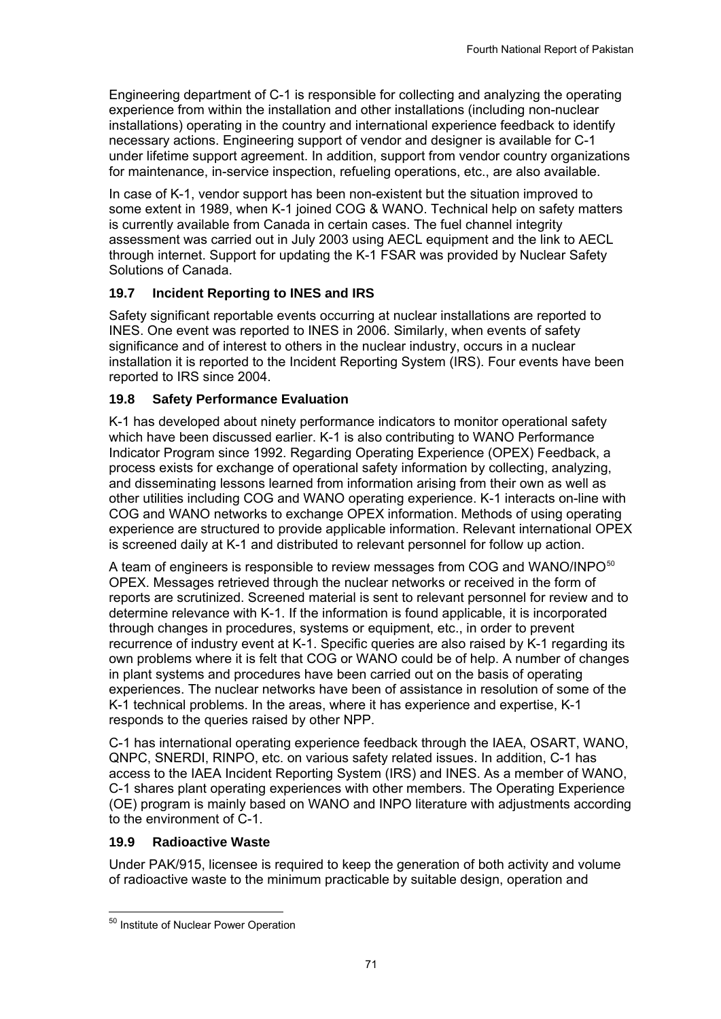<span id="page-80-0"></span>Engineering department of C-1 is responsible for collecting and analyzing the operating experience from within the installation and other installations (including non-nuclear installations) operating in the country and international experience feedback to identify necessary actions. Engineering support of vendor and designer is available for C-1 under lifetime support agreement. In addition, support from vendor country organizations for maintenance, in-service inspection, refueling operations, etc., are also available.

In case of K-1, vendor support has been non-existent but the situation improved to some extent in 1989, when K-1 joined COG & WANO. Technical help on safety matters is currently available from Canada in certain cases. The fuel channel integrity assessment was carried out in July 2003 using AECL equipment and the link to AECL through internet. Support for updating the K-1 FSAR was provided by Nuclear Safety Solutions of Canada.

## **19.7 Incident Reporting to INES and IRS**

Safety significant reportable events occurring at nuclear installations are reported to INES. One event was reported to INES in 2006. Similarly, when events of safety significance and of interest to others in the nuclear industry, occurs in a nuclear installation it is reported to the Incident Reporting System (IRS). Four events have been reported to IRS since 2004.

## **19.8 Safety Performance Evaluation**

K-1 has developed about ninety performance indicators to monitor operational safety which have been discussed earlier. K-1 is also contributing to WANO Performance Indicator Program since 1992. Regarding Operating Experience (OPEX) Feedback, a process exists for exchange of operational safety information by collecting, analyzing, and disseminating lessons learned from information arising from their own as well as other utilities including COG and WANO operating experience. K-1 interacts on-line with COG and WANO networks to exchange OPEX information. Methods of using operating experience are structured to provide applicable information. Relevant international OPEX is screened daily at K-1 and distributed to relevant personnel for follow up action.

A team of engineers is responsible to review messages from COG and WANO/INPO<sup>[50](#page-80-0)</sup> OPEX. Messages retrieved through the nuclear networks or received in the form of reports are scrutinized. Screened material is sent to relevant personnel for review and to determine relevance with K-1. If the information is found applicable, it is incorporated through changes in procedures, systems or equipment, etc., in order to prevent recurrence of industry event at K-1. Specific queries are also raised by K-1 regarding its own problems where it is felt that COG or WANO could be of help. A number of changes in plant systems and procedures have been carried out on the basis of operating experiences. The nuclear networks have been of assistance in resolution of some of the K-1 technical problems. In the areas, where it has experience and expertise, K-1 responds to the queries raised by other NPP.

C-1 has international operating experience feedback through the IAEA, OSART, WANO, QNPC, SNERDI, RINPO, etc. on various safety related issues. In addition, C-1 has access to the IAEA Incident Reporting System (IRS) and INES. As a member of WANO, C-1 shares plant operating experiences with other members. The Operating Experience (OE) program is mainly based on WANO and INPO literature with adjustments according to the environment of C-1.

## **19.9 Radioactive Waste**

Under PAK/915, licensee is required to keep the generation of both activity and volume of radioactive waste to the minimum practicable by suitable design, operation and

<sup>1</sup> <sup>50</sup> Institute of Nuclear Power Operation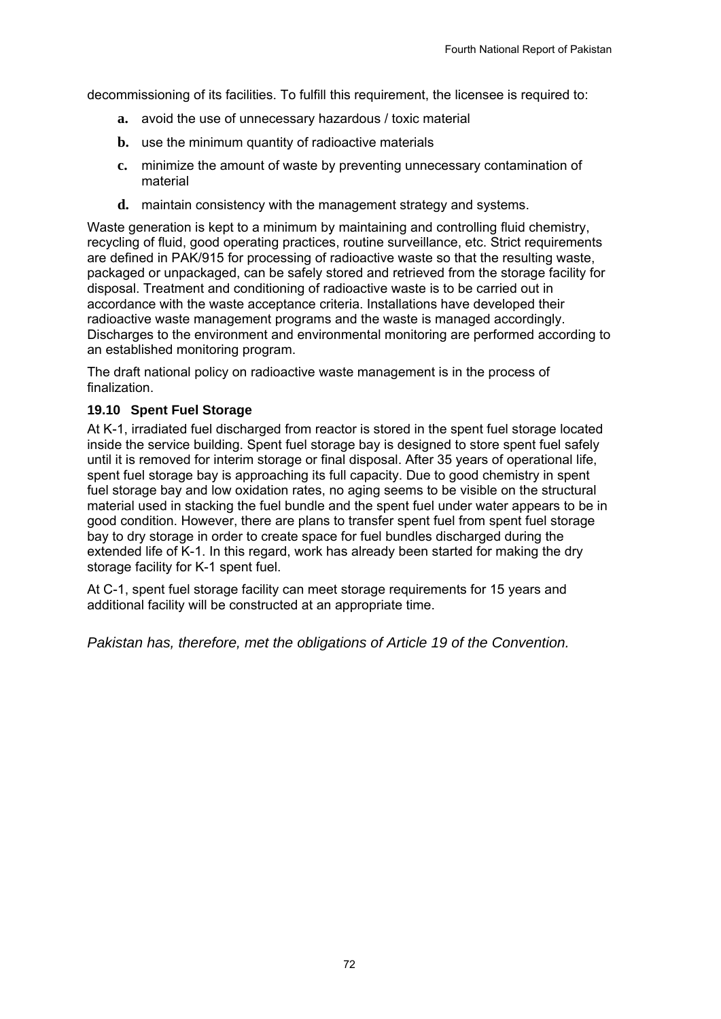decommissioning of its facilities. To fulfill this requirement, the licensee is required to:

- **a.** avoid the use of unnecessary hazardous / toxic material
- **b.** use the minimum quantity of radioactive materials
- **c.** minimize the amount of waste by preventing unnecessary contamination of material
- **d.** maintain consistency with the management strategy and systems.

Waste generation is kept to a minimum by maintaining and controlling fluid chemistry, recycling of fluid, good operating practices, routine surveillance, etc. Strict requirements are defined in PAK/915 for processing of radioactive waste so that the resulting waste, packaged or unpackaged, can be safely stored and retrieved from the storage facility for disposal. Treatment and conditioning of radioactive waste is to be carried out in accordance with the waste acceptance criteria. Installations have developed their radioactive waste management programs and the waste is managed accordingly. Discharges to the environment and environmental monitoring are performed according to an established monitoring program.

The draft national policy on radioactive waste management is in the process of finalization.

#### **19.10 Spent Fuel Storage**

At K-1, irradiated fuel discharged from reactor is stored in the spent fuel storage located inside the service building. Spent fuel storage bay is designed to store spent fuel safely until it is removed for interim storage or final disposal. After 35 years of operational life, spent fuel storage bay is approaching its full capacity. Due to good chemistry in spent fuel storage bay and low oxidation rates, no aging seems to be visible on the structural material used in stacking the fuel bundle and the spent fuel under water appears to be in good condition. However, there are plans to transfer spent fuel from spent fuel storage bay to dry storage in order to create space for fuel bundles discharged during the extended life of K-1. In this regard, work has already been started for making the dry storage facility for K-1 spent fuel.

At C-1, spent fuel storage facility can meet storage requirements for 15 years and additional facility will be constructed at an appropriate time.

*Pakistan has, therefore, met the obligations of Article 19 of the Convention.*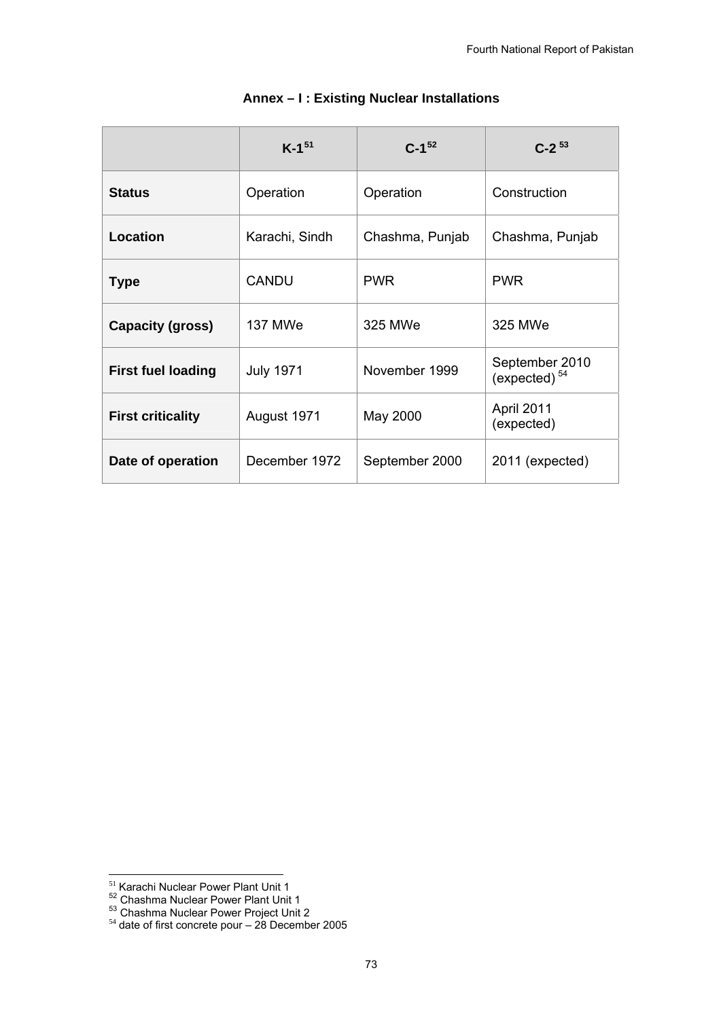<span id="page-82-0"></span>

|                           | $K-1^{51}$       | $C-1^{52}$      | $C-2^{53}$                                   |
|---------------------------|------------------|-----------------|----------------------------------------------|
| <b>Status</b>             | Operation        | Operation       | Construction                                 |
| <b>Location</b>           | Karachi, Sindh   | Chashma, Punjab | Chashma, Punjab                              |
| <b>Type</b>               | <b>CANDU</b>     | <b>PWR</b>      | <b>PWR</b>                                   |
| <b>Capacity (gross)</b>   | <b>137 MWe</b>   | 325 MWe         | 325 MWe                                      |
| <b>First fuel loading</b> | <b>July 1971</b> | November 1999   | September 2010<br>$(expected)$ <sup>54</sup> |
| <b>First criticality</b>  | August 1971      | May 2000        | April 2011<br>(expected)                     |
| Date of operation         | December 1972    | September 2000  | 2011 (expected)                              |

# **Annex – I : Existing Nuclear Installations**

1

<sup>&</sup>lt;sup>51</sup> Karachi Nuclear Power Plant Unit 1<br><sup>52</sup> Chashma Nuclear Power Plant Unit 1<br><sup>53</sup> Chashma Nuclear Power Project Unit 2<br><sup>54</sup> date of first concrete pour – 28 December 2005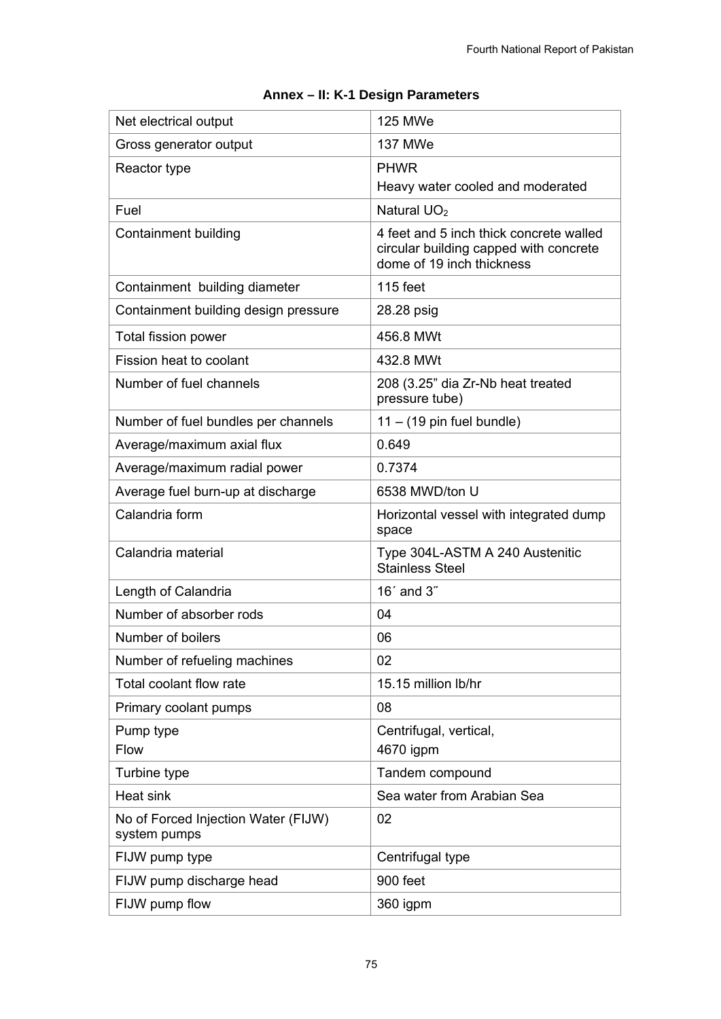| Net electrical output                               | <b>125 MWe</b>                                                                                                 |
|-----------------------------------------------------|----------------------------------------------------------------------------------------------------------------|
| Gross generator output                              | <b>137 MWe</b>                                                                                                 |
| Reactor type                                        | <b>PHWR</b>                                                                                                    |
|                                                     | Heavy water cooled and moderated                                                                               |
| Fuel                                                | Natural UO <sub>2</sub>                                                                                        |
| Containment building                                | 4 feet and 5 inch thick concrete walled<br>circular building capped with concrete<br>dome of 19 inch thickness |
| Containment building diameter                       | $115$ feet                                                                                                     |
| Containment building design pressure                | 28.28 psig                                                                                                     |
| Total fission power                                 | 456.8 MWt                                                                                                      |
| <b>Fission heat to coolant</b>                      | 432.8 MWt                                                                                                      |
| Number of fuel channels                             | 208 (3.25" dia Zr-Nb heat treated<br>pressure tube)                                                            |
| Number of fuel bundles per channels                 | $11 - (19 \text{ pin fuel bundle})$                                                                            |
| Average/maximum axial flux                          | 0.649                                                                                                          |
| Average/maximum radial power                        | 0.7374                                                                                                         |
| Average fuel burn-up at discharge                   | 6538 MWD/ton U                                                                                                 |
| Calandria form                                      | Horizontal vessel with integrated dump<br>space                                                                |
| Calandria material                                  | Type 304L-ASTM A 240 Austenitic<br><b>Stainless Steel</b>                                                      |
| Length of Calandria                                 | 16' and 3"                                                                                                     |
| Number of absorber rods                             | 04                                                                                                             |
| Number of boilers                                   | 06                                                                                                             |
| Number of refueling machines                        | 02                                                                                                             |
| Total coolant flow rate                             | 15.15 million lb/hr                                                                                            |
| Primary coolant pumps                               | 08                                                                                                             |
| Pump type<br>Flow                                   | Centrifugal, vertical,<br>4670 igpm                                                                            |
| Turbine type                                        | Tandem compound                                                                                                |
| Heat sink                                           | Sea water from Arabian Sea                                                                                     |
| No of Forced Injection Water (FIJW)<br>system pumps | 02                                                                                                             |
| FIJW pump type                                      | Centrifugal type                                                                                               |
| FIJW pump discharge head                            | 900 feet                                                                                                       |
| FIJW pump flow                                      | 360 igpm                                                                                                       |

# **Annex – II: K-1 Design Parameters**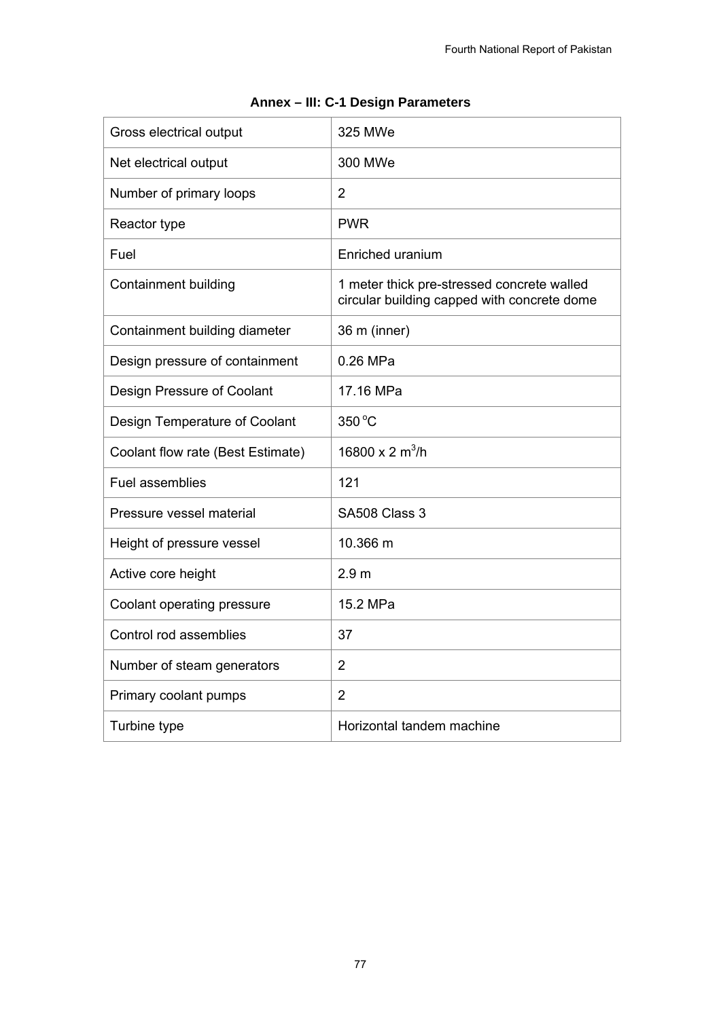| Gross electrical output           | 325 MWe                                                                                   |
|-----------------------------------|-------------------------------------------------------------------------------------------|
| Net electrical output             | 300 MWe                                                                                   |
| Number of primary loops           | $\overline{2}$                                                                            |
| Reactor type                      | <b>PWR</b>                                                                                |
| Fuel                              | Enriched uranium                                                                          |
| <b>Containment building</b>       | 1 meter thick pre-stressed concrete walled<br>circular building capped with concrete dome |
| Containment building diameter     | 36 m (inner)                                                                              |
| Design pressure of containment    | 0.26 MPa                                                                                  |
| Design Pressure of Coolant        | 17.16 MPa                                                                                 |
| Design Temperature of Coolant     | 350 °C                                                                                    |
| Coolant flow rate (Best Estimate) | 16800 x 2 $m^3/h$                                                                         |
| <b>Fuel assemblies</b>            | 121                                                                                       |
| Pressure vessel material          | SA508 Class 3                                                                             |
| Height of pressure vessel         | 10.366 m                                                                                  |
| Active core height                | 2.9 <sub>m</sub>                                                                          |
| Coolant operating pressure        | 15.2 MPa                                                                                  |
| Control rod assemblies            | 37                                                                                        |
| Number of steam generators        | $\overline{2}$                                                                            |
| Primary coolant pumps             | $\overline{2}$                                                                            |
| Turbine type                      | Horizontal tandem machine                                                                 |

# **Annex – III: C-1 Design Parameters**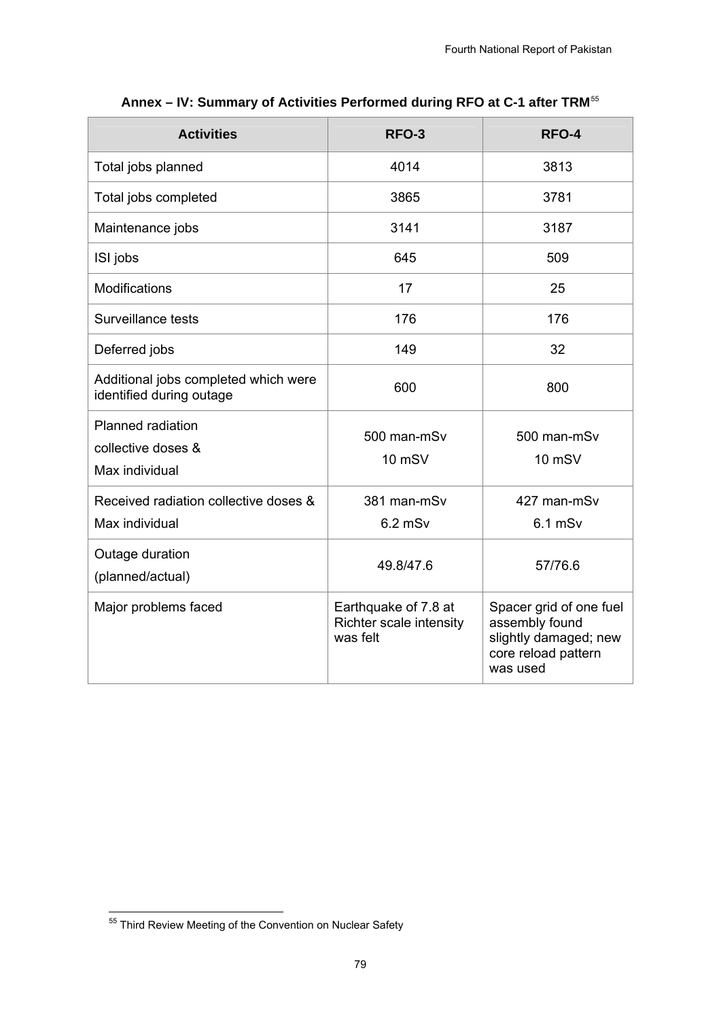<span id="page-88-0"></span>

| <b>Activities</b>                                                | RFO-3                                                       | RFO-4                                                                                                 |
|------------------------------------------------------------------|-------------------------------------------------------------|-------------------------------------------------------------------------------------------------------|
| Total jobs planned                                               | 4014                                                        | 3813                                                                                                  |
| Total jobs completed                                             | 3865                                                        | 3781                                                                                                  |
| Maintenance jobs                                                 | 3141                                                        | 3187                                                                                                  |
| ISI jobs                                                         | 645                                                         | 509                                                                                                   |
| <b>Modifications</b>                                             | 17                                                          | 25                                                                                                    |
| Surveillance tests                                               | 176                                                         | 176                                                                                                   |
| Deferred jobs                                                    | 149                                                         | 32                                                                                                    |
| Additional jobs completed which were<br>identified during outage | 600                                                         | 800                                                                                                   |
| <b>Planned radiation</b><br>collective doses &<br>Max individual | 500 man-mSv<br>$10$ mSV                                     | 500 man-mSv<br>$10$ mSV                                                                               |
| Received radiation collective doses &                            | 381 man-mSv                                                 | 427 man-mSv                                                                                           |
| Max individual                                                   | $6.2$ mSv                                                   | $6.1$ mSv                                                                                             |
| Outage duration<br>(planned/actual)                              | 49.8/47.6                                                   | 57/76.6                                                                                               |
| Major problems faced                                             | Earthquake of 7.8 at<br>Richter scale intensity<br>was felt | Spacer grid of one fuel<br>assembly found<br>slightly damaged; new<br>core reload pattern<br>was used |

1

<sup>&</sup>lt;sup>55</sup> Third Review Meeting of the Convention on Nuclear Safety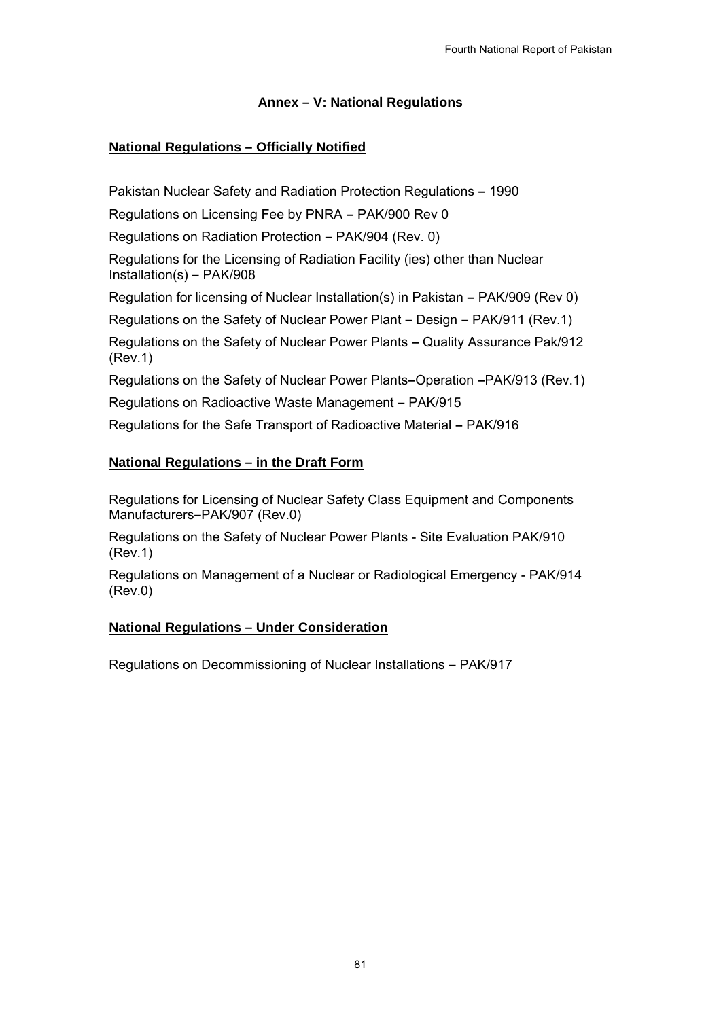## **Annex – V: National Regulations**

## **National Regulations – Officially Notified**

Pakistan Nuclear Safety and Radiation Protection Regulations **–** 1990

Regulations on Licensing Fee by PNRA **–** PAK/900 Rev 0

Regulations on Radiation Protection **–** PAK/904 (Rev. 0)

Regulations for the Licensing of Radiation Facility (ies) other than Nuclear Installation(s) **–** PAK/908

Regulation for licensing of Nuclear Installation(s) in Pakistan **–** PAK/909 (Rev 0)

Regulations on the Safety of Nuclear Power Plant **–** Design **–** PAK/911 (Rev.1)

Regulations on the Safety of Nuclear Power Plants **–** Quality Assurance Pak/912 (Rev.1)

Regulations on the Safety of Nuclear Power Plants**–**Operation **–**PAK/913 (Rev.1)

Regulations on Radioactive Waste Management **–** PAK/915

Regulations for the Safe Transport of Radioactive Material **–** PAK/916

## **National Regulations – in the Draft Form**

Regulations for Licensing of Nuclear Safety Class Equipment and Components Manufacturers**–**PAK/907 (Rev.0)

Regulations on the Safety of Nuclear Power Plants - Site Evaluation PAK/910 (Rev.1)

Regulations on Management of a Nuclear or Radiological Emergency - PAK/914 (Rev.0)

## **National Regulations – Under Consideration**

Regulations on Decommissioning of Nuclear Installations **–** PAK/917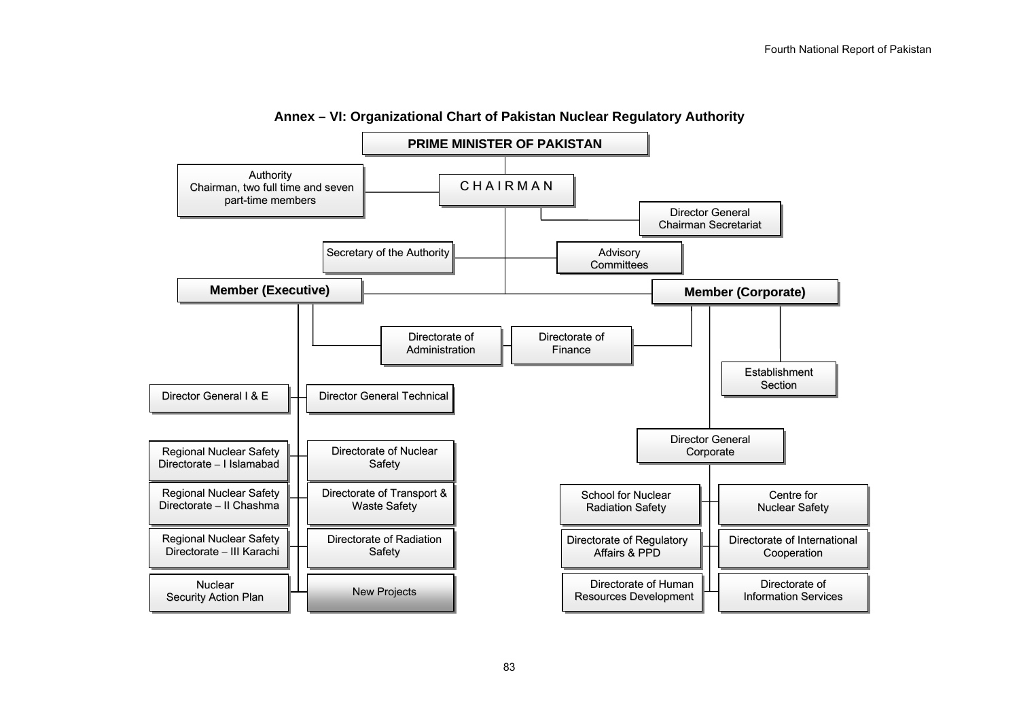

#### **Annex – VI: Organizational Chart of Pakistan Nuclear Regulatory Authority**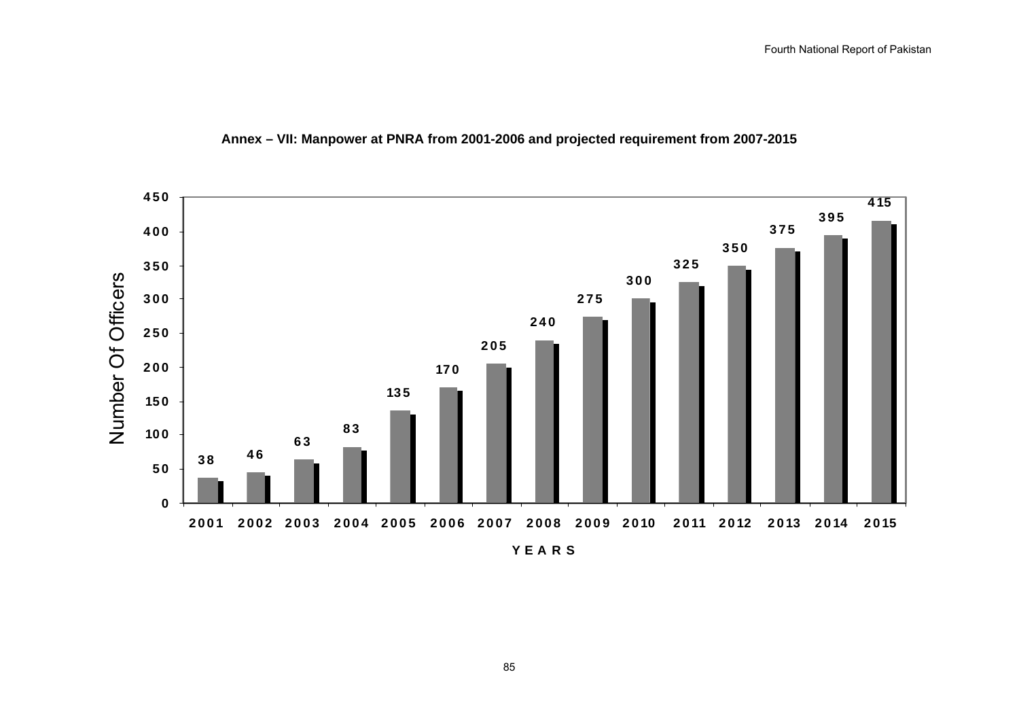

#### **Annex – VII: Manpower at PNRA from 2001-2006 and projected requirement from 2007-2015**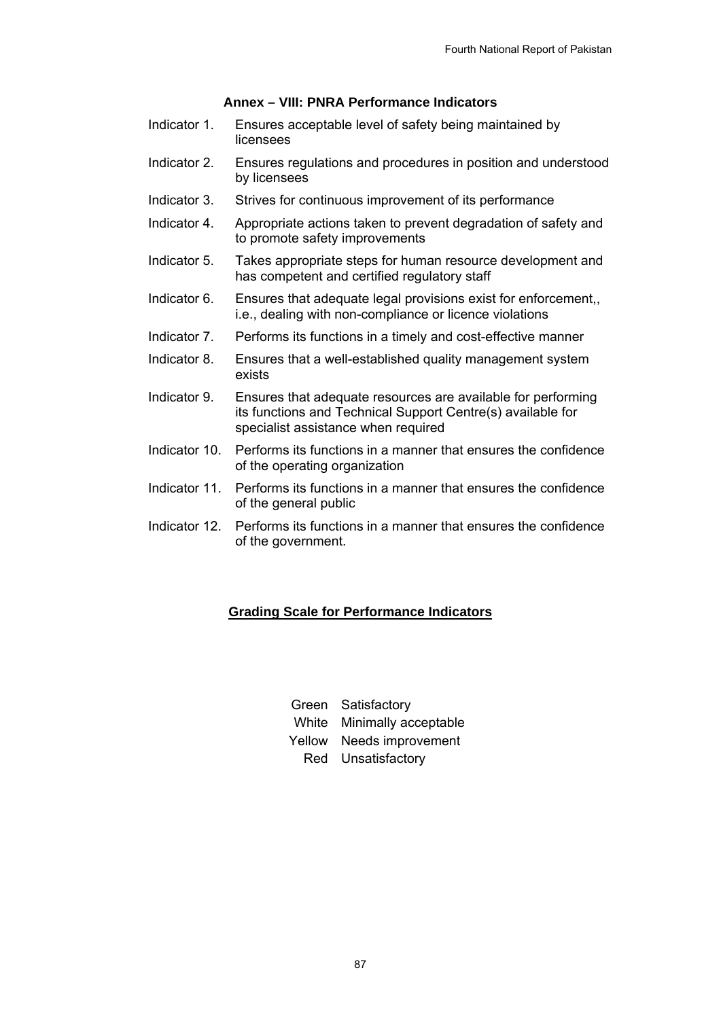## **Annex – VIII: PNRA Performance Indicators**

- Indicator 1. Ensures acceptable level of safety being maintained by licensees
- Indicator 2. Ensures regulations and procedures in position and understood by licensees
- Indicator 3. Strives for continuous improvement of its performance
- Indicator 4. Appropriate actions taken to prevent degradation of safety and to promote safety improvements
- Indicator 5. Takes appropriate steps for human resource development and has competent and certified regulatory staff
- Indicator 6. Ensures that adequate legal provisions exist for enforcement,, i.e., dealing with non-compliance or licence violations
- Indicator 7. Performs its functions in a timely and cost-effective manner
- Indicator 8. Ensures that a well-established quality management system exists
- Indicator 9. Ensures that adequate resources are available for performing its functions and Technical Support Centre(s) available for specialist assistance when required
- Indicator 10. Performs its functions in a manner that ensures the confidence of the operating organization
- Indicator 11. Performs its functions in a manner that ensures the confidence of the general public
- Indicator 12. Performs its functions in a manner that ensures the confidence of the government.

## **Grading Scale for Performance Indicators**

|        | Green Satisfactory   |
|--------|----------------------|
| White  | Minimally acceptable |
| Yellow | Needs improvement    |
|        | Red Unsatisfactory   |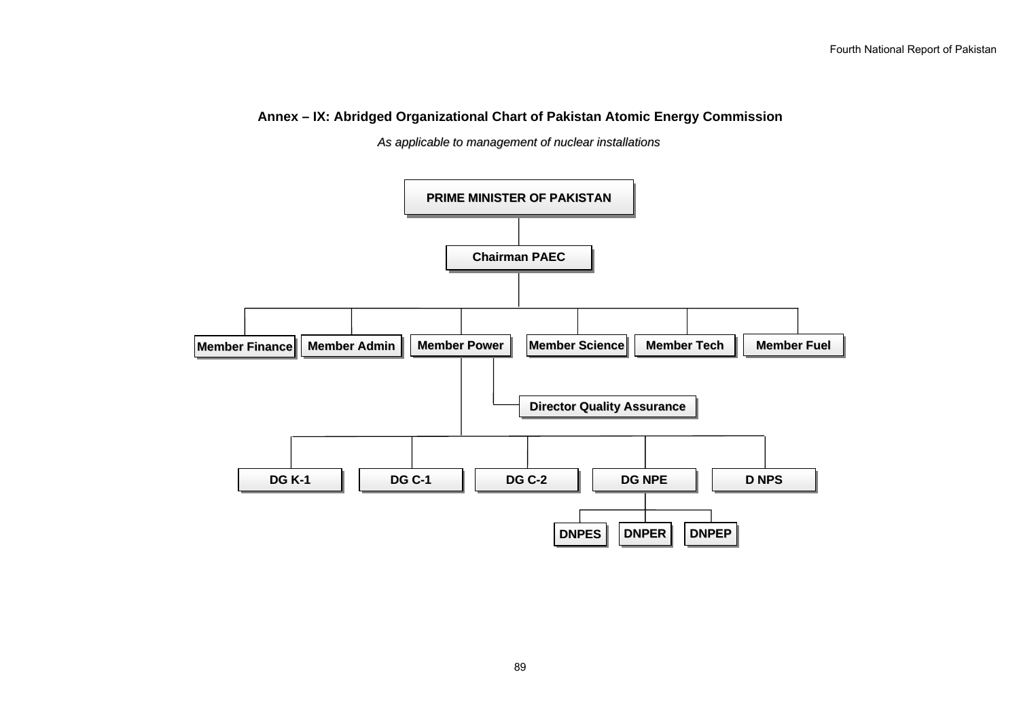#### **Annex – IX: Abridged Organizational Chart of Pakistan Atomic Energy Commission**

*As applicable to managemen<sup>t</sup> of nuclear installations*

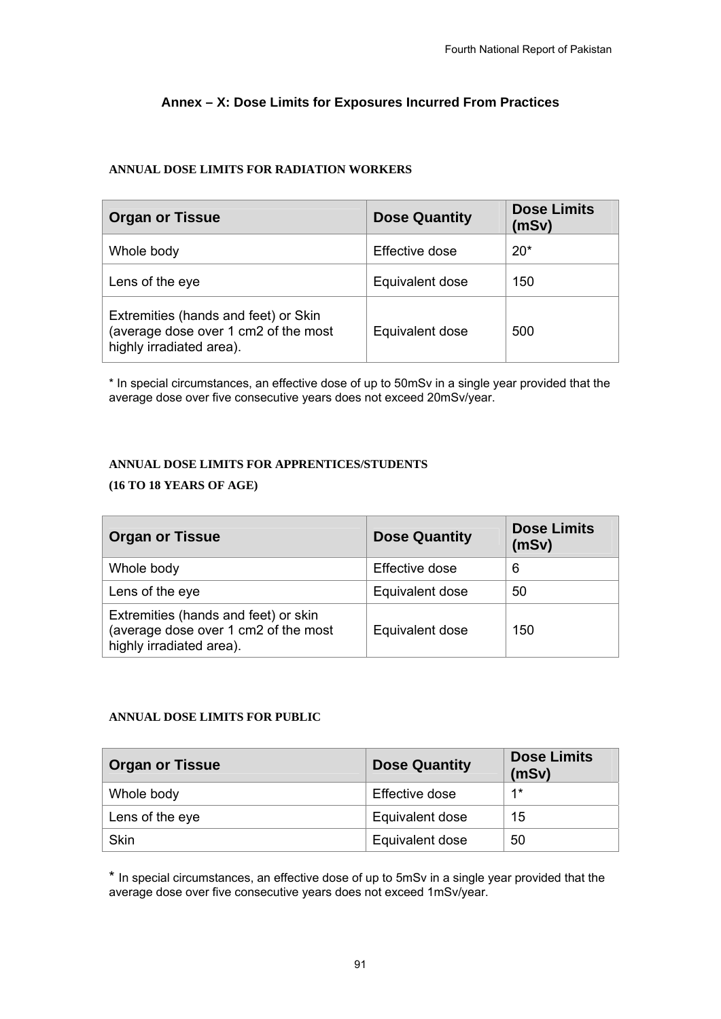## **Annex – X: Dose Limits for Exposures Incurred From Practices**

## **ANNUAL DOSE LIMITS FOR RADIATION WORKERS**

| <b>Organ or Tissue</b>                                                                                   | <b>Dose Quantity</b> | <b>Dose Limits</b><br>(mSv) |
|----------------------------------------------------------------------------------------------------------|----------------------|-----------------------------|
| Whole body                                                                                               | Effective dose       | $20*$                       |
| Lens of the eye                                                                                          | Equivalent dose      | 150                         |
| Extremities (hands and feet) or Skin<br>(average dose over 1 cm2 of the most<br>highly irradiated area). | Equivalent dose      | 500                         |

\* In special circumstances, an effective dose of up to 50mSv in a single year provided that the average dose over five consecutive years does not exceed 20mSv/year.

## **ANNUAL DOSE LIMITS FOR APPRENTICES/STUDENTS (16 TO 18 YEARS OF AGE)**

| <b>Organ or Tissue</b>                                                                                   | <b>Dose Quantity</b> | <b>Dose Limits</b><br>(mSv) |
|----------------------------------------------------------------------------------------------------------|----------------------|-----------------------------|
| Whole body                                                                                               | Effective dose       | 6                           |
| Lens of the eye                                                                                          | Equivalent dose      | 50                          |
| Extremities (hands and feet) or skin<br>(average dose over 1 cm2 of the most<br>highly irradiated area). | Equivalent dose      | 150                         |

#### **ANNUAL DOSE LIMITS FOR PUBLIC**

| <b>Organ or Tissue</b> | <b>Dose Quantity</b> | <b>Dose Limits</b><br>(mSv) |
|------------------------|----------------------|-----------------------------|
| Whole body             | Effective dose       | $4*$                        |
| Lens of the eye        | Equivalent dose      | 15                          |
| Skin                   | Equivalent dose      | 50                          |

\* In special circumstances, an effective dose of up to 5mSv in a single year provided that the average dose over five consecutive years does not exceed 1mSv/year.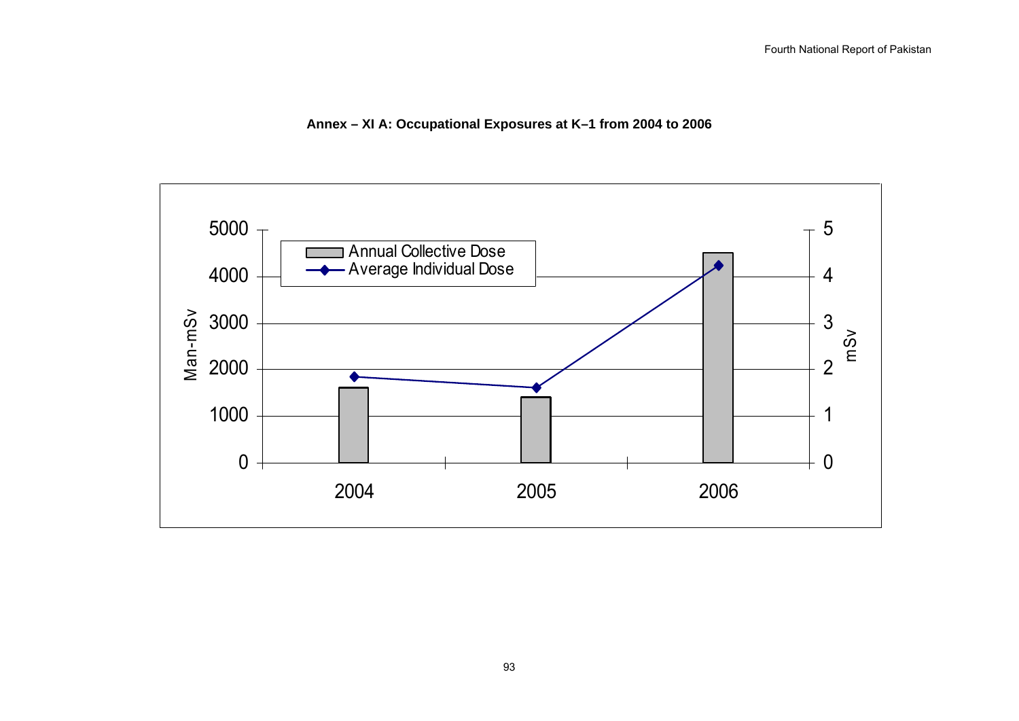## **Annex – XI A: Occupational Exposures at K–1 from 2004 to 2006**

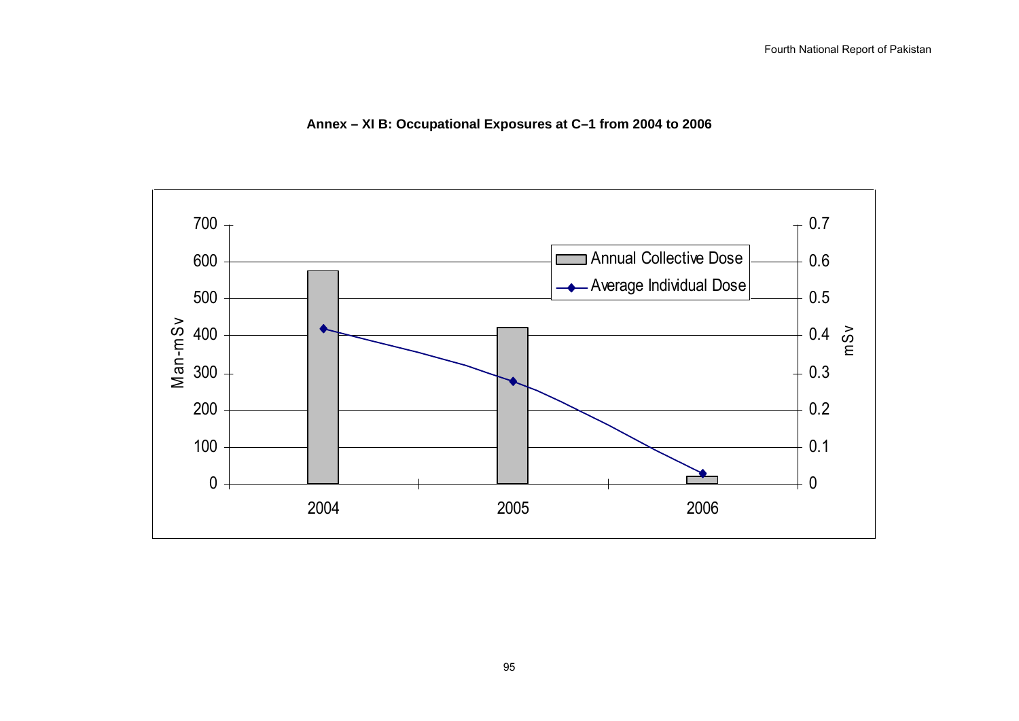

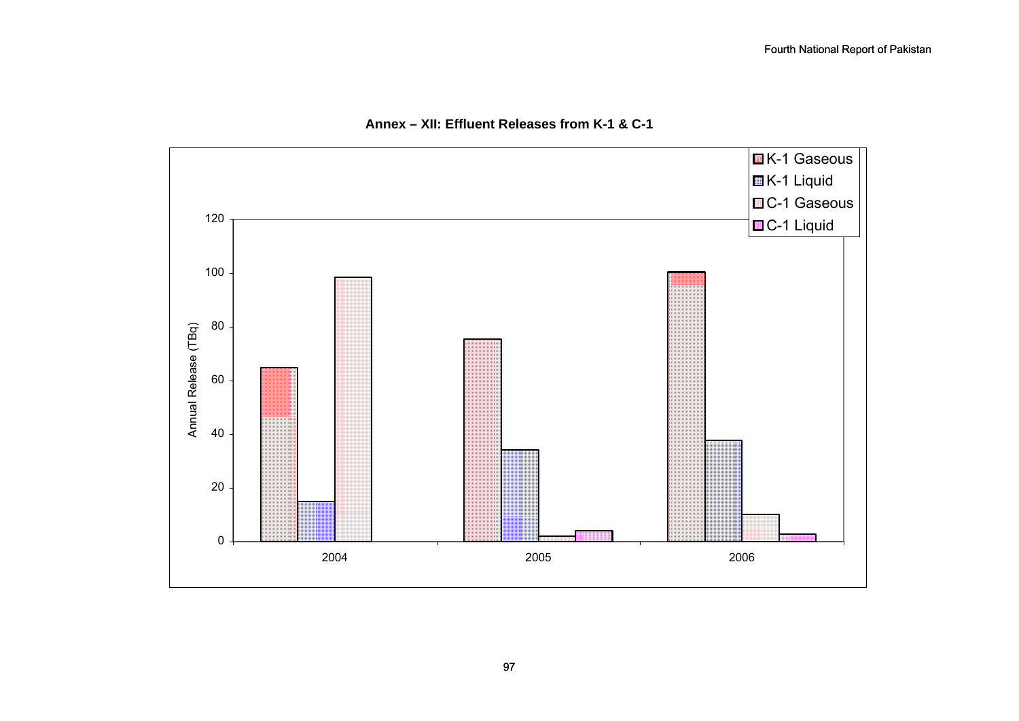

**Annex – XII: Effluent Releases from K-1 & C-1**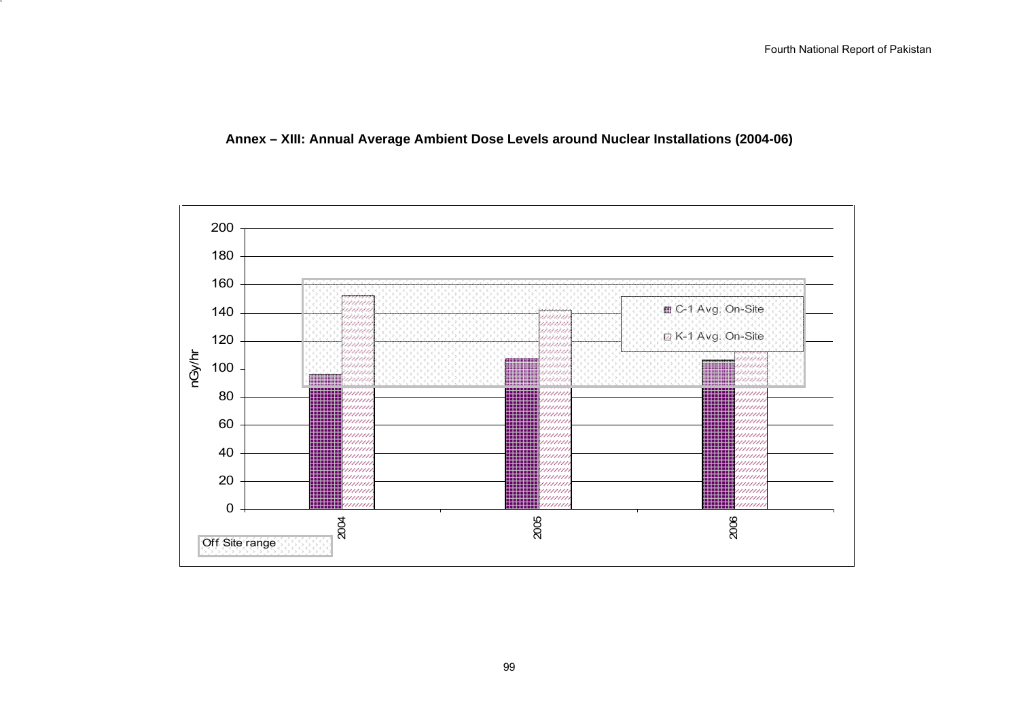#### **Annex – XIII: Annual Average Ambient Dose Levels around Nuclear Installations (2004-06)**

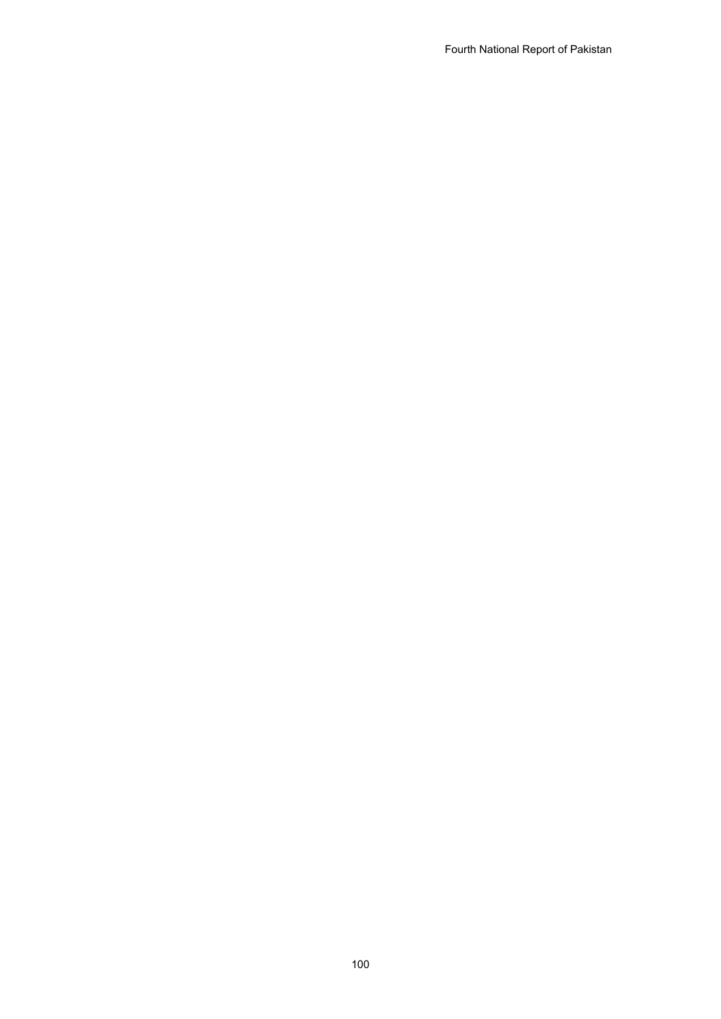Fourth National Report of Pakistan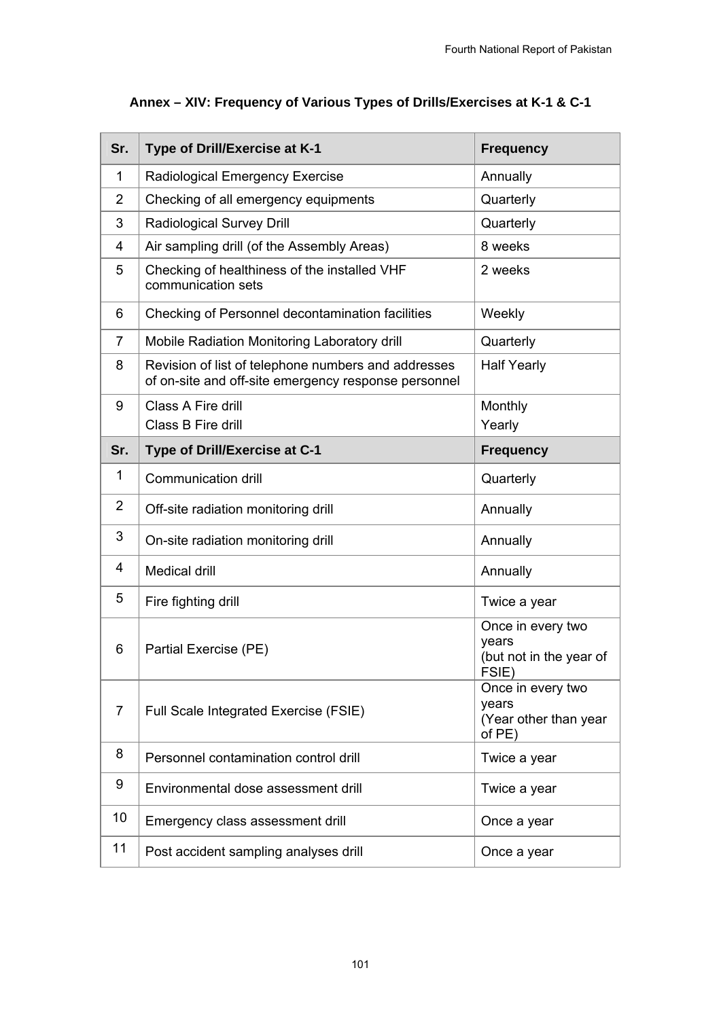| Sr.            | Type of Drill/Exercise at K-1                                                                               | <b>Frequency</b>                                               |
|----------------|-------------------------------------------------------------------------------------------------------------|----------------------------------------------------------------|
| 1              | Radiological Emergency Exercise                                                                             | Annually                                                       |
| 2              | Checking of all emergency equipments                                                                        | Quarterly                                                      |
| 3              | <b>Radiological Survey Drill</b>                                                                            | Quarterly                                                      |
| $\overline{4}$ | Air sampling drill (of the Assembly Areas)                                                                  | 8 weeks                                                        |
| 5              | Checking of healthiness of the installed VHF<br>communication sets                                          | 2 weeks                                                        |
| 6              | Checking of Personnel decontamination facilities                                                            | Weekly                                                         |
| $\overline{7}$ | Mobile Radiation Monitoring Laboratory drill                                                                | Quarterly                                                      |
| 8              | Revision of list of telephone numbers and addresses<br>of on-site and off-site emergency response personnel | <b>Half Yearly</b>                                             |
| 9              | Class A Fire drill<br>Class B Fire drill                                                                    | Monthly<br>Yearly                                              |
| Sr.            | Type of Drill/Exercise at C-1                                                                               | <b>Frequency</b>                                               |
| 1              | Communication drill                                                                                         | Quarterly                                                      |
| 2              | Off-site radiation monitoring drill                                                                         | Annually                                                       |
| 3              | On-site radiation monitoring drill                                                                          | Annually                                                       |
| $\overline{4}$ | <b>Medical drill</b>                                                                                        | Annually                                                       |
| 5              | Fire fighting drill                                                                                         | Twice a year                                                   |
| 6              | Partial Exercise (PE)                                                                                       | Once in every two<br>years<br>(but not in the year of<br>FSIE) |
| $\overline{7}$ | Full Scale Integrated Exercise (FSIE)                                                                       | Once in every two<br>years<br>(Year other than year<br>of PE)  |
| 8              | Personnel contamination control drill                                                                       | Twice a year                                                   |
| 9              | Environmental dose assessment drill                                                                         | Twice a year                                                   |
| 10             | Emergency class assessment drill                                                                            | Once a year                                                    |
| 11             | Post accident sampling analyses drill                                                                       | Once a year                                                    |

## **Annex – XIV: Frequency of Various Types of Drills/Exercises at K-1 & C-1**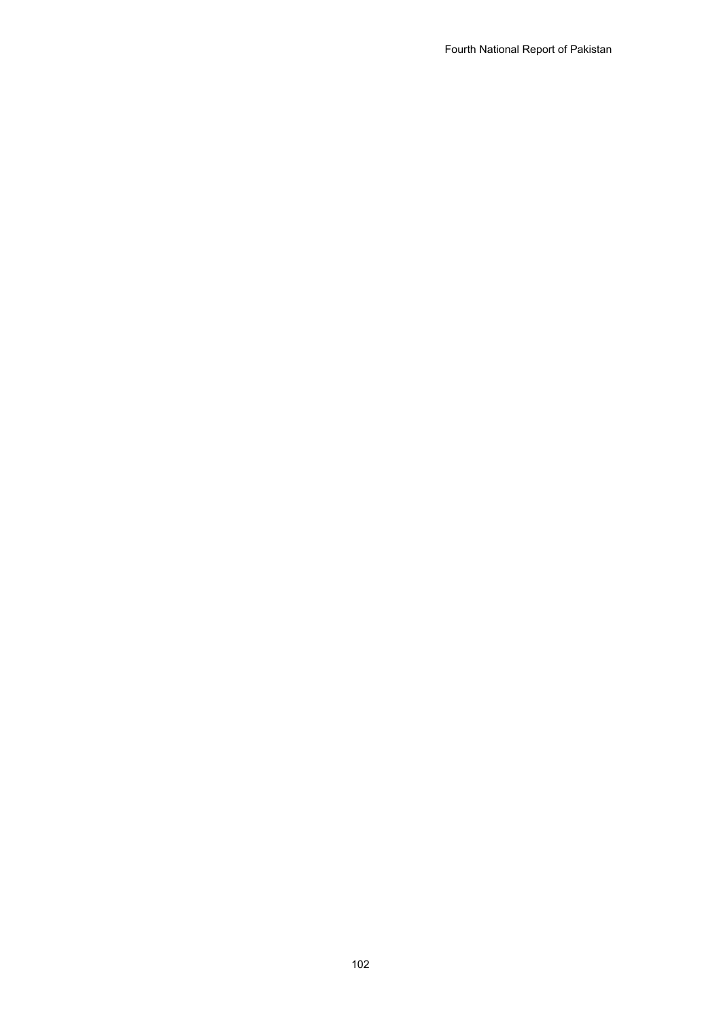Fourth National Report of Pakistan